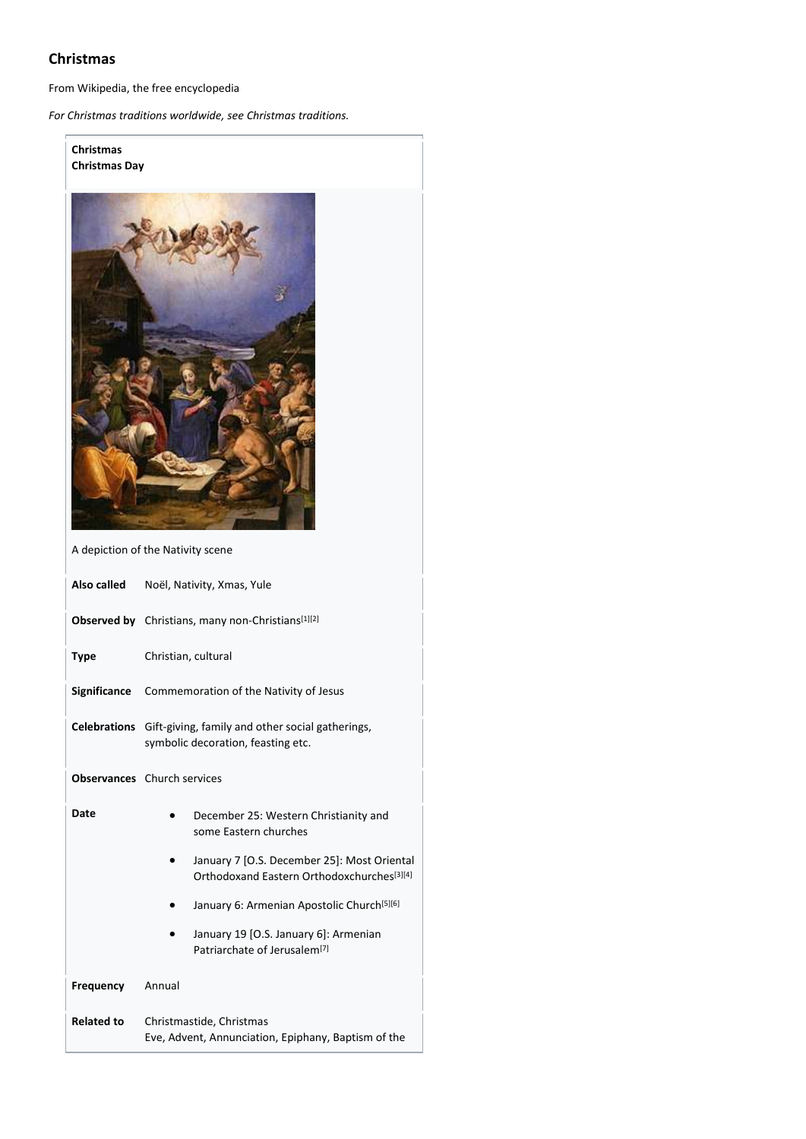# **Christmas**

From Wikipedia, the free encyclopedia

*For Christmas traditions worldwide, see Christmas traditions.*

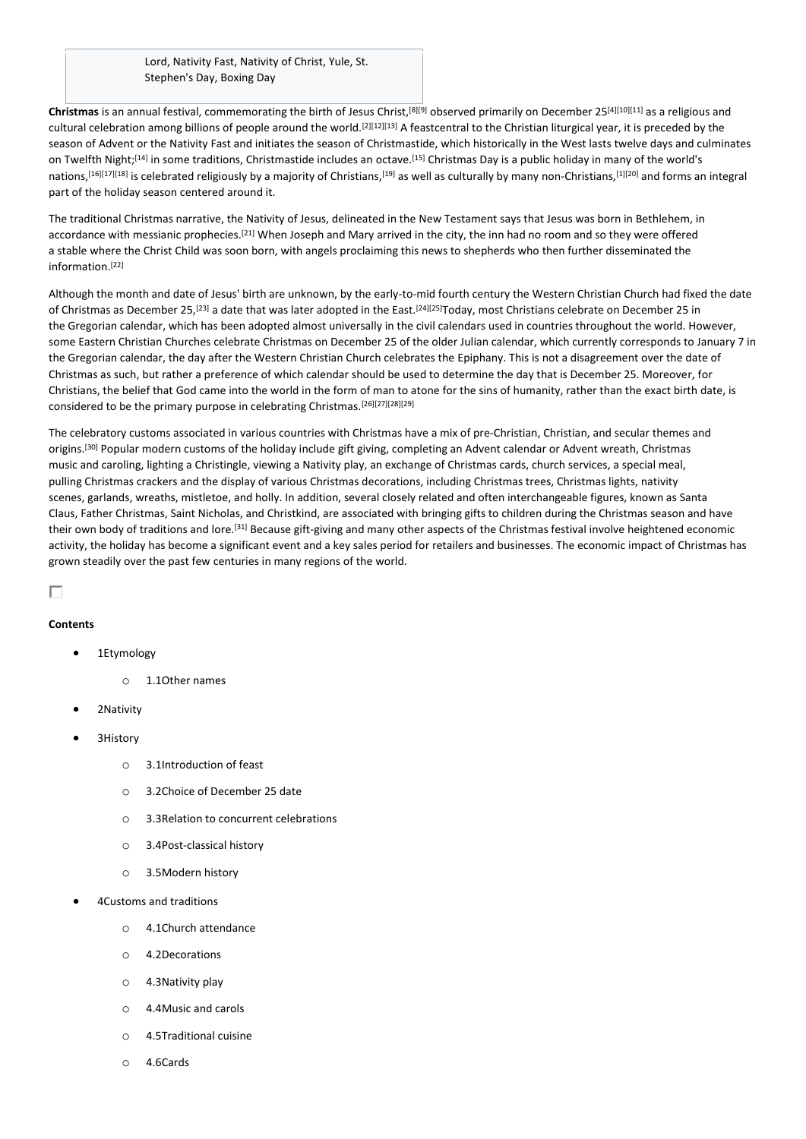Lord, Nativity Fast, Nativity of Christ, Yule, St. Stephen's Day, Boxing Day

Christmas is an annual festival, commemorating the birth of Jesus Christ,<sup>[8][9]</sup> observed primarily on December 25<sup>[4][10][11]</sup> as a religious and cultural celebration among billions of people around the world.[2][12][13] A feastcentral to the Christian liturgical year, it is preceded by the season of Advent or the Nativity Fast and initiates the season of Christmastide, which historically in the West lasts twelve days and culminates on Twelfth Night;<sup>[14]</sup> in some traditions, Christmastide includes an octave.<sup>[15]</sup> Christmas Day is a public holiday in many of the world's nations,<sup>[16][17][18]</sup> is celebrated religiously by a majority of Christians,<sup>[19]</sup> as well as culturally by many non-Christians,<sup>[1][20]</sup> and forms an integral part of the holiday season centered around it.

The traditional Christmas narrative, the Nativity of Jesus, delineated in the New Testament says that Jesus was born in Bethlehem, in accordance with messianic prophecies.<sup>[21]</sup> When Joseph and Mary arrived in the city, the inn had no room and so they were offered a stable where the Christ Child was soon born, with angels proclaiming this news to shepherds who then further disseminated the information.[22]

Although the month and date of Jesus' birth are unknown, by the early-to-mid fourth century the Western Christian Church had fixed the date of Christmas as December 25,<sup>[23]</sup> a date that was later adopted in the East.<sup>[24][25]</sup>Today, most Christians celebrate on December 25 in the Gregorian calendar, which has been adopted almost universally in the civil calendars used in countries throughout the world. However, some Eastern Christian Churches celebrate Christmas on December 25 of the older Julian calendar, which currently corresponds to January 7 in the Gregorian calendar, the day after the Western Christian Church celebrates the Epiphany. This is not a disagreement over the date of Christmas as such, but rather a preference of which calendar should be used to determine the day that is December 25. Moreover, for Christians, the belief that God came into the world in the form of man to atone for the sins of humanity, rather than the exact birth date, is considered to be the primary purpose in celebrating Christmas.[26][27][28][29]

The celebratory customs associated in various countries with Christmas have a mix of pre-Christian, Christian, and secular themes and origins.[30] Popular modern customs of the holiday include gift giving, completing an Advent calendar or Advent wreath, Christmas music and caroling, lighting a Christingle, viewing a Nativity play, an exchange of Christmas cards, church services, a special meal, pulling Christmas crackers and the display of various Christmas decorations, including Christmas trees, Christmas lights, nativity scenes, garlands, wreaths, mistletoe, and holly. In addition, several closely related and often interchangeable figures, known as Santa Claus, Father Christmas, Saint Nicholas, and Christkind, are associated with bringing gifts to children during the Christmas season and have their own body of traditions and lore.<sup>[31]</sup> Because gift-giving and many other aspects of the Christmas festival involve heightened economic activity, the holiday has become a significant event and a key sales period for retailers and businesses. The economic impact of Christmas has grown steadily over the past few centuries in many regions of the world.

П

### **Contents**

- 1Etymology
	- o 1.1Other names
- 2Nativity
- 3History
	- o 3.1Introduction of feast
	- o 3.2Choice of December 25 date
	- o 3.3Relation to concurrent celebrations
	- o 3.4Post-classical history
	- o 3.5Modern history
- 4Customs and traditions
	- o 4.1Church attendance
	- o 4.2Decorations
	- o 4.3Nativity play
	- o 4.4Music and carols
	- o 4.5Traditional cuisine
	- o 4.6Cards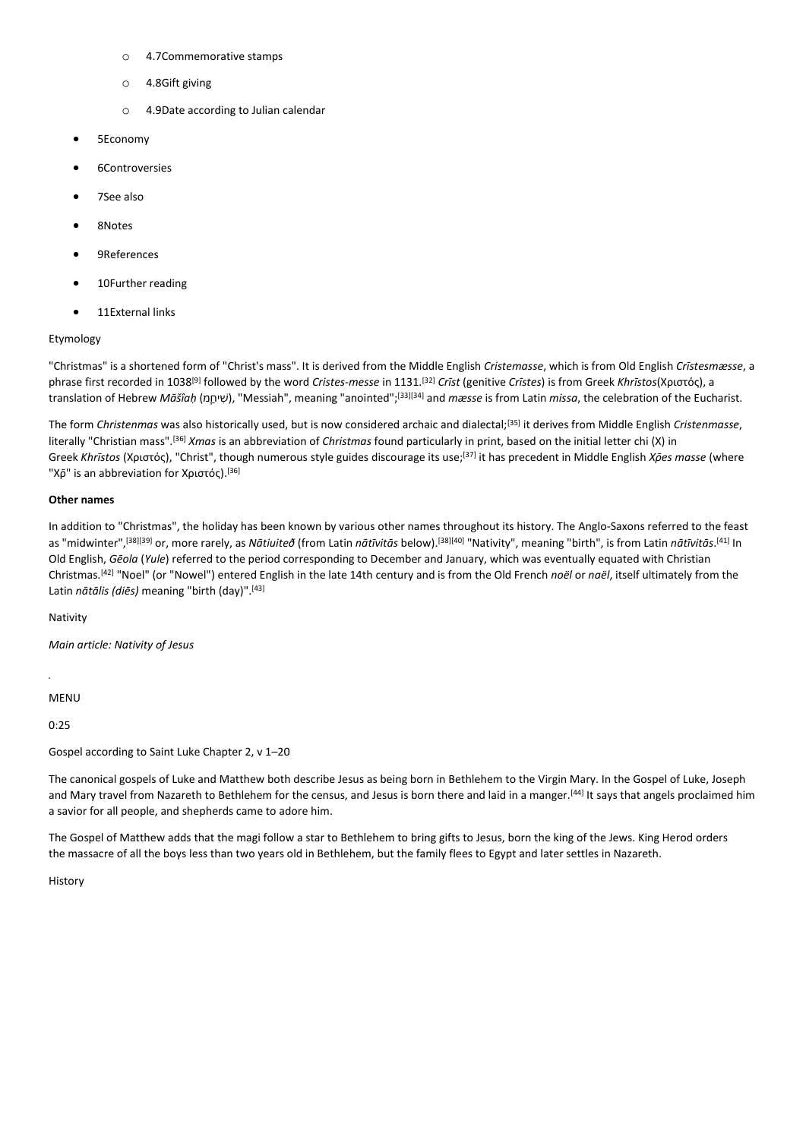- o 4.7Commemorative stamps
- o 4.8Gift giving
- o 4.9Date according to Julian calendar
- 5Economy
- 6Controversies
- 7See also
- 8Notes
- 9References
- 10Further reading
- 11External links

### Etymology

"Christmas" is a shortened form of "Christ's mass". It is derived from the Middle English *Cristemasse*, which is from Old English *Crīstesmæsse*, a phrase first recorded in 1038[9] followed by the word *Cristes-messe* in 1131.[32] *Crīst* (genitive *Crīstes*) is from Greek *Khrīstos*(Χριστός), a translation of Hebrew *Māšîaḥ* (מָשׁוְתֵּן, "Messiah", meaning "anointed";<sup>[33][34]</sup> and *mæsse* is from Latin *missa*, the celebration of the Eucharist.

The form *Christenmas* was also historically used, but is now considered archaic and dialectal;[35] it derives from Middle English *Cristenmasse*, literally "Christian mass".[36] *Xmas* is an abbreviation of *Christmas* found particularly in print, based on the initial letter chi (Χ) in Greek *Khrīstos* (Χριστός), "Christ", though numerous style guides discourage its use;[37] it has precedent in Middle English *Χρ̄es masse* (where "Χρ" is an abbreviation for Χριστός).<sup>[36]</sup>

### **Other names**

In addition to "Christmas", the holiday has been known by various other names throughout its history. The Anglo-Saxons referred to the feast as "midwinter",[38][39] or, more rarely, as *Nātiuiteð* (from Latin *nātīvitās* below).[38][40] "Nativity", meaning "birth", is from Latin *nātīvitās*. [41] In Old English, *Gēola* (*Yule*) referred to the period corresponding to December and January, which was eventually equated with Christian Christmas.[42] "Noel" (or "Nowel") entered English in the late 14th century and is from the Old French *noël* or *naël*, itself ultimately from the Latin *nātālis (diēs)* meaning "birth (day)".[43]

Nativity

*Main article: Nativity of Jesus*

MENU

0:25

Gospel according to Saint Luke Chapter 2, v 1–20

The canonical gospels of Luke and Matthew both describe Jesus as being born in Bethlehem to the Virgin Mary. In the Gospel of Luke, Joseph and Mary travel from Nazareth to Bethlehem for the census, and Jesus is born there and laid in a manger.<sup>[44]</sup> It says that angels proclaimed him a savior for all people, and shepherds came to adore him.

The Gospel of Matthew adds that the magi follow a star to Bethlehem to bring gifts to Jesus, born the king of the Jews. King Herod orders the massacre of all the boys less than two years old in Bethlehem, but the family flees to Egypt and later settles in Nazareth.

History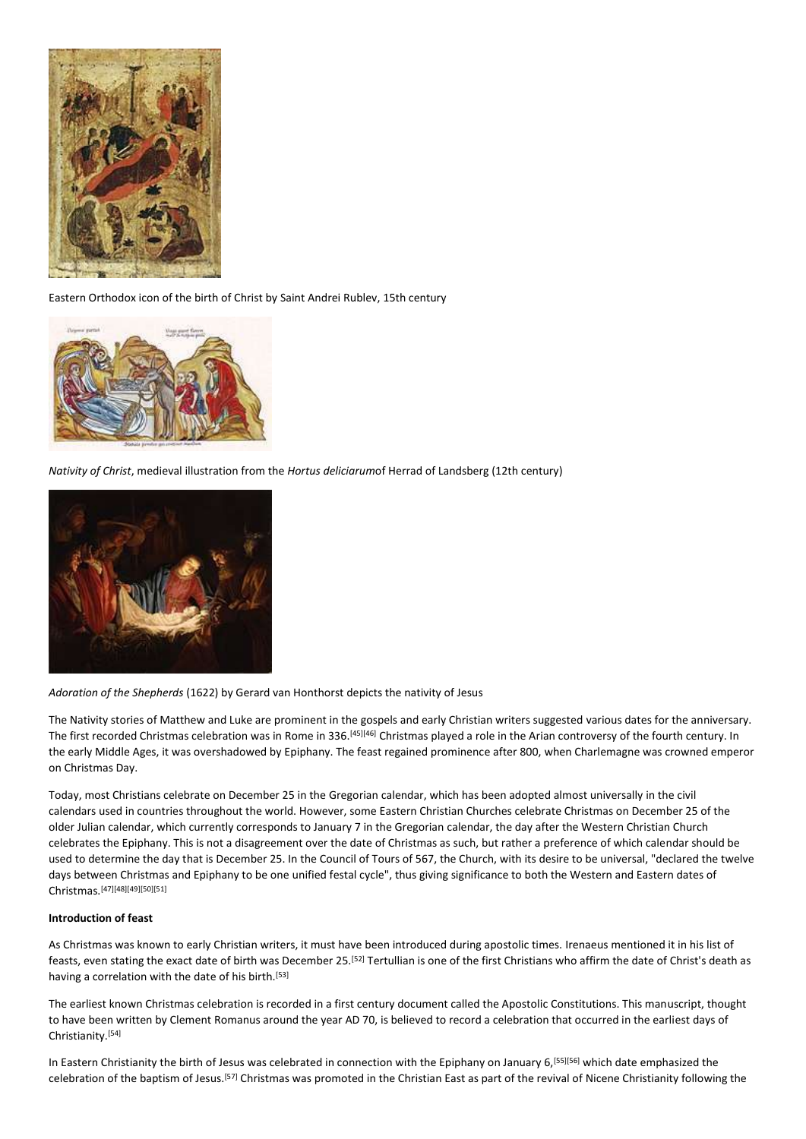

Eastern Orthodox icon of the birth of Christ by Saint Andrei Rublev, 15th century



*Nativity of Christ*, medieval illustration from the *Hortus deliciarum*of Herrad of Landsberg (12th century)



*Adoration of the Shepherds* (1622) by Gerard van Honthorst depicts the nativity of Jesus

The Nativity stories of Matthew and Luke are prominent in the gospels and early Christian writers suggested various dates for the anniversary. The first recorded Christmas celebration was in Rome in 336.<sup>[45][46]</sup> Christmas played a role in the Arian controversy of the fourth century. In the early Middle Ages, it was overshadowed by Epiphany. The feast regained prominence after 800, when Charlemagne was crowned emperor on Christmas Day.

Today, most Christians celebrate on December 25 in the Gregorian calendar, which has been adopted almost universally in the civil calendars used in countries throughout the world. However, some Eastern Christian Churches celebrate Christmas on December 25 of the older Julian calendar, which currently corresponds to January 7 in the Gregorian calendar, the day after the Western Christian Church celebrates the Epiphany. This is not a disagreement over the date of Christmas as such, but rather a preference of which calendar should be used to determine the day that is December 25. In the Council of Tours of 567, the Church, with its desire to be universal, "declared the twelve days between Christmas and Epiphany to be one unified festal cycle", thus giving significance to both the Western and Eastern dates of Christmas.[47][48][49][50][51]

### **Introduction of feast**

As Christmas was known to early Christian writers, it must have been introduced during apostolic times. Irenaeus mentioned it in his list of feasts, even stating the exact date of birth was December 25.[52] Tertullian is one of the first Christians who affirm the date of Christ's death as having a correlation with the date of his birth.<sup>[53]</sup>

The earliest known Christmas celebration is recorded in a first century document called the Apostolic Constitutions. This manuscript, thought to have been written by Clement Romanus around the year AD 70, is believed to record a celebration that occurred in the earliest days of Christianity.[54]

In Eastern Christianity the birth of Jesus was celebrated in connection with the Epiphany on January 6,<sup>[55][56]</sup> which date emphasized the celebration of the baptism of Jesus.<sup>[57]</sup> Christmas was promoted in the Christian East as part of the revival of Nicene Christianity following the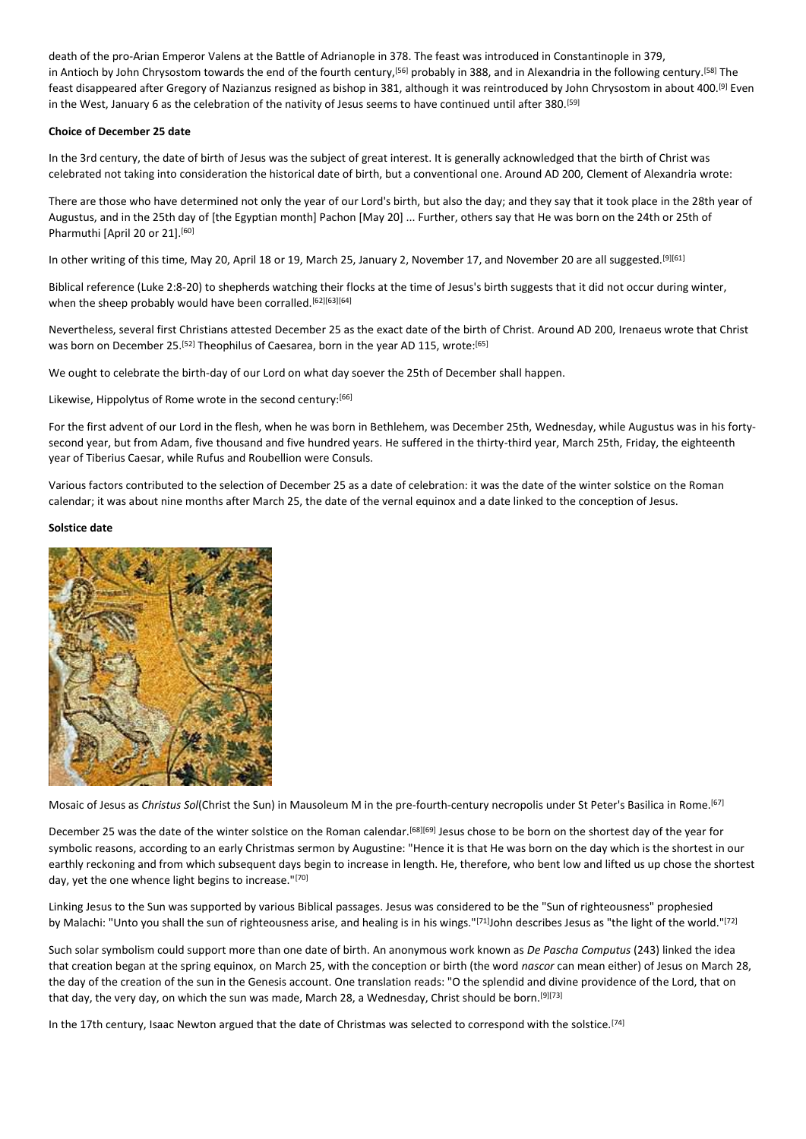death of the pro-Arian Emperor Valens at the Battle of Adrianople in 378. The feast was introduced in Constantinople in 379, in Antioch by John Chrysostom towards the end of the fourth century.<sup>[56]</sup> probably in 388, and in Alexandria in the following century.<sup>[58]</sup> The feast disappeared after Gregory of Nazianzus resigned as bishop in 381, although it was reintroduced by John Chrysostom in about 400.[9] Even in the West, January 6 as the celebration of the nativity of Jesus seems to have continued until after 380.<sup>[59]</sup>

### **Choice of December 25 date**

In the 3rd century, the date of birth of Jesus was the subject of great interest. It is generally acknowledged that the birth of Christ was celebrated not taking into consideration the historical date of birth, but a conventional one. Around AD 200, Clement of Alexandria wrote:

There are those who have determined not only the year of our Lord's birth, but also the day; and they say that it took place in the 28th year of Augustus, and in the 25th day of [the Egyptian month] Pachon [May 20] ... Further, others say that He was born on the 24th or 25th of Pharmuthi [April 20 or 21].<sup>[60]</sup>

In other writing of this time, May 20, April 18 or 19, March 25, January 2, November 17, and November 20 are all suggested.<sup>[9][61]</sup>

Biblical reference (Luke 2:8-20) to shepherds watching their flocks at the time of Jesus's birth suggests that it did not occur during winter, when the sheep probably would have been corralled.<sup>[62][63][64]</sup>

Nevertheless, several first Christians attested December 25 as the exact date of the birth of Christ. Around AD 200, Irenaeus wrote that Christ was born on December 25.<sup>[52]</sup> Theophilus of Caesarea, born in the year AD 115, wrote:<sup>[65]</sup>

We ought to celebrate the birth-day of our Lord on what day soever the 25th of December shall happen.

Likewise, Hippolytus of Rome wrote in the second century: [66]

For the first advent of our Lord in the flesh, when he was born in Bethlehem, was December 25th, Wednesday, while Augustus was in his fortysecond year, but from Adam, five thousand and five hundred years. He suffered in the thirty-third year, March 25th, Friday, the eighteenth year of Tiberius Caesar, while Rufus and Roubellion were Consuls.

Various factors contributed to the selection of December 25 as a date of celebration: it was the date of the winter solstice on the Roman calendar; it was about nine months after March 25, the date of the vernal equinox and a date linked to the conception of Jesus.

#### **Solstice date**



Mosaic of Jesus as *Christus Sol*(Christ the Sun) in Mausoleum M in the pre-fourth-century necropolis under St Peter's Basilica in Rome.[67]

December 25 was the date of the winter solstice on the Roman calendar.[68][69] Jesus chose to be born on the shortest day of the year for symbolic reasons, according to an early Christmas sermon by Augustine: "Hence it is that He was born on the day which is the shortest in our earthly reckoning and from which subsequent days begin to increase in length. He, therefore, who bent low and lifted us up chose the shortest day, yet the one whence light begins to increase."[70]

Linking Jesus to the Sun was supported by various Biblical passages. Jesus was considered to be the "Sun of righteousness" prophesied by Malachi: "Unto you shall the sun of righteousness arise, and healing is in his wings."[71]John describes Jesus as "the light of the world."[72]

Such solar symbolism could support more than one date of birth. An anonymous work known as *De Pascha Computus* (243) linked the idea that creation began at the spring equinox, on March 25, with the conception or birth (the word *nascor* can mean either) of Jesus on March 28, the day of the creation of the sun in the Genesis account. One translation reads: "O the splendid and divine providence of the Lord, that on that day, the very day, on which the sun was made, March 28, a Wednesday, Christ should be born.[9][73]

In the 17th century, Isaac Newton argued that the date of Christmas was selected to correspond with the solstice.<sup>[74]</sup>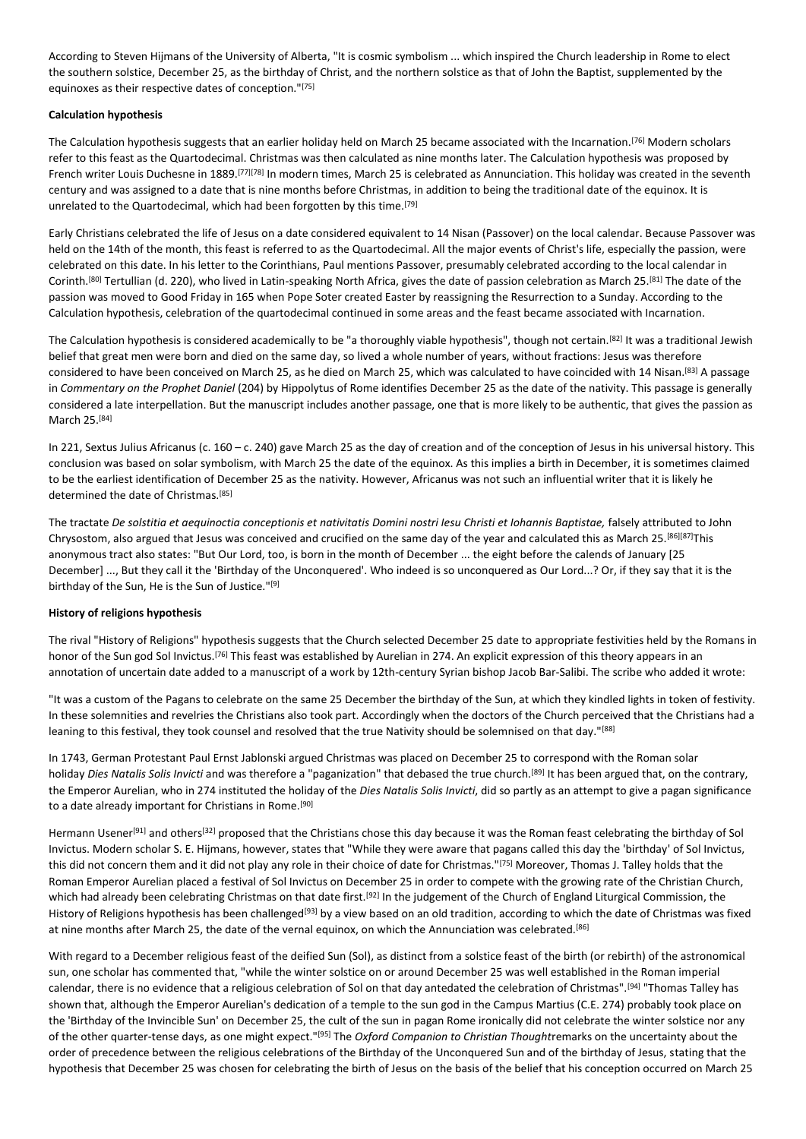According to Steven Hijmans of the University of Alberta, "It is cosmic symbolism ... which inspired the Church leadership in Rome to elect the southern solstice, December 25, as the birthday of Christ, and the northern solstice as that of John the Baptist, supplemented by the equinoxes as their respective dates of conception."[75]

### **Calculation hypothesis**

The Calculation hypothesis suggests that an earlier holiday held on March 25 became associated with the Incarnation.[76] Modern scholars refer to this feast as the Quartodecimal. Christmas was then calculated as nine months later. The Calculation hypothesis was proposed by French writer Louis Duchesne in 1889.[77][78] In modern times, March 25 is celebrated as Annunciation. This holiday was created in the seventh century and was assigned to a date that is nine months before Christmas, in addition to being the traditional date of the equinox. It is unrelated to the Quartodecimal, which had been forgotten by this time.<sup>[79]</sup>

Early Christians celebrated the life of Jesus on a date considered equivalent to 14 Nisan (Passover) on the local calendar. Because Passover was held on the 14th of the month, this feast is referred to as the Quartodecimal. All the major events of Christ's life, especially the passion, were celebrated on this date. In his letter to the Corinthians, Paul mentions Passover, presumably celebrated according to the local calendar in Corinth.<sup>[80]</sup> Tertullian (d. 220), who lived in Latin-speaking North Africa, gives the date of passion celebration as March 25.<sup>[81]</sup> The date of the passion was moved to Good Friday in 165 when Pope Soter created Easter by reassigning the Resurrection to a Sunday. According to the Calculation hypothesis, celebration of the quartodecimal continued in some areas and the feast became associated with Incarnation.

The Calculation hypothesis is considered academically to be "a thoroughly viable hypothesis", though not certain.[82] It was a traditional Jewish belief that great men were born and died on the same day, so lived a whole number of years, without fractions: Jesus was therefore considered to have been conceived on March 25, as he died on March 25, which was calculated to have coincided with 14 Nisan.<sup>[83]</sup> A passage in *Commentary on the Prophet Daniel* (204) by Hippolytus of Rome identifies December 25 as the date of the nativity. This passage is generally considered a late interpellation. But the manuscript includes another passage, one that is more likely to be authentic, that gives the passion as March 25.[84]

In 221, Sextus Julius Africanus (c. 160 – c. 240) gave March 25 as the day of creation and of the conception of Jesus in his universal history. This conclusion was based on solar symbolism, with March 25 the date of the equinox. As this implies a birth in December, it is sometimes claimed to be the earliest identification of December 25 as the nativity. However, Africanus was not such an influential writer that it is likely he determined the date of Christmas.<sup>[85]</sup>

The tractate *De solstitia et aequinoctia conceptionis et nativitatis Domini nostri Iesu Christi et Iohannis Baptistae,* falsely attributed to John Chrysostom, also argued that Jesus was conceived and crucified on the same day of the year and calculated this as March 25.<sup>[86][87]</sup>This anonymous tract also states: "But Our Lord, too, is born in the month of December ... the eight before the calends of January [25 December] ..., But they call it the 'Birthday of the Unconquered'. Who indeed is so unconquered as Our Lord...? Or, if they say that it is the birthday of the Sun, He is the Sun of Justice."[9]

### **History of religions hypothesis**

The rival "History of Religions" hypothesis suggests that the Church selected December 25 date to appropriate festivities held by the Romans in honor of the Sun god Sol Invictus.<sup>[76]</sup> This feast was established by Aurelian in 274. An explicit expression of this theory appears in an annotation of uncertain date added to a manuscript of a work by 12th-century Syrian bishop Jacob Bar-Salibi. The scribe who added it wrote:

"It was a custom of the Pagans to celebrate on the same 25 December the birthday of the Sun, at which they kindled lights in token of festivity. In these solemnities and revelries the Christians also took part. Accordingly when the doctors of the Church perceived that the Christians had a leaning to this festival, they took counsel and resolved that the true Nativity should be solemnised on that day."[88]

In 1743, German Protestant Paul Ernst Jablonski argued Christmas was placed on December 25 to correspond with the Roman solar holiday *Dies Natalis Solis Invicti* and was therefore a "paganization" that debased the true church.[89] It has been argued that, on the contrary, the Emperor Aurelian, who in 274 instituted the holiday of the *Dies Natalis Solis Invicti*, did so partly as an attempt to give a pagan significance to a date already important for Christians in Rome.<sup>[90]</sup>

Hermann Usener<sup>[91]</sup> and others<sup>[32]</sup> proposed that the Christians chose this day because it was the Roman feast celebrating the birthday of Sol Invictus. Modern scholar S. E. Hijmans, however, states that "While they were aware that pagans called this day the 'birthday' of Sol Invictus, this did not concern them and it did not play any role in their choice of date for Christmas."[75] Moreover, Thomas J. Talley holds that the Roman Emperor Aurelian placed a festival of Sol Invictus on December 25 in order to compete with the growing rate of the Christian Church, which had already been celebrating Christmas on that date first.<sup>[92]</sup> In the judgement of the Church of England Liturgical Commission, the History of Religions hypothesis has been challenged<sup>[93]</sup> by a view based on an old tradition, according to which the date of Christmas was fixed at nine months after March 25, the date of the vernal equinox, on which the Annunciation was celebrated.[86]

With regard to a December religious feast of the deified Sun (Sol), as distinct from a solstice feast of the birth (or rebirth) of the astronomical sun, one scholar has commented that, "while the winter solstice on or around December 25 was well established in the Roman imperial calendar, there is no evidence that a religious celebration of Sol on that day antedated the celebration of Christmas".[94] "Thomas Talley has shown that, although the Emperor Aurelian's dedication of a temple to the sun god in the Campus Martius (C.E. 274) probably took place on the 'Birthday of the Invincible Sun' on December 25, the cult of the sun in pagan Rome ironically did not celebrate the winter solstice nor any of the other quarter-tense days, as one might expect."[95] The *Oxford Companion to Christian Thought*remarks on the uncertainty about the order of precedence between the religious celebrations of the Birthday of the Unconquered Sun and of the birthday of Jesus, stating that the hypothesis that December 25 was chosen for celebrating the birth of Jesus on the basis of the belief that his conception occurred on March 25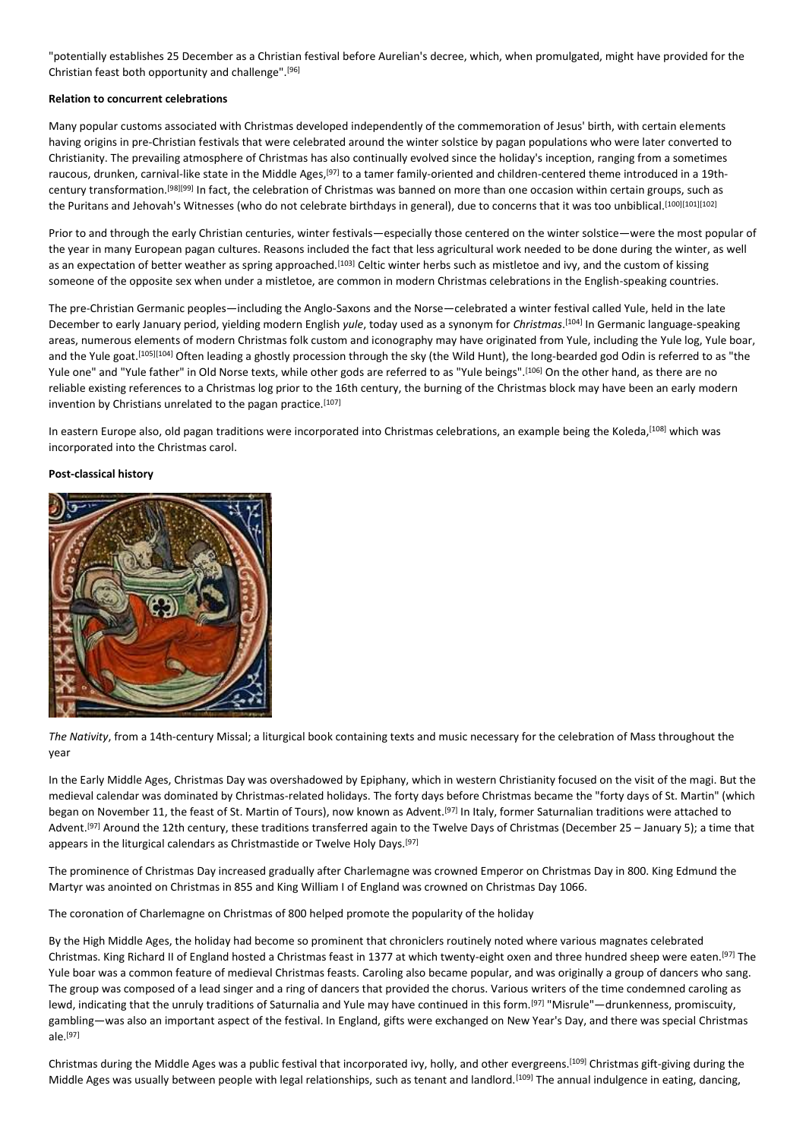"potentially establishes 25 December as a Christian festival before Aurelian's decree, which, when promulgated, might have provided for the Christian feast both opportunity and challenge".[96]

#### **Relation to concurrent celebrations**

Many popular customs associated with Christmas developed independently of the commemoration of Jesus' birth, with certain elements having origins in pre-Christian festivals that were celebrated around the winter solstice by pagan populations who were later converted to Christianity. The prevailing atmosphere of Christmas has also continually evolved since the holiday's inception, ranging from a sometimes raucous, drunken, carnival-like state in the Middle Ages,<sup>[97]</sup> to a tamer family-oriented and children-centered theme introduced in a 19thcentury transformation.[98][99] In fact, the celebration of Christmas was banned on more than one occasion within certain groups, such as the Puritans and Jehovah's Witnesses (who do not celebrate birthdays in general), due to concerns that it was too unbiblical.[100][101][102]

Prior to and through the early Christian centuries, winter festivals—especially those centered on the winter solstice—were the most popular of the year in many European pagan cultures. Reasons included the fact that less agricultural work needed to be done during the winter, as well as an expectation of better weather as spring approached.<sup>[103]</sup> Celtic winter herbs such as mistletoe and ivy, and the custom of kissing someone of the opposite sex when under a mistletoe, are common in modern Christmas celebrations in the English-speaking countries.

The pre-Christian Germanic peoples—including the Anglo-Saxons and the Norse—celebrated a winter festival called Yule, held in the late December to early January period, yielding modern English *yule*, today used as a synonym for *Christmas*. [104] In Germanic language-speaking areas, numerous elements of modern Christmas folk custom and iconography may have originated from Yule, including the Yule log, Yule boar, and the Yule goat.<sup>[105][104]</sup> Often leading a ghostly procession through the sky (the Wild Hunt), the long-bearded god Odin is referred to as "the Yule one" and "Yule father" in Old Norse texts, while other gods are referred to as "Yule beings".[106] On the other hand, as there are no reliable existing references to a Christmas log prior to the 16th century, the burning of the Christmas block may have been an early modern invention by Christians unrelated to the pagan practice.<sup>[107]</sup>

In eastern Europe also, old pagan traditions were incorporated into Christmas celebrations, an example being the Koleda, [108] which was incorporated into the Christmas carol.

#### **Post-classical history**



*The Nativity*, from a 14th-century Missal; a liturgical book containing texts and music necessary for the celebration of Mass throughout the year

In the Early Middle Ages, Christmas Day was overshadowed by Epiphany, which in western Christianity focused on the visit of the magi. But the medieval calendar was dominated by Christmas-related holidays. The forty days before Christmas became the "forty days of St. Martin" (which began on November 11, the feast of St. Martin of Tours), now known as Advent.<sup>[97]</sup> In Italy, former Saturnalian traditions were attached to Advent.[97] Around the 12th century, these traditions transferred again to the Twelve Days of Christmas (December 25 – January 5); a time that appears in the liturgical calendars as Christmastide or Twelve Holy Days.<sup>[97]</sup>

The prominence of Christmas Day increased gradually after Charlemagne was crowned Emperor on Christmas Day in 800. King Edmund the Martyr was anointed on Christmas in 855 and King William I of England was crowned on Christmas Day 1066.

The coronation of Charlemagne on Christmas of 800 helped promote the popularity of the holiday

By the High Middle Ages, the holiday had become so prominent that chroniclers routinely noted where various magnates celebrated Christmas. King Richard II of England hosted a Christmas feast in 1377 at which twenty-eight oxen and three hundred sheep were eaten.[97] The Yule boar was a common feature of medieval Christmas feasts. Caroling also became popular, and was originally a group of dancers who sang. The group was composed of a lead singer and a ring of dancers that provided the chorus. Various writers of the time condemned caroling as lewd, indicating that the unruly traditions of Saturnalia and Yule may have continued in this form.<sup>[97]</sup> "Misrule"—drunkenness, promiscuity, gambling—was also an important aspect of the festival. In England, gifts were exchanged on New Year's Day, and there was special Christmas ale.[97]

Christmas during the Middle Ages was a public festival that incorporated ivy, holly, and other evergreens.[109] Christmas gift-giving during the Middle Ages was usually between people with legal relationships, such as tenant and landlord.<sup>[109]</sup> The annual indulgence in eating, dancing,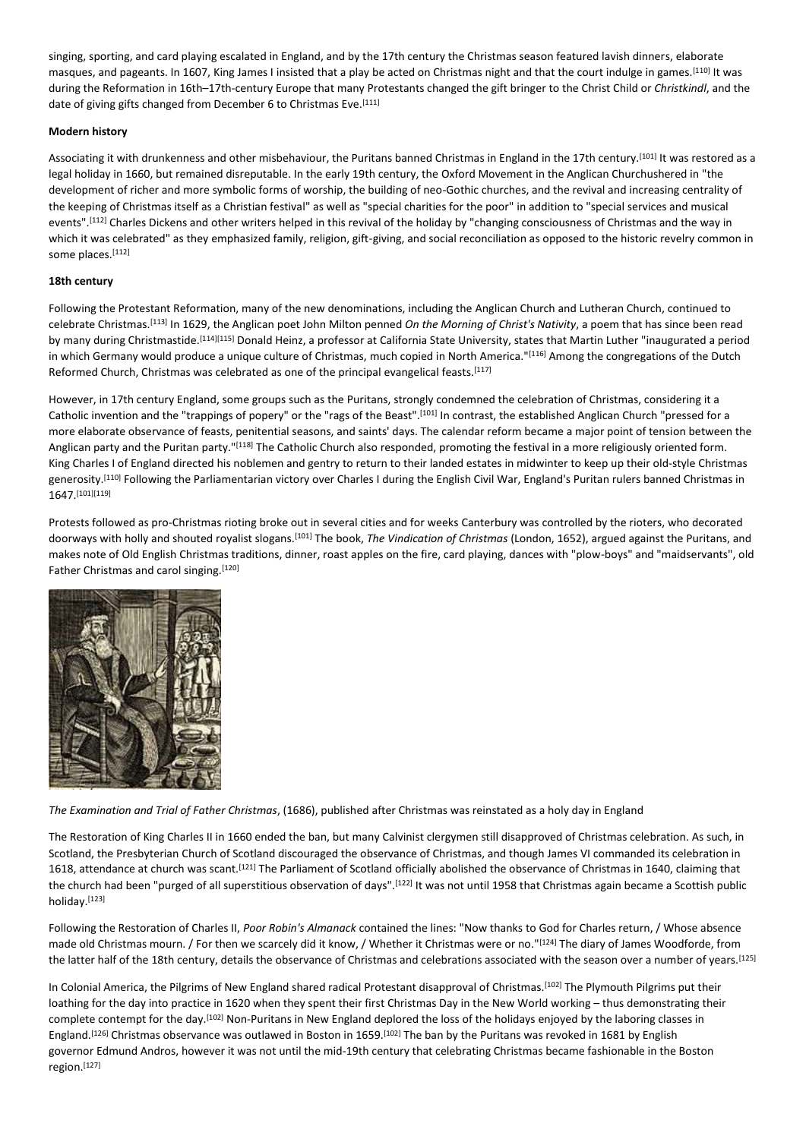singing, sporting, and card playing escalated in England, and by the 17th century the Christmas season featured lavish dinners, elaborate masques, and pageants. In 1607, King James I insisted that a play be acted on Christmas night and that the court indulge in games.[110] It was during the Reformation in 16th–17th-century Europe that many Protestants changed the gift bringer to the Christ Child or *Christkindl*, and the date of giving gifts changed from December 6 to Christmas Eve.<sup>[111]</sup>

# **Modern history**

Associating it with drunkenness and other misbehaviour, the Puritans banned Christmas in England in the 17th century.[101] It was restored as a legal holiday in 1660, but remained disreputable. In the early 19th century, the Oxford Movement in the Anglican Churchushered in "the development of richer and more symbolic forms of worship, the building of neo-Gothic churches, and the revival and increasing centrality of the keeping of Christmas itself as a Christian festival" as well as "special charities for the poor" in addition to "special services and musical events".<sup>[112]</sup> Charles Dickens and other writers helped in this revival of the holiday by "changing consciousness of Christmas and the way in which it was celebrated" as they emphasized family, religion, gift-giving, and social reconciliation as opposed to the historic revelry common in some places. [112]

# **18th century**

Following the Protestant Reformation, many of the new denominations, including the Anglican Church and Lutheran Church, continued to celebrate Christmas.[113] In 1629, the Anglican poet John Milton penned *On the Morning of Christ's Nativity*, a poem that has since been read by many during Christmastide.<sup>[114][115]</sup> Donald Heinz, a professor at California State University, states that Martin Luther "inaugurated a period in which Germany would produce a unique culture of Christmas, much copied in North America."[116] Among the congregations of the Dutch Reformed Church, Christmas was celebrated as one of the principal evangelical feasts.<sup>[117]</sup>

However, in 17th century England, some groups such as the Puritans, strongly condemned the celebration of Christmas, considering it a Catholic invention and the "trappings of popery" or the "rags of the Beast".[101] In contrast, the established Anglican Church "pressed for a more elaborate observance of feasts, penitential seasons, and saints' days. The calendar reform became a major point of tension between the Anglican party and the Puritan party."<sup>[118]</sup> The Catholic Church also responded, promoting the festival in a more religiously oriented form. King Charles I of England directed his noblemen and gentry to return to their landed estates in midwinter to keep up their old-style Christmas generosity.[110] Following the Parliamentarian victory over Charles I during the English Civil War, England's Puritan rulers banned Christmas in 1647.[101][119]

Protests followed as pro-Christmas rioting broke out in several cities and for weeks Canterbury was controlled by the rioters, who decorated doorways with holly and shouted royalist slogans.[101] The book, *The Vindication of Christmas* (London, 1652), argued against the Puritans, and makes note of Old English Christmas traditions, dinner, roast apples on the fire, card playing, dances with "plow-boys" and "maidservants", old Father Christmas and carol singing.[120]



*The Examination and Trial of Father Christmas*, (1686), published after Christmas was reinstated as a holy day in England

The Restoration of King Charles II in 1660 ended the ban, but many Calvinist clergymen still disapproved of Christmas celebration. As such, in Scotland, the Presbyterian Church of Scotland discouraged the observance of Christmas, and though James VI commanded its celebration in 1618, attendance at church was scant.[121] The Parliament of Scotland officially abolished the observance of Christmas in 1640, claiming that the church had been "purged of all superstitious observation of days".[122] It was not until 1958 that Christmas again became a Scottish public holiday.[123]

Following the Restoration of Charles II, *Poor Robin's Almanack* contained the lines: "Now thanks to God for Charles return, / Whose absence made old Christmas mourn. / For then we scarcely did it know, / Whether it Christmas were or no."[124] The diary of James Woodforde, from the latter half of the 18th century, details the observance of Christmas and celebrations associated with the season over a number of years. [125]

In Colonial America, the Pilgrims of New England shared radical Protestant disapproval of Christmas.[102] The Plymouth Pilgrims put their loathing for the day into practice in 1620 when they spent their first Christmas Day in the New World working – thus demonstrating their complete contempt for the day.[102] Non-Puritans in New England deplored the loss of the holidays enjoyed by the laboring classes in England.[126] Christmas observance was outlawed in Boston in 1659.[102] The ban by the Puritans was revoked in 1681 by English governor Edmund Andros, however it was not until the mid-19th century that celebrating Christmas became fashionable in the Boston region.[127]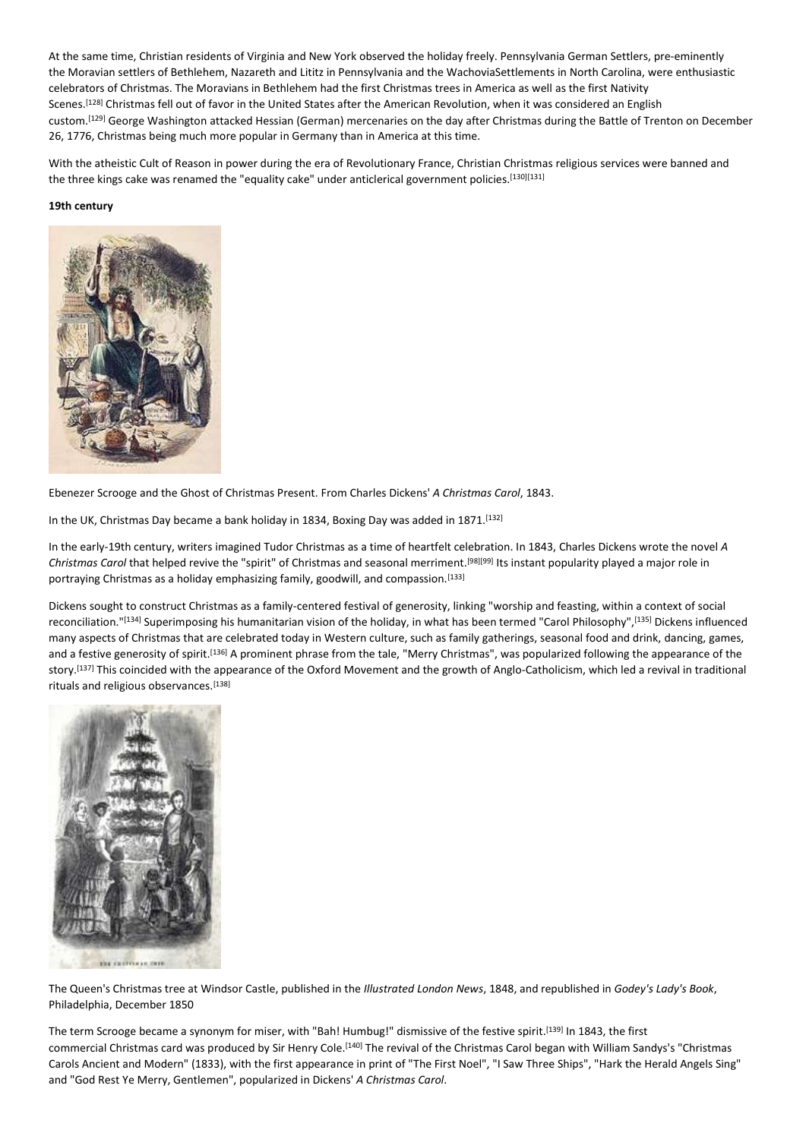At the same time, Christian residents of Virginia and New York observed the holiday freely. Pennsylvania German Settlers, pre-eminently the Moravian settlers of Bethlehem, Nazareth and Lititz in Pennsylvania and the WachoviaSettlements in North Carolina, were enthusiastic celebrators of Christmas. The Moravians in Bethlehem had the first Christmas trees in America as well as the first Nativity Scenes.[128] Christmas fell out of favor in the United States after the American Revolution, when it was considered an English custom.[129] George Washington attacked Hessian (German) mercenaries on the day after Christmas during the Battle of Trenton on December 26, 1776, Christmas being much more popular in Germany than in America at this time.

With the atheistic Cult of Reason in power during the era of Revolutionary France, Christian Christmas religious services were banned and the three kings cake was renamed the "equality cake" under anticlerical government policies.<sup>[130][131]</sup>

#### **19th century**



Ebenezer Scrooge and the Ghost of Christmas Present. From Charles Dickens' *A Christmas Carol*, 1843.

In the UK, Christmas Day became a bank holiday in 1834, Boxing Day was added in 1871.[132]

In the early-19th century, writers imagined Tudor Christmas as a time of heartfelt celebration. In 1843, Charles Dickens wrote the novel *A Christmas Carol* that helped revive the "spirit" of Christmas and seasonal merriment.[98][99] Its instant popularity played a major role in portraying Christmas as a holiday emphasizing family, goodwill, and compassion.<sup>[133]</sup>

Dickens sought to construct Christmas as a family-centered festival of generosity, linking "worship and feasting, within a context of social reconciliation."[134] Superimposing his humanitarian vision of the holiday, in what has been termed "Carol Philosophy",[135] Dickens influenced many aspects of Christmas that are celebrated today in Western culture, such as family gatherings, seasonal food and drink, dancing, games, and a festive generosity of spirit.[136] A prominent phrase from the tale, "Merry Christmas", was popularized following the appearance of the story.[137] This coincided with the appearance of the Oxford Movement and the growth of Anglo-Catholicism, which led a revival in traditional rituals and religious observances.[138]



The Queen's Christmas tree at Windsor Castle, published in the *Illustrated London News*, 1848, and republished in *Godey's Lady's Book*, Philadelphia, December 1850

The term Scrooge became a synonym for miser, with "Bah! Humbug!" dismissive of the festive spirit.[139] In 1843, the first commercial Christmas card was produced by Sir Henry Cole.<sup>[140]</sup> The revival of the Christmas Carol began with William Sandys's "Christmas Carols Ancient and Modern" (1833), with the first appearance in print of "The First Noel", "I Saw Three Ships", "Hark the Herald Angels Sing" and "God Rest Ye Merry, Gentlemen", popularized in Dickens' *A Christmas Carol*.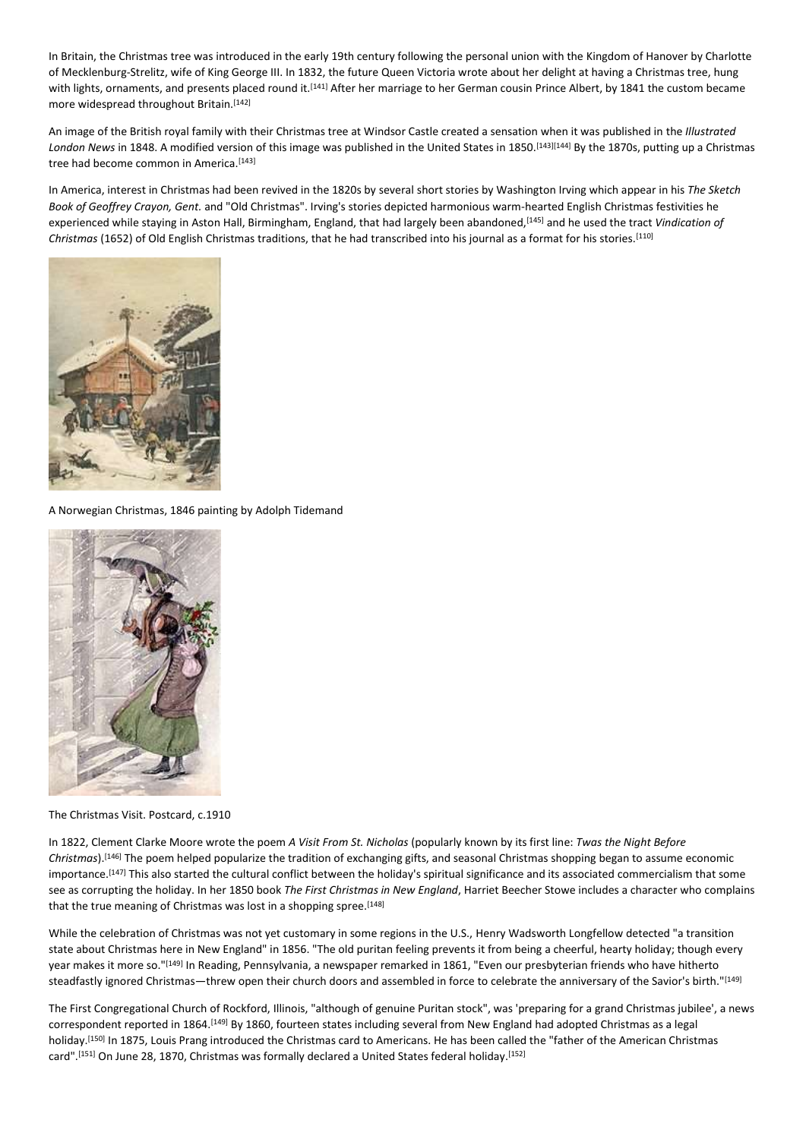In Britain, the Christmas tree was introduced in the early 19th century following the personal union with the Kingdom of Hanover by Charlotte of Mecklenburg-Strelitz, wife of King George III. In 1832, the future Queen Victoria wrote about her delight at having a Christmas tree, hung with lights, ornaments, and presents placed round it.[141] After her marriage to her German cousin Prince Albert, by 1841 the custom became more widespread throughout Britain.<sup>[142]</sup>

An image of the British royal family with their Christmas tree at Windsor Castle created a sensation when it was published in the *Illustrated London News* in 1848. A modified version of this image was published in the United States in 1850.[143][144] By the 1870s, putting up a Christmas tree had become common in America.<sup>[143]</sup>

In America, interest in Christmas had been revived in the 1820s by several short stories by Washington Irving which appear in his *The Sketch Book of Geoffrey Crayon, Gent.* and "Old Christmas". Irving's stories depicted harmonious warm-hearted English Christmas festivities he experienced while staying in Aston Hall, Birmingham, England, that had largely been abandoned,[145] and he used the tract *Vindication of Christmas* (1652) of Old English Christmas traditions, that he had transcribed into his journal as a format for his stories.[110]



A Norwegian Christmas, 1846 painting by Adolph Tidemand



The Christmas Visit. Postcard, c.1910

In 1822, Clement Clarke Moore wrote the poem *A Visit From St. Nicholas* (popularly known by its first line: *Twas the Night Before Christmas*).[146] The poem helped popularize the tradition of exchanging gifts, and seasonal Christmas shopping began to assume economic importance.<sup>[147]</sup> This also started the cultural conflict between the holiday's spiritual significance and its associated commercialism that some see as corrupting the holiday. In her 1850 book *The First Christmas in New England*, Harriet Beecher Stowe includes a character who complains that the true meaning of Christmas was lost in a shopping spree.<sup>[148]</sup>

While the celebration of Christmas was not yet customary in some regions in the U.S., Henry Wadsworth Longfellow detected "a transition state about Christmas here in New England" in 1856. "The old puritan feeling prevents it from being a cheerful, hearty holiday; though every year makes it more so."[149] In Reading, Pennsylvania, a newspaper remarked in 1861, "Even our presbyterian friends who have hitherto steadfastly ignored Christmas—threw open their church doors and assembled in force to celebrate the anniversary of the Savior's birth."[149]

The First Congregational Church of Rockford, Illinois, "although of genuine Puritan stock", was 'preparing for a grand Christmas jubilee', a news correspondent reported in 1864.[149] By 1860, fourteen states including several from New England had adopted Christmas as a legal holiday.<sup>[150]</sup> In 1875, Louis Prang introduced the Christmas card to Americans. He has been called the "father of the American Christmas card".[151] On June 28, 1870, Christmas was formally declared a United States federal holiday. [152]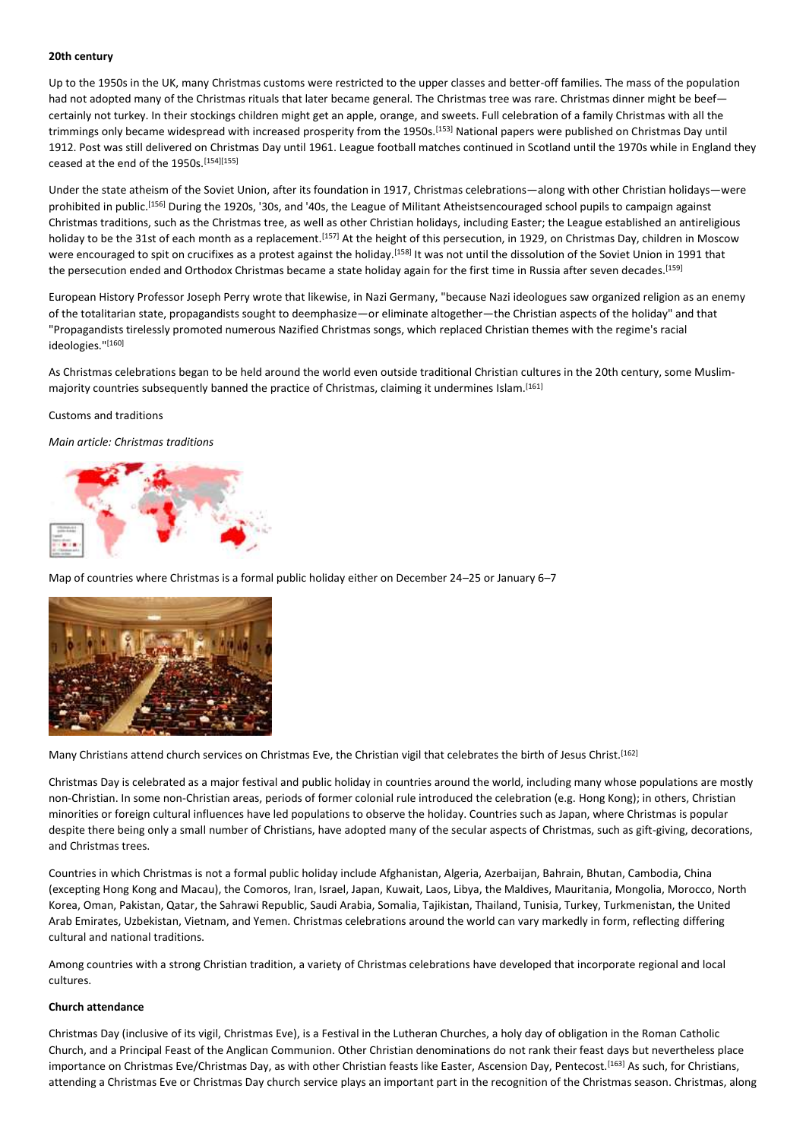#### **20th century**

Up to the 1950s in the UK, many Christmas customs were restricted to the upper classes and better-off families. The mass of the population had not adopted many of the Christmas rituals that later became general. The Christmas tree was rare. Christmas dinner might be beefcertainly not turkey. In their stockings children might get an apple, orange, and sweets. Full celebration of a family Christmas with all the trimmings only became widespread with increased prosperity from the 1950s.<sup>[153]</sup> National papers were published on Christmas Day until 1912. Post was still delivered on Christmas Day until 1961. League football matches continued in Scotland until the 1970s while in England they ceased at the end of the 1950s.[154][155]

Under the state atheism of the Soviet Union, after its foundation in 1917, Christmas celebrations—along with other Christian holidays—were prohibited in public.<sup>[156]</sup> During the 1920s, '30s, and '40s, the League of Militant Atheistsencouraged school pupils to campaign against Christmas traditions, such as the Christmas tree, as well as other Christian holidays, including Easter; the League established an antireligious holiday to be the 31st of each month as a replacement.<sup>[157]</sup> At the height of this persecution, in 1929, on Christmas Day, children in Moscow were encouraged to spit on crucifixes as a protest against the holiday.<sup>[158]</sup> It was not until the dissolution of the Soviet Union in 1991 that the persecution ended and Orthodox Christmas became a state holiday again for the first time in Russia after seven decades.[159]

European History Professor Joseph Perry wrote that likewise, in Nazi Germany, "because Nazi ideologues saw organized religion as an enemy of the totalitarian state, propagandists sought to deemphasize—or eliminate altogether—the Christian aspects of the holiday" and that "Propagandists tirelessly promoted numerous Nazified Christmas songs, which replaced Christian themes with the regime's racial ideologies."[160]

As Christmas celebrations began to be held around the world even outside traditional Christian cultures in the 20th century, some Muslimmajority countries subsequently banned the practice of Christmas, claiming it undermines Islam.<sup>[161]</sup>

#### Customs and traditions

#### *Main article: Christmas traditions*



Map of countries where Christmas is a formal public holiday either on December 24–25 or January 6–7



Many Christians attend church services on Christmas Eve, the Christian vigil that celebrates the birth of Jesus Christ.<sup>[162]</sup>

Christmas Day is celebrated as a major festival and public holiday in countries around the world, including many whose populations are mostly non-Christian. In some non-Christian areas, periods of former colonial rule introduced the celebration (e.g. Hong Kong); in others, Christian minorities or foreign cultural influences have led populations to observe the holiday. Countries such as Japan, where Christmas is popular despite there being only a small number of Christians, have adopted many of the secular aspects of Christmas, such as gift-giving, decorations, and Christmas trees.

Countries in which Christmas is not a formal public holiday include Afghanistan, Algeria, Azerbaijan, Bahrain, Bhutan, Cambodia, China (excepting Hong Kong and Macau), the Comoros, Iran, Israel, Japan, Kuwait, Laos, Libya, the Maldives, Mauritania, Mongolia, Morocco, North Korea, Oman, Pakistan, Qatar, the Sahrawi Republic, Saudi Arabia, Somalia, Tajikistan, Thailand, Tunisia, Turkey, Turkmenistan, the United Arab Emirates, Uzbekistan, Vietnam, and Yemen. Christmas celebrations around the world can vary markedly in form, reflecting differing cultural and national traditions.

Among countries with a strong Christian tradition, a variety of Christmas celebrations have developed that incorporate regional and local cultures.

### **Church attendance**

Christmas Day (inclusive of its vigil, Christmas Eve), is a Festival in the Lutheran Churches, a holy day of obligation in the Roman Catholic Church, and a Principal Feast of the Anglican Communion. Other Christian denominations do not rank their feast days but nevertheless place importance on Christmas Eve/Christmas Day, as with other Christian feasts like Easter, Ascension Day, Pentecost.<sup>[163]</sup> As such, for Christians, attending a Christmas Eve or Christmas Day church service plays an important part in the recognition of the Christmas season. Christmas, along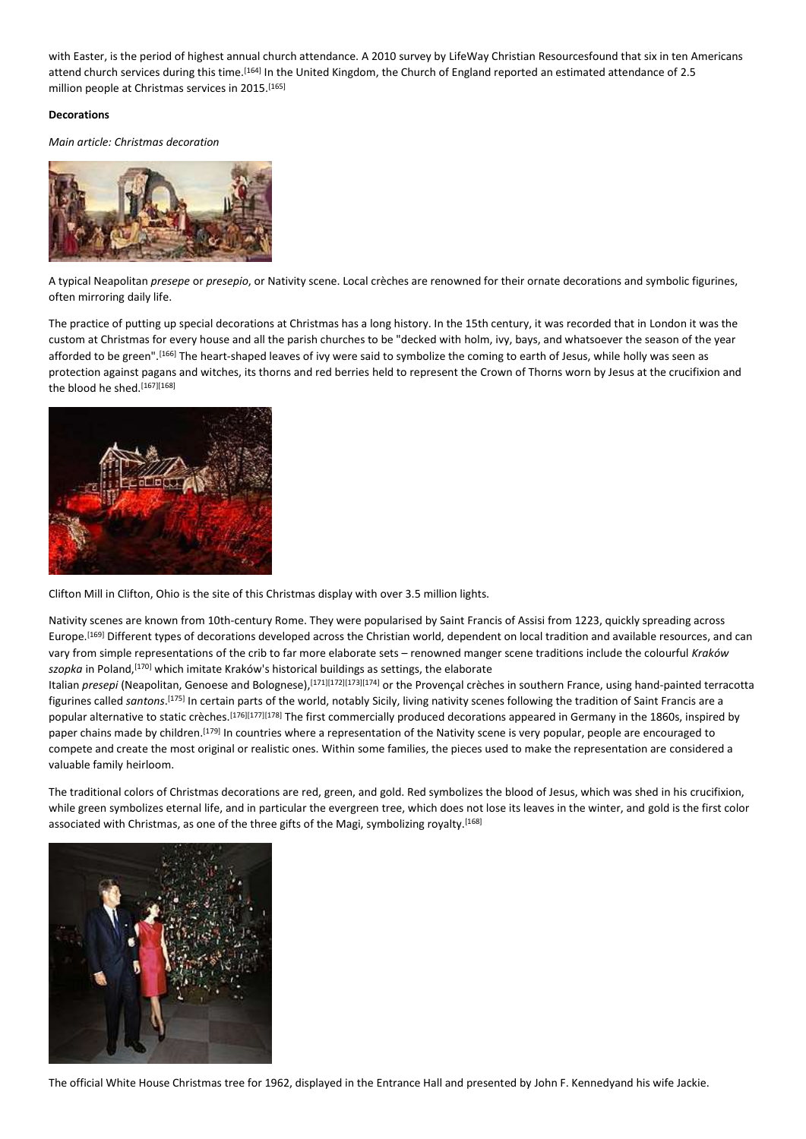with Easter, is the period of highest annual church attendance. A 2010 survey by LifeWay Christian Resourcesfound that six in ten Americans attend church services during this time.<sup>[164]</sup> In the United Kingdom, the Church of England reported an estimated attendance of 2.5 million people at Christmas services in 2015.<sup>[165]</sup>

### **Decorations**

*Main article: Christmas decoration*



A typical Neapolitan *presepe* or *presepio*, or Nativity scene. Local crèches are renowned for their ornate decorations and symbolic figurines, often mirroring daily life.

The practice of putting up special decorations at Christmas has a long history. In the 15th century, it was recorded that in London it was the custom at Christmas for every house and all the parish churches to be "decked with holm, ivy, bays, and whatsoever the season of the year afforded to be green".<sup>[166]</sup> The heart-shaped leaves of ivy were said to symbolize the coming to earth of Jesus, while holly was seen as protection against pagans and witches, its thorns and red berries held to represent the Crown of Thorns worn by Jesus at the crucifixion and the blood he shed.<sup>[167][168]</sup>



Clifton Mill in Clifton, Ohio is the site of this Christmas display with over 3.5 million lights.

Nativity scenes are known from 10th-century Rome. They were popularised by Saint Francis of Assisi from 1223, quickly spreading across Europe.[169] Different types of decorations developed across the Christian world, dependent on local tradition and available resources, and can vary from simple representations of the crib to far more elaborate sets – renowned manger scene traditions include the colourful *Kraków szopka* in Poland,[170] which imitate Kraków's historical buildings as settings, the elaborate

Italian *presepi* (Neapolitan, Genoese and Bolognese),<sup>[171][172][173][174] or the Provençal crèches in southern France, using hand-painted terracotta</sup> figurines called *santons*. [175] In certain parts of the world, notably Sicily, living nativity scenes following the tradition of Saint Francis are a popular alternative to static crèches.<sup>[176][177][178]</sup> The first commercially produced decorations appeared in Germany in the 1860s, inspired by paper chains made by children.<sup>[179]</sup> In countries where a representation of the Nativity scene is very popular, people are encouraged to compete and create the most original or realistic ones. Within some families, the pieces used to make the representation are considered a valuable family heirloom.

The traditional colors of Christmas decorations are red, green, and gold. Red symbolizes the blood of Jesus, which was shed in his crucifixion, while green symbolizes eternal life, and in particular the evergreen tree, which does not lose its leaves in the winter, and gold is the first color associated with Christmas, as one of the three gifts of the Magi, symbolizing royalty.[168]



The official White House Christmas tree for 1962, displayed in the Entrance Hall and presented by John F. Kennedyand his wife Jackie.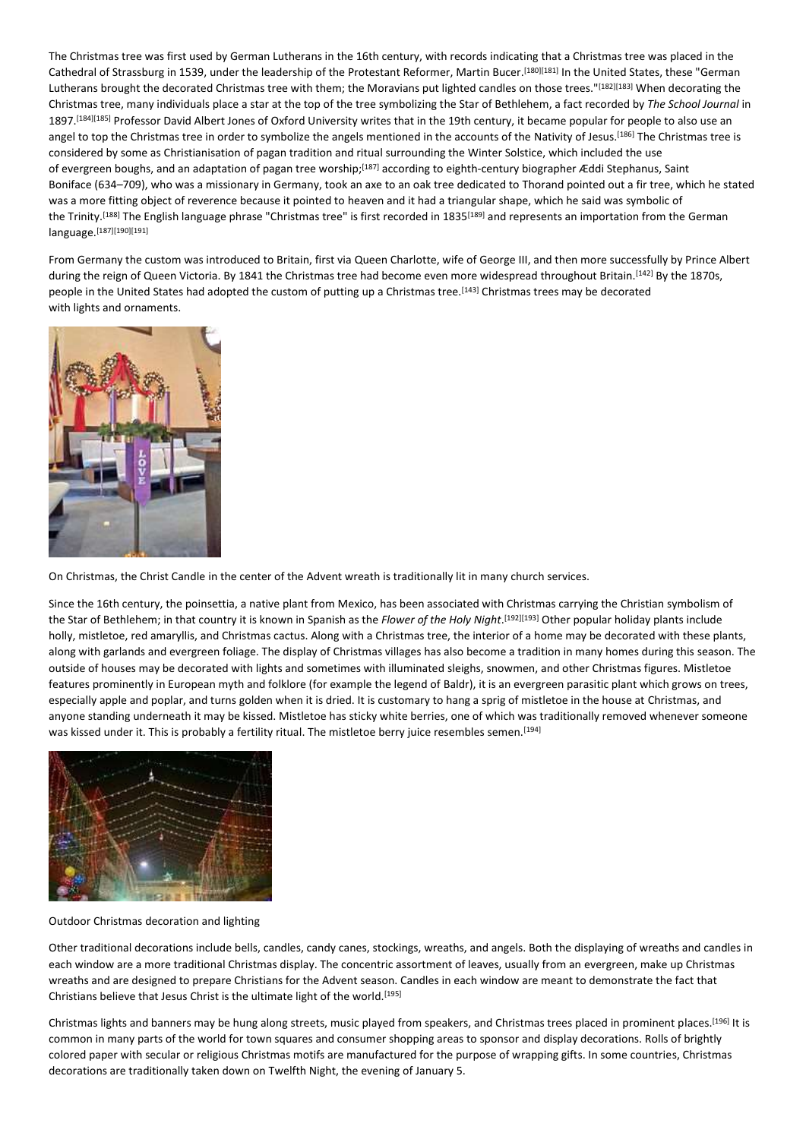The Christmas tree was first used by German Lutherans in the 16th century, with records indicating that a Christmas tree was placed in the Cathedral of Strassburg in 1539, under the leadership of the Protestant Reformer, Martin Bucer. [180][181] In the United States, these "German Lutherans brought the decorated Christmas tree with them; the Moravians put lighted candles on those trees."[182][183] When decorating the Christmas tree, many individuals place a star at the top of the tree symbolizing the Star of Bethlehem, a fact recorded by *The School Journal* in 1897.<sup>[184][185]</sup> Professor David Albert Jones of Oxford University writes that in the 19th century, it became popular for people to also use an angel to top the Christmas tree in order to symbolize the angels mentioned in the accounts of the Nativity of Jesus.<sup>[186]</sup> The Christmas tree is considered by some as Christianisation of pagan tradition and ritual surrounding the Winter Solstice, which included the use of evergreen boughs, and an adaptation of pagan tree worship;<sup>[187]</sup> according to eighth-century biographer Æddi Stephanus, Saint Boniface (634–709), who was a missionary in Germany, took an axe to an oak tree dedicated to Thorand pointed out a fir tree, which he stated was a more fitting object of reverence because it pointed to heaven and it had a triangular shape, which he said was symbolic of the Trinity.<sup>[188]</sup> The English language phrase "Christmas tree" is first recorded in 1835<sup>[189]</sup> and represents an importation from the German language. [187][190][191]

From Germany the custom was introduced to Britain, first via Queen Charlotte, wife of George III, and then more successfully by Prince Albert during the reign of Queen Victoria. By 1841 the Christmas tree had become even more widespread throughout Britain.<sup>[142]</sup> By the 1870s, people in the United States had adopted the custom of putting up a Christmas tree.<sup>[143]</sup> Christmas trees may be decorated with lights and ornaments.



On Christmas, the Christ Candle in the center of the Advent wreath is traditionally lit in many church services.

Since the 16th century, the poinsettia, a native plant from Mexico, has been associated with Christmas carrying the Christian symbolism of the Star of Bethlehem; in that country it is known in Spanish as the *Flower of the Holy Night*. [192][193] Other popular holiday plants include holly, mistletoe, red amaryllis, and Christmas cactus. Along with a Christmas tree, the interior of a home may be decorated with these plants, along with garlands and evergreen foliage. The display of Christmas villages has also become a tradition in many homes during this season. The outside of houses may be decorated with lights and sometimes with illuminated sleighs, snowmen, and other Christmas figures. Mistletoe features prominently in European myth and folklore (for example the legend of Baldr), it is an evergreen parasitic plant which grows on trees, especially apple and poplar, and turns golden when it is dried. It is customary to hang a sprig of mistletoe in the house at Christmas, and anyone standing underneath it may be kissed. Mistletoe has sticky white berries, one of which was traditionally removed whenever someone was kissed under it. This is probably a fertility ritual. The mistletoe berry juice resembles semen.[194]



Outdoor Christmas decoration and lighting

Other traditional decorations include bells, candles, candy canes, stockings, wreaths, and angels. Both the displaying of wreaths and candles in each window are a more traditional Christmas display. The concentric assortment of leaves, usually from an evergreen, make up Christmas wreaths and are designed to prepare Christians for the Advent season. Candles in each window are meant to demonstrate the fact that Christians believe that Jesus Christ is the ultimate light of the world.[195]

Christmas lights and banners may be hung along streets, music played from speakers, and Christmas trees placed in prominent places.[196] It is common in many parts of the world for town squares and consumer shopping areas to sponsor and display decorations. Rolls of brightly colored paper with secular or religious Christmas motifs are manufactured for the purpose of wrapping gifts. In some countries, Christmas decorations are traditionally taken down on Twelfth Night, the evening of January 5.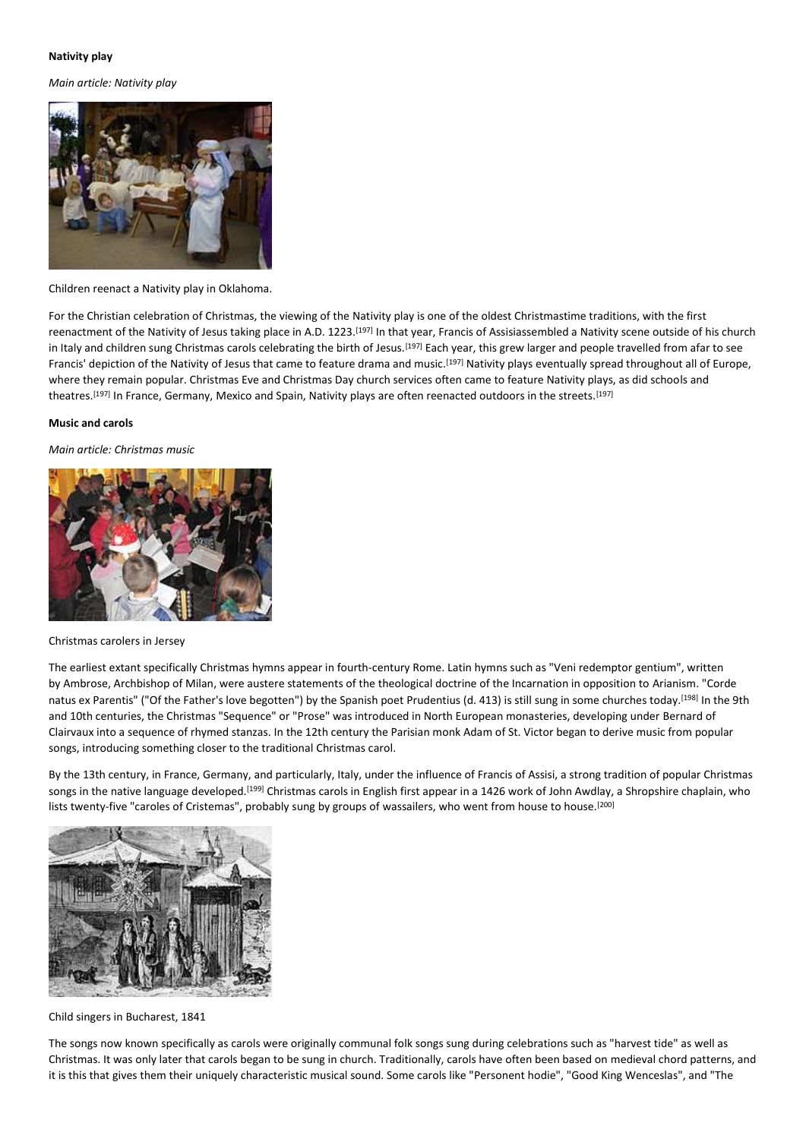#### **Nativity play**

*Main article: Nativity play*



Children reenact a Nativity play in Oklahoma.

For the Christian celebration of Christmas, the viewing of the Nativity play is one of the oldest Christmastime traditions, with the first reenactment of the Nativity of Jesus taking place in A.D. 1223.<sup>[197]</sup> In that year, Francis of Assisiassembled a Nativity scene outside of his church in Italy and children sung Christmas carols celebrating the birth of Jesus.<sup>[197]</sup> Each year, this grew larger and people travelled from afar to see Francis' depiction of the Nativity of Jesus that came to feature drama and music.<sup>[197]</sup> Nativity plays eventually spread throughout all of Europe, where they remain popular. Christmas Eve and Christmas Day church services often came to feature Nativity plays, as did schools and theatres.<sup>[197]</sup> In France, Germany, Mexico and Spain, Nativity plays are often reenacted outdoors in the streets.<sup>[197]</sup>

### **Music and carols**

### *Main article: Christmas music*



### Christmas carolers in Jersey

The earliest extant specifically Christmas hymns appear in fourth-century Rome. Latin hymns such as "Veni redemptor gentium", written by Ambrose, Archbishop of Milan, were austere statements of the theological doctrine of the Incarnation in opposition to Arianism. "Corde natus ex Parentis" ("Of the Father's love begotten") by the Spanish poet Prudentius (d. 413) is still sung in some churches today.<sup>[198]</sup> In the 9th and 10th centuries, the Christmas "Sequence" or "Prose" was introduced in North European monasteries, developing under Bernard of Clairvaux into a sequence of rhymed stanzas. In the 12th century the Parisian monk Adam of St. Victor began to derive music from popular songs, introducing something closer to the traditional Christmas carol.

By the 13th century, in France, Germany, and particularly, Italy, under the influence of Francis of Assisi, a strong tradition of popular Christmas songs in the native language developed.<sup>[199]</sup> Christmas carols in English first appear in a 1426 work of John Awdlay, a Shropshire chaplain, who lists twenty-five "caroles of Cristemas", probably sung by groups of wassailers, who went from house to house.<sup>[200]</sup>



Child singers in Bucharest, 1841

The songs now known specifically as carols were originally communal folk songs sung during celebrations such as "harvest tide" as well as Christmas. It was only later that carols began to be sung in church. Traditionally, carols have often been based on medieval chord patterns, and it is this that gives them their uniquely characteristic musical sound. Some carols like "Personent hodie", "Good King Wenceslas", and "The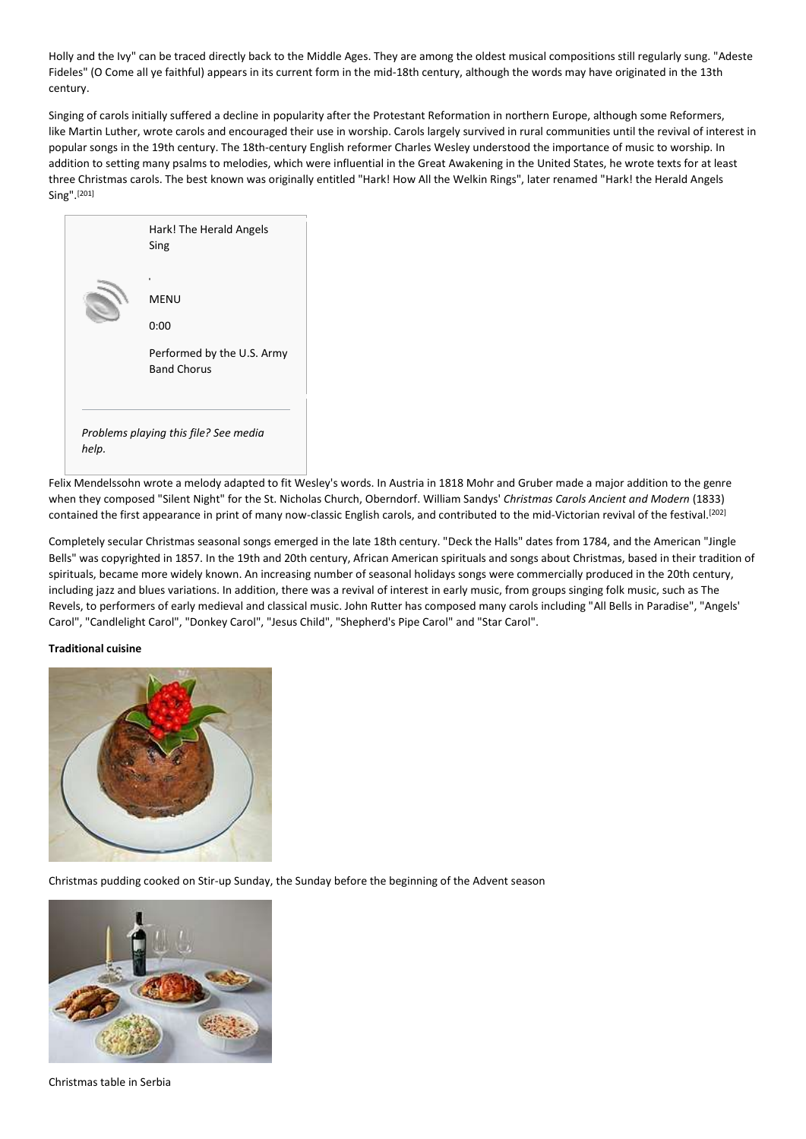Holly and the Ivy" can be traced directly back to the Middle Ages. They are among the oldest musical compositions still regularly sung. "Adeste Fideles" (O Come all ye faithful) appears in its current form in the mid-18th century, although the words may have originated in the 13th century.

Singing of carols initially suffered a decline in popularity after the Protestant Reformation in northern Europe, although some Reformers, like Martin Luther, wrote carols and encouraged their use in worship. Carols largely survived in rural communities until the revival of interest in popular songs in the 19th century. The 18th-century English reformer Charles Wesley understood the importance of music to worship. In addition to setting many psalms to melodies, which were influential in the Great Awakening in the United States, he wrote texts for at least three Christmas carols. The best known was originally entitled "Hark! How All the Welkin Rings", later renamed "Hark! the Herald Angels Sing".[201]

| ٠<br>MENU                                        |
|--------------------------------------------------|
| 0:00                                             |
| Performed by the U.S. Army<br><b>Band Chorus</b> |
|                                                  |

Felix Mendelssohn wrote a melody adapted to fit Wesley's words. In Austria in 1818 Mohr and Gruber made a major addition to the genre when they composed "Silent Night" for the St. Nicholas Church, Oberndorf. William Sandys' *Christmas Carols Ancient and Modern* (1833) contained the first appearance in print of many now-classic English carols, and contributed to the mid-Victorian revival of the festival.[202]

Completely secular Christmas seasonal songs emerged in the late 18th century. "Deck the Halls" dates from 1784, and the American "Jingle Bells" was copyrighted in 1857. In the 19th and 20th century, African American spirituals and songs about Christmas, based in their tradition of spirituals, became more widely known. An increasing number of seasonal holidays songs were commercially produced in the 20th century, including jazz and blues variations. In addition, there was a revival of interest in early music, from groups singing folk music, such as The Revels, to performers of early medieval and classical music. John Rutter has composed many carols including "All Bells in Paradise", "Angels' Carol", "Candlelight Carol", "Donkey Carol", "Jesus Child", "Shepherd's Pipe Carol" and "Star Carol".

### **Traditional cuisine**



Christmas pudding cooked on Stir-up Sunday, the Sunday before the beginning of the Advent season



Christmas table in Serbia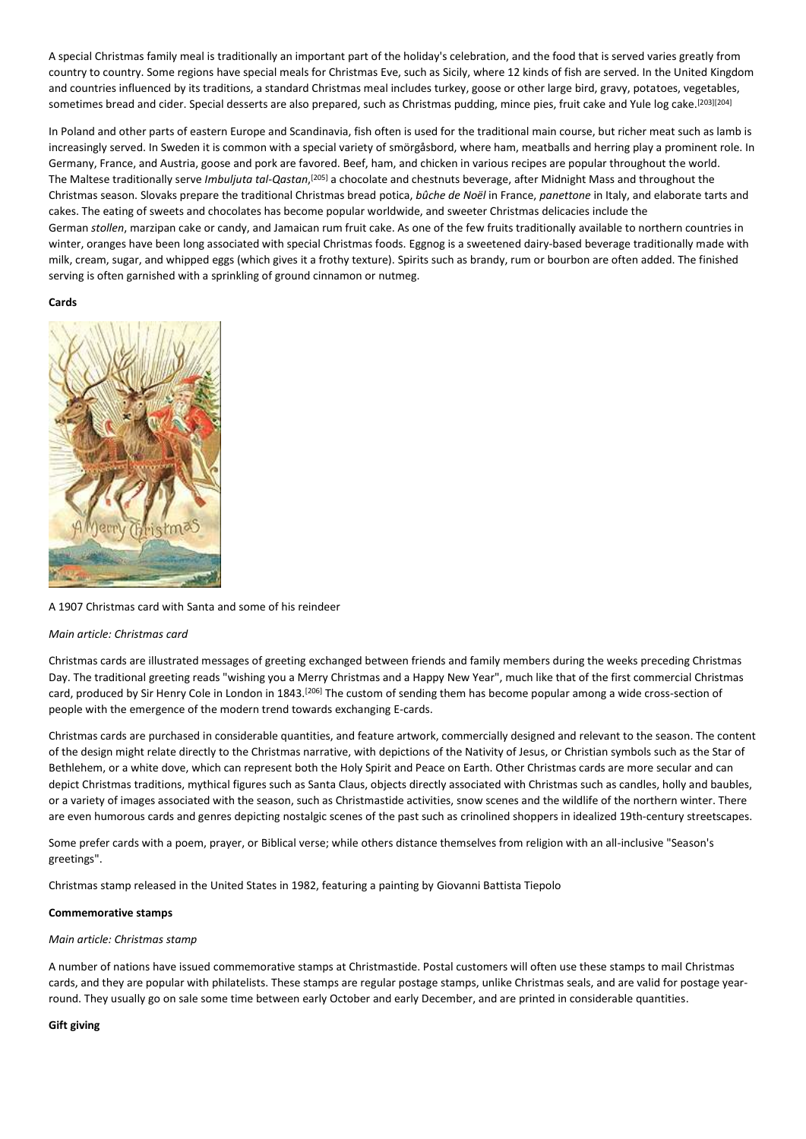A special Christmas family meal is traditionally an important part of the holiday's celebration, and the food that is served varies greatly from country to country. Some regions have special meals for Christmas Eve, such as Sicily, where 12 kinds of fish are served. In the United Kingdom and countries influenced by its traditions, a standard Christmas meal includes turkey, goose or other large bird, gravy, potatoes, vegetables, sometimes bread and cider. Special desserts are also prepared, such as Christmas pudding, mince pies, fruit cake and Yule log cake.<sup>[203][204]</sup>

In Poland and other parts of eastern Europe and Scandinavia, fish often is used for the traditional main course, but richer meat such as lamb is increasingly served. In Sweden it is common with a special variety of smörgåsbord, where ham, meatballs and herring play a prominent role. In Germany, France, and Austria, goose and pork are favored. Beef, ham, and chicken in various recipes are popular throughout the world. The Maltese traditionally serve *Imbuljuta tal-Qastan*, [205] a chocolate and chestnuts beverage, after Midnight Mass and throughout the Christmas season. Slovaks prepare the traditional Christmas bread potica, *bûche de Noël* in France, *panettone* in Italy, and elaborate tarts and cakes. The eating of sweets and chocolates has become popular worldwide, and sweeter Christmas delicacies include the German *stollen*, marzipan cake or candy, and Jamaican rum fruit cake. As one of the few fruits traditionally available to northern countries in winter, oranges have been long associated with special Christmas foods. Eggnog is a sweetened dairy-based beverage traditionally made with milk, cream, sugar, and whipped eggs (which gives it a frothy texture). Spirits such as brandy, rum or bourbon are often added. The finished serving is often garnished with a sprinkling of ground cinnamon or nutmeg.

#### **Cards**



#### A 1907 Christmas card with Santa and some of his reindeer

#### *Main article: Christmas card*

Christmas cards are illustrated messages of greeting exchanged between friends and family members during the weeks preceding Christmas Day. The traditional greeting reads "wishing you a Merry Christmas and a Happy New Year", much like that of the first commercial Christmas card, produced by Sir Henry Cole in London in 1843.<sup>[206]</sup> The custom of sending them has become popular among a wide cross-section of people with the emergence of the modern trend towards exchanging E-cards.

Christmas cards are purchased in considerable quantities, and feature artwork, commercially designed and relevant to the season. The content of the design might relate directly to the Christmas narrative, with depictions of the Nativity of Jesus, or Christian symbols such as the Star of Bethlehem, or a white dove, which can represent both the Holy Spirit and Peace on Earth. Other Christmas cards are more secular and can depict Christmas traditions, mythical figures such as Santa Claus, objects directly associated with Christmas such as candles, holly and baubles, or a variety of images associated with the season, such as Christmastide activities, snow scenes and the wildlife of the northern winter. There are even humorous cards and genres depicting nostalgic scenes of the past such as crinolined shoppers in idealized 19th-century streetscapes.

Some prefer cards with a poem, prayer, or Biblical verse; while others distance themselves from religion with an all-inclusive "Season's greetings".

Christmas stamp released in the United States in 1982, featuring a painting by Giovanni Battista Tiepolo

#### **Commemorative stamps**

#### *Main article: Christmas stamp*

A number of nations have issued commemorative stamps at Christmastide. Postal customers will often use these stamps to mail Christmas cards, and they are popular with philatelists. These stamps are regular postage stamps, unlike Christmas seals, and are valid for postage yearround. They usually go on sale some time between early October and early December, and are printed in considerable quantities.

### **Gift giving**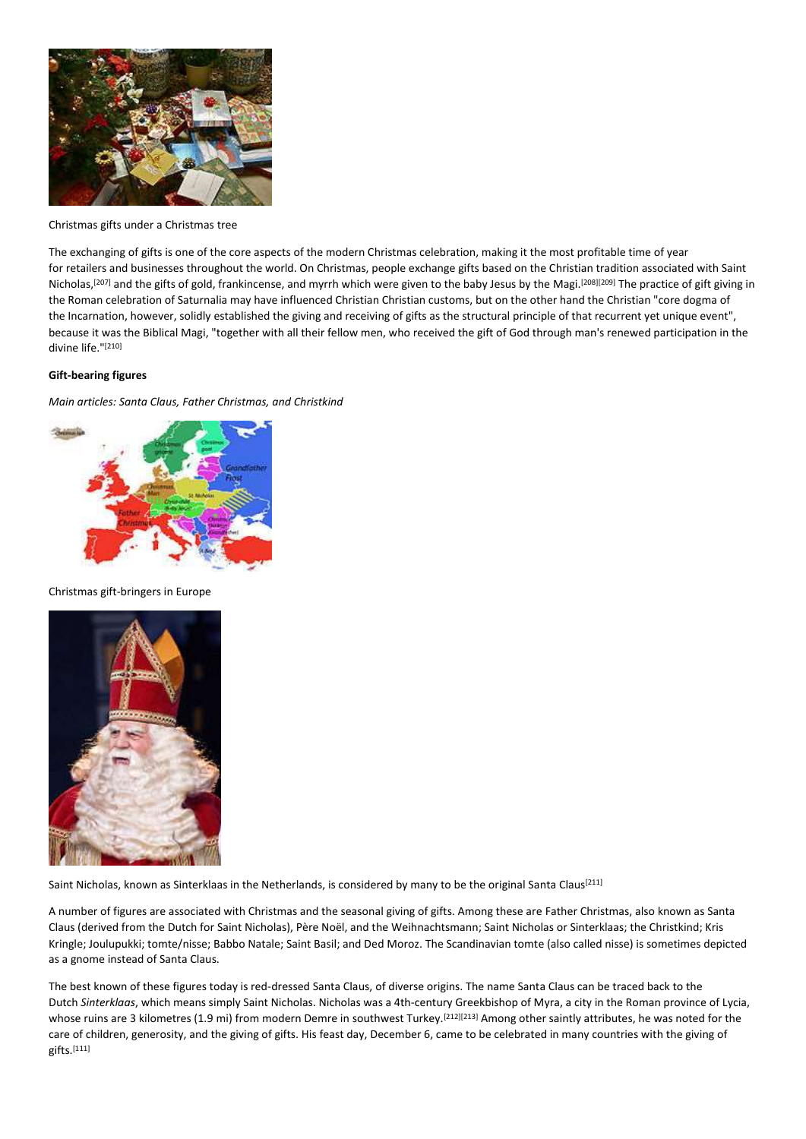

Christmas gifts under a Christmas tree

The exchanging of gifts is one of the core aspects of the modern Christmas celebration, making it the most profitable time of year for retailers and businesses throughout the world. On Christmas, people exchange gifts based on the Christian tradition associated with Saint Nicholas,<sup>[207]</sup> and the gifts of gold, frankincense, and myrrh which were given to the baby Jesus by the Magi.<sup>[208][209]</sup> The practice of gift giving in the Roman celebration of Saturnalia may have influenced Christian Christian customs, but on the other hand the Christian "core dogma of the Incarnation, however, solidly established the giving and receiving of gifts as the structural principle of that recurrent yet unique event", because it was the Biblical Magi, "together with all their fellow men, who received the gift of God through man's renewed participation in the divine life."[210]

# **Gift-bearing figures**

*Main articles: Santa Claus, Father Christmas, and Christkind*



Christmas gift-bringers in Europe



Saint Nicholas, known as Sinterklaas in the Netherlands, is considered by many to be the original Santa Claus<sup>[211]</sup>

A number of figures are associated with Christmas and the seasonal giving of gifts. Among these are Father Christmas, also known as Santa Claus (derived from the Dutch for Saint Nicholas), Père Noël, and the Weihnachtsmann; Saint Nicholas or Sinterklaas; the Christkind; Kris Kringle; Joulupukki; tomte/nisse; Babbo Natale; Saint Basil; and Ded Moroz. The Scandinavian tomte (also called nisse) is sometimes depicted as a gnome instead of Santa Claus.

The best known of these figures today is red-dressed Santa Claus, of diverse origins. The name Santa Claus can be traced back to the Dutch *Sinterklaas*, which means simply Saint Nicholas. Nicholas was a 4th-century Greekbishop of Myra, a city in the Roman province of Lycia, whose ruins are 3 kilometres (1.9 mi) from modern Demre in southwest Turkey.<sup>[212][213]</sup> Among other saintly attributes, he was noted for the care of children, generosity, and the giving of gifts. His feast day, December 6, came to be celebrated in many countries with the giving of gifts.[111]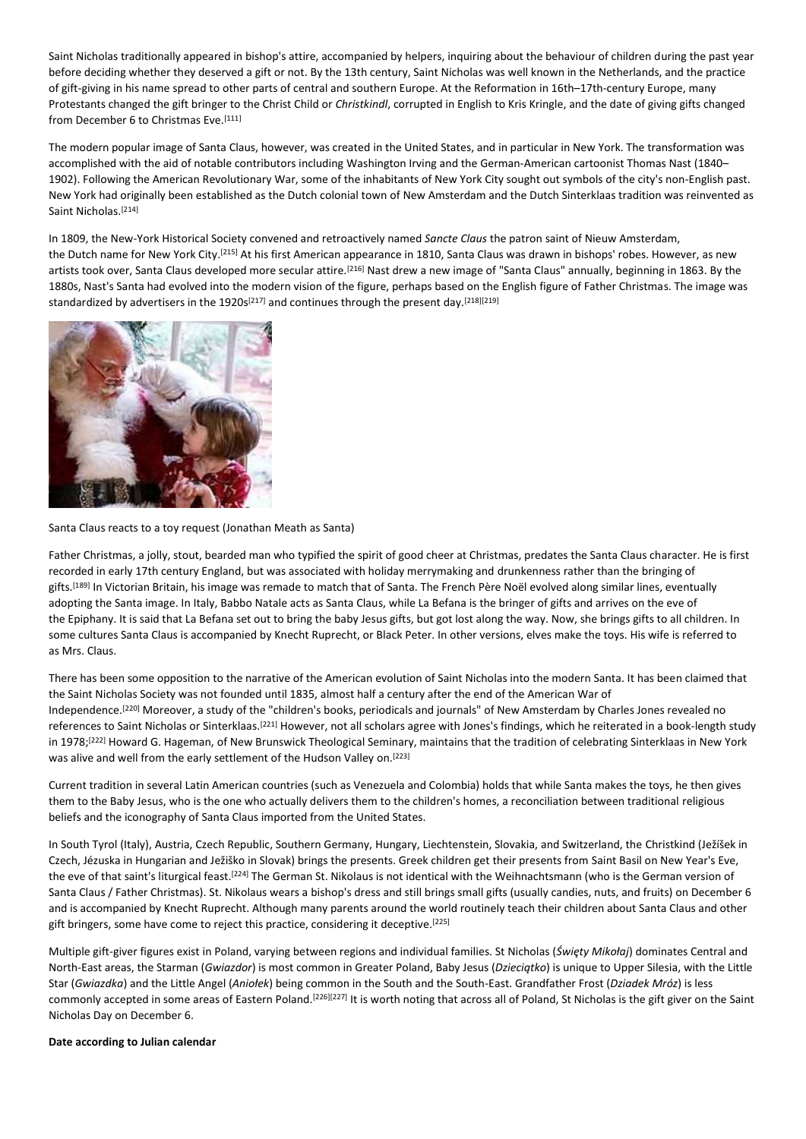Saint Nicholas traditionally appeared in bishop's attire, accompanied by helpers, inquiring about the behaviour of children during the past year before deciding whether they deserved a gift or not. By the 13th century, Saint Nicholas was well known in the Netherlands, and the practice of gift-giving in his name spread to other parts of central and southern Europe. At the Reformation in 16th–17th-century Europe, many Protestants changed the gift bringer to the Christ Child or *Christkindl*, corrupted in English to Kris Kringle, and the date of giving gifts changed from December 6 to Christmas Eve.[111]

The modern popular image of Santa Claus, however, was created in the United States, and in particular in New York. The transformation was accomplished with the aid of notable contributors including Washington Irving and the German-American cartoonist Thomas Nast (1840– 1902). Following the American Revolutionary War, some of the inhabitants of New York City sought out symbols of the city's non-English past. New York had originally been established as the Dutch colonial town of New Amsterdam and the Dutch Sinterklaas tradition was reinvented as Saint Nicholas.[214]

In 1809, the New-York Historical Society convened and retroactively named *Sancte Claus* the patron saint of Nieuw Amsterdam, the Dutch name for New York City.<sup>[215]</sup> At his first American appearance in 1810, Santa Claus was drawn in bishops' robes. However, as new artists took over, Santa Claus developed more secular attire.<sup>[216]</sup> Nast drew a new image of "Santa Claus" annually, beginning in 1863. By the 1880s, Nast's Santa had evolved into the modern vision of the figure, perhaps based on the English figure of Father Christmas. The image was standardized by advertisers in the 1920s<sup>[217]</sup> and continues through the present day.<sup>[218][219]</sup>



Santa Claus reacts to a toy request (Jonathan Meath as Santa)

Father Christmas, a jolly, stout, bearded man who typified the spirit of good cheer at Christmas, predates the Santa Claus character. He is first recorded in early 17th century England, but was associated with holiday merrymaking and drunkenness rather than the bringing of gifts.<sup>[189]</sup> In Victorian Britain, his image was remade to match that of Santa. The French Père Noël evolved along similar lines, eventually adopting the Santa image. In Italy, Babbo Natale acts as Santa Claus, while La Befana is the bringer of gifts and arrives on the eve of the Epiphany. It is said that La Befana set out to bring the baby Jesus gifts, but got lost along the way. Now, she brings gifts to all children. In some cultures Santa Claus is accompanied by Knecht Ruprecht, or Black Peter. In other versions, elves make the toys. His wife is referred to as Mrs. Claus.

There has been some opposition to the narrative of the American evolution of Saint Nicholas into the modern Santa. It has been claimed that the Saint Nicholas Society was not founded until 1835, almost half a century after the end of the American War of Independence.[220] Moreover, a study of the "children's books, periodicals and journals" of New Amsterdam by Charles Jones revealed no references to Saint Nicholas or Sinterklaas.[221] However, not all scholars agree with Jones's findings, which he reiterated in a book-length study in 1978;<sup>[222]</sup> Howard G. Hageman, of New Brunswick Theological Seminary, maintains that the tradition of celebrating Sinterklaas in New York was alive and well from the early settlement of the Hudson Valley on.<sup>[223]</sup>

Current tradition in several Latin American countries (such as Venezuela and Colombia) holds that while Santa makes the toys, he then gives them to the Baby Jesus, who is the one who actually delivers them to the children's homes, a reconciliation between traditional religious beliefs and the iconography of Santa Claus imported from the United States.

In South Tyrol (Italy), Austria, Czech Republic, Southern Germany, Hungary, Liechtenstein, Slovakia, and Switzerland, the Christkind (Ježíšek in Czech, Jézuska in Hungarian and Ježiško in Slovak) brings the presents. Greek children get their presents from Saint Basil on New Year's Eve, the eve of that saint's liturgical feast.<sup>[224]</sup> The German St. Nikolaus is not identical with the Weihnachtsmann (who is the German version of Santa Claus / Father Christmas). St. Nikolaus wears a bishop's dress and still brings small gifts (usually candies, nuts, and fruits) on December 6 and is accompanied by Knecht Ruprecht. Although many parents around the world routinely teach their children about Santa Claus and other gift bringers, some have come to reject this practice, considering it deceptive.[225]

Multiple gift-giver figures exist in Poland, varying between regions and individual families. St Nicholas (*Święty Mikołaj*) dominates Central and North-East areas, the Starman (*Gwiazdor*) is most common in Greater Poland, Baby Jesus (*Dzieciątko*) is unique to Upper Silesia, with the Little Star (*Gwiazdka*) and the Little Angel (*Aniołek*) being common in the South and the South-East. Grandfather Frost (*Dziadek Mróz*) is less commonly accepted in some areas of Eastern Poland.<sup>[226][227]</sup> It is worth noting that across all of Poland, St Nicholas is the gift giver on the Saint Nicholas Day on December 6.

### **Date according to Julian calendar**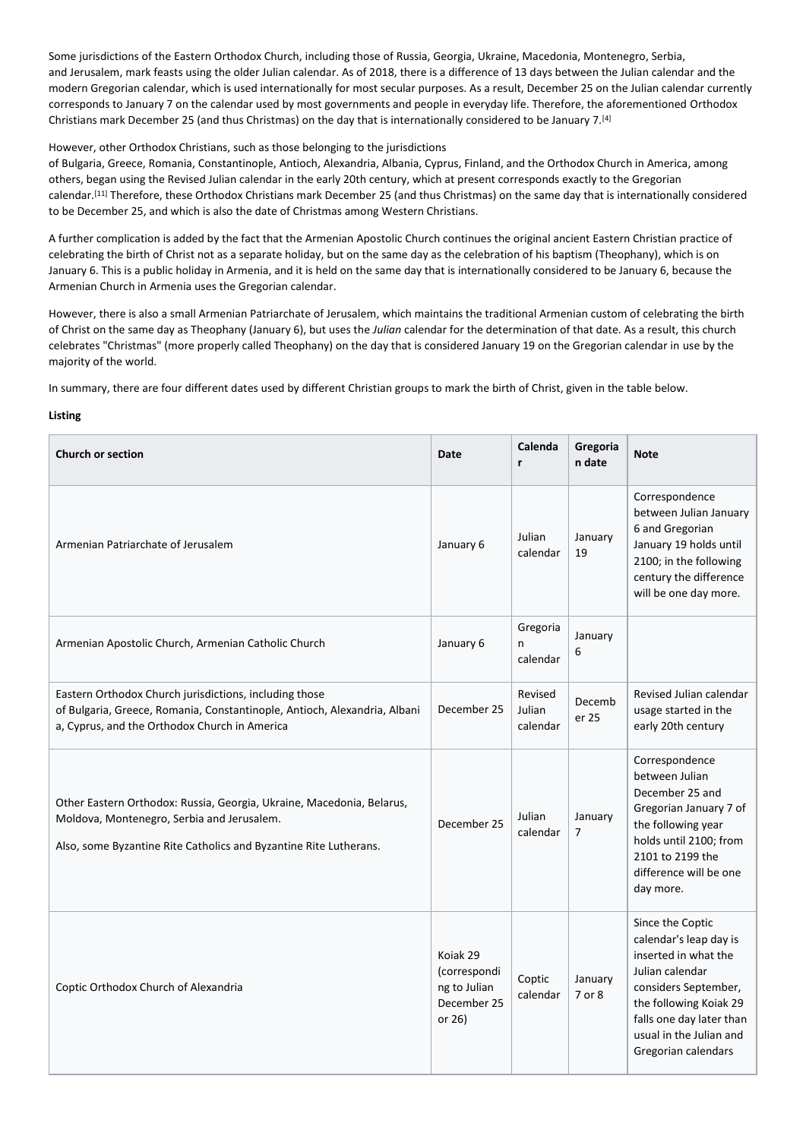Some jurisdictions of the Eastern Orthodox Church, including those of Russia, Georgia, Ukraine, Macedonia, Montenegro, Serbia, and Jerusalem, mark feasts using the older Julian calendar. As of 2018, there is a difference of 13 days between the Julian calendar and the modern Gregorian calendar, which is used internationally for most secular purposes. As a result, December 25 on the Julian calendar currently corresponds to January 7 on the calendar used by most governments and people in everyday life. Therefore, the aforementioned Orthodox Christians mark December 25 (and thus Christmas) on the day that is internationally considered to be January 7.[4]

### However, other Orthodox Christians, such as those belonging to the jurisdictions

of Bulgaria, Greece, Romania, Constantinople, Antioch, Alexandria, Albania, Cyprus, Finland, and the Orthodox Church in America, among others, began using the Revised Julian calendar in the early 20th century, which at present corresponds exactly to the Gregorian calendar.<sup>[11]</sup> Therefore, these Orthodox Christians mark December 25 (and thus Christmas) on the same day that is internationally considered to be December 25, and which is also the date of Christmas among Western Christians.

A further complication is added by the fact that the Armenian Apostolic Church continues the original ancient Eastern Christian practice of celebrating the birth of Christ not as a separate holiday, but on the same day as the celebration of his baptism (Theophany), which is on January 6. This is a public holiday in Armenia, and it is held on the same day that is internationally considered to be January 6, because the Armenian Church in Armenia uses the Gregorian calendar.

However, there is also a small Armenian Patriarchate of Jerusalem, which maintains the traditional Armenian custom of celebrating the birth of Christ on the same day as Theophany (January 6), but uses the *Julian* calendar for the determination of that date. As a result, this church celebrates "Christmas" (more properly called Theophany) on the day that is considered January 19 on the Gregorian calendar in use by the majority of the world.

In summary, there are four different dates used by different Christian groups to mark the birth of Christ, given in the table below.

### **Listing**

| <b>Church or section</b>                                                                                                                                                                 | Date                                                              | Calenda<br>r                  | Gregoria<br>n date | <b>Note</b>                                                                                                                                                                                                           |
|------------------------------------------------------------------------------------------------------------------------------------------------------------------------------------------|-------------------------------------------------------------------|-------------------------------|--------------------|-----------------------------------------------------------------------------------------------------------------------------------------------------------------------------------------------------------------------|
| Armenian Patriarchate of Jerusalem                                                                                                                                                       | January 6                                                         | Julian<br>calendar            | January<br>19      | Correspondence<br>between Julian January<br>6 and Gregorian<br>January 19 holds until<br>2100; in the following<br>century the difference<br>will be one day more.                                                    |
| Armenian Apostolic Church, Armenian Catholic Church                                                                                                                                      | January 6                                                         | Gregoria<br>n<br>calendar     | January<br>6       |                                                                                                                                                                                                                       |
| Eastern Orthodox Church jurisdictions, including those<br>of Bulgaria, Greece, Romania, Constantinople, Antioch, Alexandria, Albani<br>a, Cyprus, and the Orthodox Church in America     | December 25                                                       | Revised<br>Julian<br>calendar | Decemb<br>er 25    | Revised Julian calendar<br>usage started in the<br>early 20th century                                                                                                                                                 |
| Other Eastern Orthodox: Russia, Georgia, Ukraine, Macedonia, Belarus,<br>Moldova, Montenegro, Serbia and Jerusalem.<br>Also, some Byzantine Rite Catholics and Byzantine Rite Lutherans. | December 25                                                       | Julian<br>calendar            | January<br>7       | Correspondence<br>between Julian<br>December 25 and<br>Gregorian January 7 of<br>the following year<br>holds until 2100; from<br>2101 to 2199 the<br>difference will be one<br>day more.                              |
| Coptic Orthodox Church of Alexandria                                                                                                                                                     | Koiak 29<br>(correspondi<br>ng to Julian<br>December 25<br>or 26) | Coptic<br>calendar            | January<br>7 or 8  | Since the Coptic<br>calendar's leap day is<br>inserted in what the<br>Julian calendar<br>considers September,<br>the following Koiak 29<br>falls one day later than<br>usual in the Julian and<br>Gregorian calendars |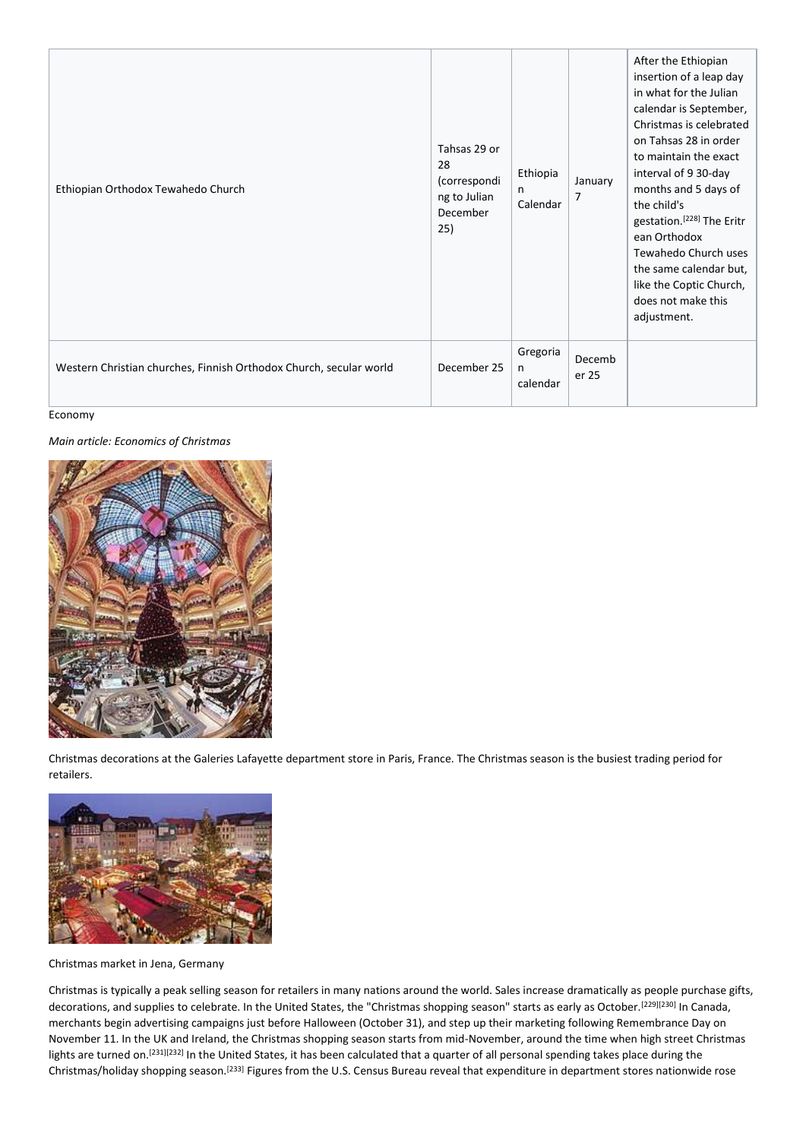| Ethiopian Orthodox Tewahedo Church                                 | Tahsas 29 or<br>28<br>(correspondi<br>ng to Julian<br>December<br>25) | Ethiopia<br>n<br>Calendar | January<br>7    | After the Ethiopian<br>insertion of a leap day<br>in what for the Julian<br>calendar is September,<br>Christmas is celebrated<br>on Tahsas 28 in order<br>to maintain the exact<br>interval of 9 30-day<br>months and 5 days of<br>the child's<br>gestation. <sup>[228]</sup> The Eritr<br>ean Orthodox<br>Tewahedo Church uses<br>the same calendar but,<br>like the Coptic Church,<br>does not make this<br>adjustment. |
|--------------------------------------------------------------------|-----------------------------------------------------------------------|---------------------------|-----------------|---------------------------------------------------------------------------------------------------------------------------------------------------------------------------------------------------------------------------------------------------------------------------------------------------------------------------------------------------------------------------------------------------------------------------|
| Western Christian churches, Finnish Orthodox Church, secular world | December 25                                                           | Gregoria<br>n<br>calendar | Decemb<br>er 25 |                                                                                                                                                                                                                                                                                                                                                                                                                           |

### Economy

# *Main article: Economics of Christmas*



Christmas decorations at the Galeries Lafayette department store in Paris, France. The Christmas season is the busiest trading period for retailers.



Christmas market in Jena, Germany

Christmas is typically a peak selling season for retailers in many nations around the world. Sales increase dramatically as people purchase gifts, decorations, and supplies to celebrate. In the United States, the "Christmas shopping season" starts as early as October.[229][230] In Canada, merchants begin advertising campaigns just before Halloween (October 31), and step up their marketing following Remembrance Day on November 11. In the UK and Ireland, the Christmas shopping season starts from mid-November, around the time when high street Christmas lights are turned on.<sup>[231][232]</sup> In the United States, it has been calculated that a quarter of all personal spending takes place during the Christmas/holiday shopping season.[233] Figures from the U.S. Census Bureau reveal that expenditure in department stores nationwide rose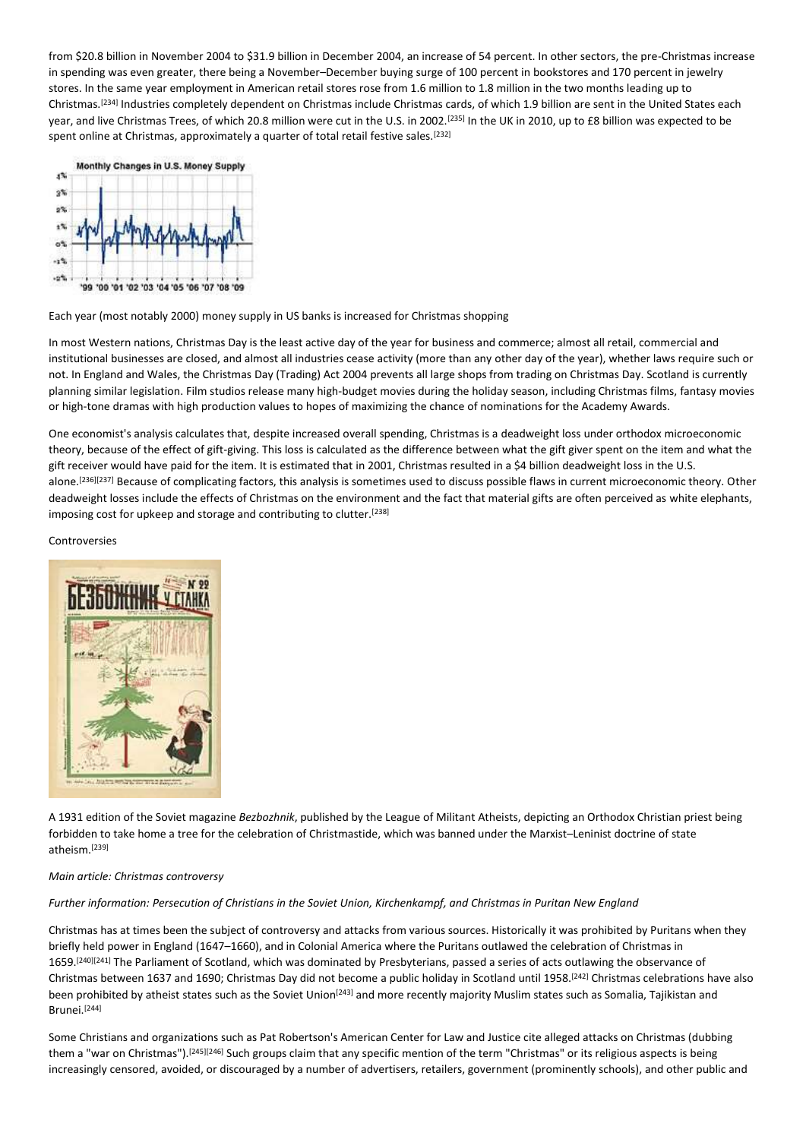from \$20.8 billion in November 2004 to \$31.9 billion in December 2004, an increase of 54 percent. In other sectors, the pre-Christmas increase in spending was even greater, there being a November–December buying surge of 100 percent in bookstores and 170 percent in jewelry stores. In the same year employment in American retail stores rose from 1.6 million to 1.8 million in the two months leading up to Christmas.[234] Industries completely dependent on Christmas include Christmas cards, of which 1.9 billion are sent in the United States each year, and live Christmas Trees, of which 20.8 million were cut in the U.S. in 2002.<sup>[235]</sup> In the UK in 2010, up to £8 billion was expected to be spent online at Christmas, approximately a quarter of total retail festive sales.<sup>[232]</sup>



Each year (most notably 2000) money supply in US banks is increased for Christmas shopping

In most Western nations, Christmas Day is the least active day of the year for business and commerce; almost all retail, commercial and institutional businesses are closed, and almost all industries cease activity (more than any other day of the year), whether laws require such or not. In England and Wales, the Christmas Day (Trading) Act 2004 prevents all large shops from trading on Christmas Day. Scotland is currently planning similar legislation. Film studios release many high-budget movies during the holiday season, including Christmas films, fantasy movies or high-tone dramas with high production values to hopes of maximizing the chance of nominations for the Academy Awards.

One economist's analysis calculates that, despite increased overall spending, Christmas is a deadweight loss under orthodox microeconomic theory, because of the effect of gift-giving. This loss is calculated as the difference between what the gift giver spent on the item and what the gift receiver would have paid for the item. It is estimated that in 2001, Christmas resulted in a \$4 billion deadweight loss in the U.S. alone.<sup>[236][237]</sup> Because of complicating factors, this analysis is sometimes used to discuss possible flaws in current microeconomic theory. Other deadweight losses include the effects of Christmas on the environment and the fact that material gifts are often perceived as white elephants, imposing cost for upkeep and storage and contributing to clutter.[238]

#### Controversies



A 1931 edition of the Soviet magazine *Bezbozhnik*, published by the League of Militant Atheists, depicting an Orthodox Christian priest being forbidden to take home a tree for the celebration of Christmastide, which was banned under the Marxist–Leninist doctrine of state atheism. [239]

### *Main article: Christmas controversy*

### *Further information: Persecution of Christians in the Soviet Union, Kirchenkampf, and Christmas in Puritan New England*

Christmas has at times been the subject of controversy and attacks from various sources. Historically it was prohibited by Puritans when they briefly held power in England (1647–1660), and in Colonial America where the Puritans outlawed the celebration of Christmas in 1659.[240][241] The Parliament of Scotland, which was dominated by Presbyterians, passed a series of acts outlawing the observance of Christmas between 1637 and 1690; Christmas Day did not become a public holiday in Scotland until 1958.[242] Christmas celebrations have also been prohibited by atheist states such as the Soviet Union<sup>[243]</sup> and more recently majority Muslim states such as Somalia, Tajikistan and Brunei.[244]

Some Christians and organizations such as Pat Robertson's American Center for Law and Justice cite alleged attacks on Christmas (dubbing them a "war on Christmas").[245][246] Such groups claim that any specific mention of the term "Christmas" or its religious aspects is being increasingly censored, avoided, or discouraged by a number of advertisers, retailers, government (prominently schools), and other public and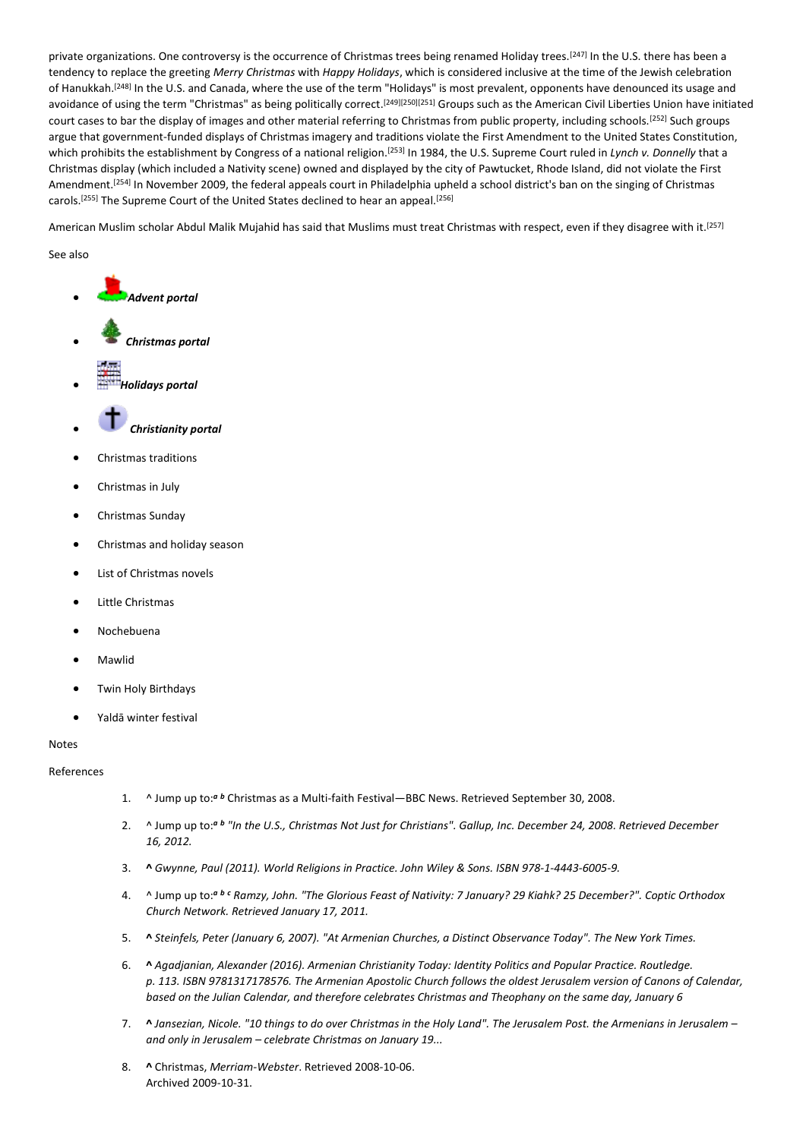private organizations. One controversy is the occurrence of Christmas trees being renamed Holiday trees.<sup>[247]</sup> In the U.S. there has been a tendency to replace the greeting *Merry Christmas* with *Happy Holidays*, which is considered inclusive at the time of the Jewish celebration of Hanukkah.<sup>[248]</sup> In the U.S. and Canada, where the use of the term "Holidays" is most prevalent, opponents have denounced its usage and avoidance of using the term "Christmas" as being politically correct.<sup>[249][250][251]</sup> Groups such as the American Civil Liberties Union have initiated court cases to bar the display of images and other material referring to Christmas from public property, including schools.<sup>[252]</sup> Such groups argue that government-funded displays of Christmas imagery and traditions violate the First Amendment to the United States Constitution, which prohibits the establishment by Congress of a national religion.<sup>[253]</sup> In 1984, the U.S. Supreme Court ruled in *Lynch v. Donnelly* that a Christmas display (which included a Nativity scene) owned and displayed by the city of Pawtucket, Rhode Island, did not violate the First Amendment.[254] In November 2009, the federal appeals court in Philadelphia upheld a school district's ban on the singing of Christmas carols.[255] The Supreme Court of the United States declined to hear an appeal.[256]

American Muslim scholar Abdul Malik Mujahid has said that Muslims must treat Christmas with respect, even if they disagree with it.<sup>[257]</sup>

#### See also

- *[A](https://en.wikipedia.org/wiki/File:Candle4.png)dvent portal*
- *Christmas portal*
- *[H](https://en.wikipedia.org/wiki/File:Calendar_icon.svg)olidays portal*



- Christmas traditions
- Christmas in July
- Christmas Sunday
- Christmas and holiday season
- List of Christmas novels
- Little Christmas
- Nochebuena
- Mawlid
- Twin Holy Birthdays
- Yaldā winter festival

#### Notes

#### References

- 1. ^ Jump up to:*<sup>a</sup> <sup>b</sup>* Christmas as a Multi-faith Festival—BBC News. Retrieved September 30, 2008.
- 2. ^ Jump up to:*<sup>a</sup> <sup>b</sup> "In the U.S., Christmas Not Just for Christians". Gallup, Inc. December 24, 2008. Retrieved December 16, 2012.*
- 3. **^** *Gwynne, Paul (2011). World Religions in Practice. John Wiley & Sons. ISBN 978-1-4443-6005-9.*
- 4. ^ Jump up to:*<sup>a</sup> <sup>b</sup> <sup>c</sup> Ramzy, John. "The Glorious Feast of Nativity: 7 January? 29 Kiahk? 25 December?". Coptic Orthodox Church Network. Retrieved January 17, 2011.*
- 5. **^** *Steinfels, Peter (January 6, 2007). "At Armenian Churches, a Distinct Observance Today". The New York Times.*
- 6. **^** *Agadjanian, Alexander (2016). Armenian Christianity Today: Identity Politics and Popular Practice. Routledge. p. 113. ISBN 9781317178576. The Armenian Apostolic Church follows the oldest Jerusalem version of Canons of Calendar, based on the Julian Calendar, and therefore celebrates Christmas and Theophany on the same day, January 6*
- 7. **^** *Jansezian, Nicole. "10 things to do over Christmas in the Holy Land". The Jerusalem Post. the Armenians in Jerusalem – and only in Jerusalem – celebrate Christmas on January 19...*
- 8. **^** Christmas, *Merriam-Webster*. Retrieved 2008-10-06. Archived 2009-10-31.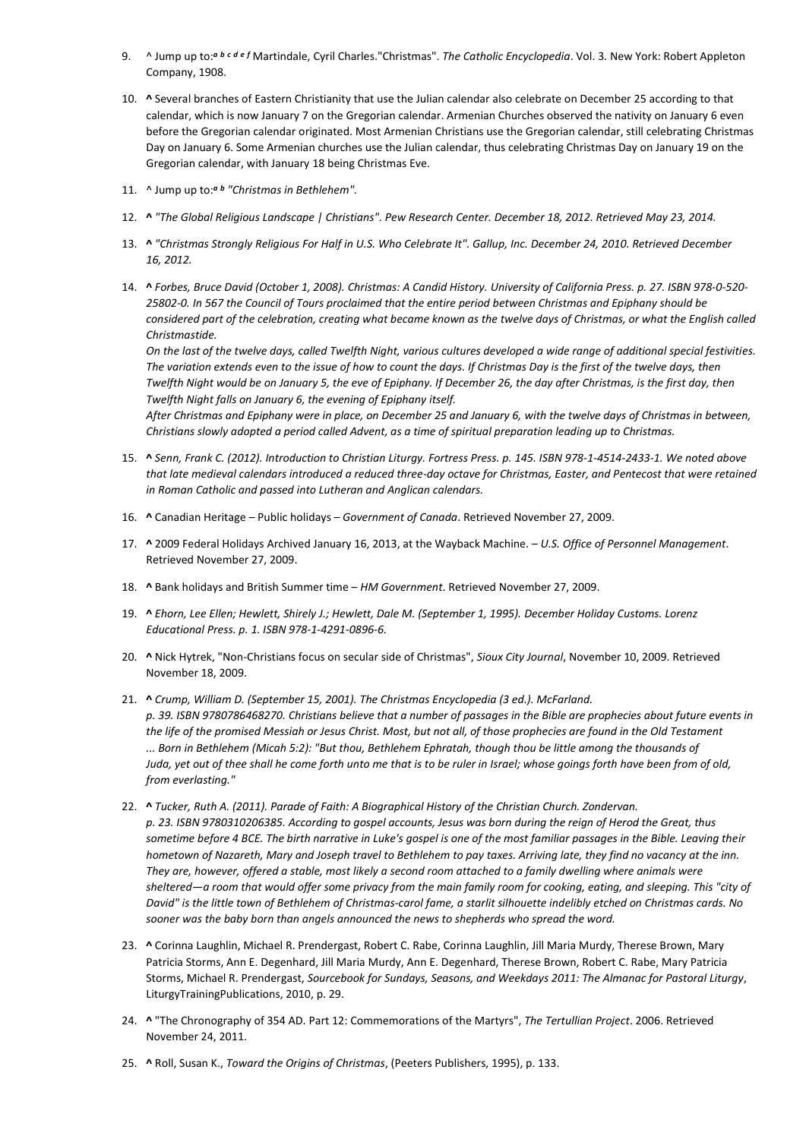- 9. ^ Jump up to:*<sup>a</sup> <sup>b</sup> <sup>c</sup> <sup>d</sup> <sup>e</sup> <sup>f</sup>* Martindale, Cyril Charles."Christmas". *The Catholic Encyclopedia*. Vol. 3. New York: Robert Appleton Company, 1908.
- 10. **^** Several branches of Eastern Christianity that use the Julian calendar also celebrate on December 25 according to that calendar, which is now January 7 on the Gregorian calendar. Armenian Churches observed the nativity on January 6 even before the Gregorian calendar originated. Most Armenian Christians use the Gregorian calendar, still celebrating Christmas Day on January 6. Some Armenian churches use the Julian calendar, thus celebrating Christmas Day on January 19 on the Gregorian calendar, with January 18 being Christmas Eve.
- 11. ^ Jump up to:*<sup>a</sup> <sup>b</sup> "Christmas in Bethlehem".*
- 12. **^** *"The Global Religious Landscape | Christians". Pew Research Center. December 18, 2012. Retrieved May 23, 2014.*
- 13. **^** *"Christmas Strongly Religious For Half in U.S. Who Celebrate It". Gallup, Inc. December 24, 2010. Retrieved December 16, 2012.*
- 14. **^** *Forbes, Bruce David (October 1, 2008). Christmas: A Candid History. University of California Press. p. 27. ISBN 978-0-520- 25802-0. In 567 the Council of Tours proclaimed that the entire period between Christmas and Epiphany should be considered part of the celebration, creating what became known as the twelve days of Christmas, or what the English called Christmastide.*

*On the last of the twelve days, called Twelfth Night, various cultures developed a wide range of additional special festivities. The variation extends even to the issue of how to count the days. If Christmas Day is the first of the twelve days, then Twelfth Night would be on January 5, the eve of Epiphany. If December 26, the day after Christmas, is the first day, then Twelfth Night falls on January 6, the evening of Epiphany itself.*

*After Christmas and Epiphany were in place, on December 25 and January 6, with the twelve days of Christmas in between, Christians slowly adopted a period called Advent, as a time of spiritual preparation leading up to Christmas.*

- 15. **^** *Senn, Frank C. (2012). Introduction to Christian Liturgy. Fortress Press. p. 145. ISBN 978-1-4514-2433-1. We noted above that late medieval calendars introduced a reduced three-day octave for Christmas, Easter, and Pentecost that were retained in Roman Catholic and passed into Lutheran and Anglican calendars.*
- 16. **^** Canadian Heritage Public holidays *Government of Canada*. Retrieved November 27, 2009.
- 17. **^** 2009 Federal Holidays Archived January 16, 2013, at the Wayback Machine. *U.S. Office of Personnel Management*. Retrieved November 27, 2009.
- 18. **^** Bank holidays and British Summer time *HM Government*. Retrieved November 27, 2009.
- 19. **^** *Ehorn, Lee Ellen; Hewlett, Shirely J.; Hewlett, Dale M. (September 1, 1995). December Holiday Customs. Lorenz Educational Press. p. 1. ISBN 978-1-4291-0896-6.*
- 20. **^** Nick Hytrek, "Non-Christians focus on secular side of Christmas", *Sioux City Journal*, November 10, 2009. Retrieved November 18, 2009.
- 21. **^** *Crump, William D. (September 15, 2001). The Christmas Encyclopedia (3 ed.). McFarland. p. 39. ISBN 9780786468270. Christians believe that a number of passages in the Bible are prophecies about future events in the life of the promised Messiah or Jesus Christ. Most, but not all, of those prophecies are found in the Old Testament ... Born in Bethlehem (Micah 5:2): "But thou, Bethlehem Ephratah, though thou be little among the thousands of Juda, yet out of thee shall he come forth unto me that is to be ruler in Israel; whose goings forth have been from of old, from everlasting."*
- 22. **^** *Tucker, Ruth A. (2011). Parade of Faith: A Biographical History of the Christian Church. Zondervan. p. 23. ISBN 9780310206385. According to gospel accounts, Jesus was born during the reign of Herod the Great, thus sometime before 4 BCE. The birth narrative in Luke's gospel is one of the most familiar passages in the Bible. Leaving their hometown of Nazareth, Mary and Joseph travel to Bethlehem to pay taxes. Arriving late, they find no vacancy at the inn. They are, however, offered a stable, most likely a second room attached to a family dwelling where animals were sheltered—a room that would offer some privacy from the main family room for cooking, eating, and sleeping. This "city of David" is the little town of Bethlehem of Christmas-carol fame, a starlit silhouette indelibly etched on Christmas cards. No sooner was the baby born than angels announced the news to shepherds who spread the word.*
- 23. **^** Corinna Laughlin, Michael R. Prendergast, Robert C. Rabe, Corinna Laughlin, Jill Maria Murdy, Therese Brown, Mary Patricia Storms, Ann E. Degenhard, Jill Maria Murdy, Ann E. Degenhard, Therese Brown, Robert C. Rabe, Mary Patricia Storms, Michael R. Prendergast, *Sourcebook for Sundays, Seasons, and Weekdays 2011: The Almanac for Pastoral Liturgy*, LiturgyTrainingPublications, 2010, p. 29.
- 24. **^** "The Chronography of 354 AD. Part 12: Commemorations of the Martyrs", *The Tertullian Project*. 2006. Retrieved November 24, 2011.
- 25. **^** Roll, Susan K., *Toward the Origins of Christmas*, (Peeters Publishers, 1995), p. 133.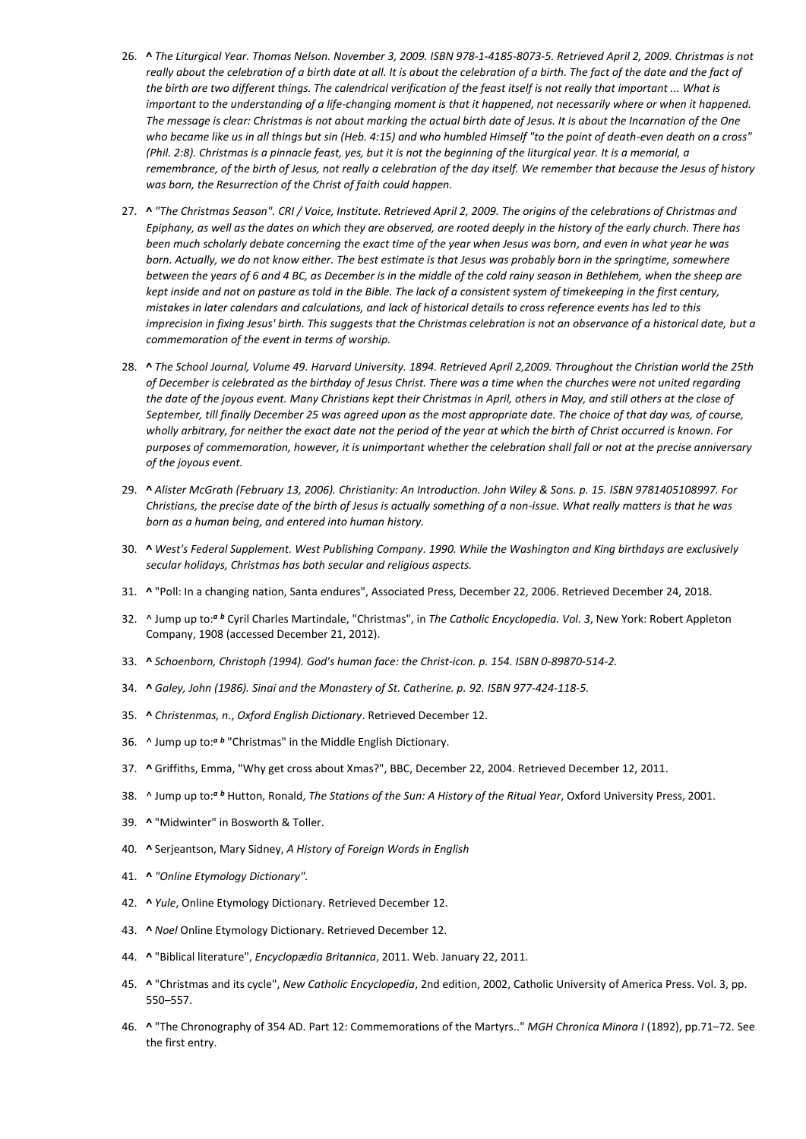- 26. **^** *The Liturgical Year. Thomas Nelson. November 3, 2009. ISBN 978-1-4185-8073-5. Retrieved April 2, 2009. Christmas is not*  really about the celebration of a birth date at all. It is about the celebration of a birth. The fact of the date and the fact of *the birth are two different things. The calendrical verification of the feast itself is not really that important ... What is important to the understanding of a life-changing moment is that it happened, not necessarily where or when it happened. The message is clear: Christmas is not about marking the actual birth date of Jesus. It is about the Incarnation of the One who became like us in all things but sin (Heb. 4:15) and who humbled Himself "to the point of death-even death on a cross" (Phil. 2:8). Christmas is a pinnacle feast, yes, but it is not the beginning of the liturgical year. It is a memorial, a remembrance, of the birth of Jesus, not really a celebration of the day itself. We remember that because the Jesus of history was born, the Resurrection of the Christ of faith could happen.*
- 27. **^** *"The Christmas Season". CRI / Voice, Institute. Retrieved April 2, 2009. The origins of the celebrations of Christmas and Epiphany, as well as the dates on which they are observed, are rooted deeply in the history of the early church. There has been much scholarly debate concerning the exact time of the year when Jesus was born, and even in what year he was born. Actually, we do not know either. The best estimate is that Jesus was probably born in the springtime, somewhere between the years of 6 and 4 BC, as December is in the middle of the cold rainy season in Bethlehem, when the sheep are kept inside and not on pasture as told in the Bible. The lack of a consistent system of timekeeping in the first century, mistakes in later calendars and calculations, and lack of historical details to cross reference events has led to this imprecision in fixing Jesus' birth. This suggests that the Christmas celebration is not an observance of a historical date, but a commemoration of the event in terms of worship.*
- 28. **^** *The School Journal, Volume 49. Harvard University. 1894. Retrieved April 2,2009. Throughout the Christian world the 25th of December is celebrated as the birthday of Jesus Christ. There was a time when the churches were not united regarding the date of the joyous event. Many Christians kept their Christmas in April, others in May, and still others at the close of September, till finally December 25 was agreed upon as the most appropriate date. The choice of that day was, of course, wholly arbitrary, for neither the exact date not the period of the year at which the birth of Christ occurred is known. For purposes of commemoration, however, it is unimportant whether the celebration shall fall or not at the precise anniversary of the joyous event.*
- 29. **^** *Alister McGrath (February 13, 2006). Christianity: An Introduction. John Wiley & Sons. p. 15. ISBN 9781405108997. For Christians, the precise date of the birth of Jesus is actually something of a non-issue. What really matters is that he was born as a human being, and entered into human history.*
- 30. **^** *West's Federal Supplement. West Publishing Company. 1990. While the Washington and King birthdays are exclusively secular holidays, Christmas has both secular and religious aspects.*
- 31. **^** "Poll: In a changing nation, Santa endures", Associated Press, December 22, 2006. Retrieved December 24, 2018.
- 32. ^ Jump up to:*<sup>a</sup> <sup>b</sup>* Cyril Charles Martindale, "Christmas", in *The Catholic Encyclopedia. Vol. 3*, New York: Robert Appleton Company, 1908 (accessed December 21, 2012).
- 33. **^** *Schoenborn, Christoph (1994). God's human face: the Christ-icon. p. 154. ISBN 0-89870-514-2.*
- 34. **^** *Galey, John (1986). Sinai and the Monastery of St. Catherine. p. 92. ISBN 977-424-118-5.*
- 35. **^** *Christenmas, n.*, *Oxford English Dictionary*. Retrieved December 12.
- 36. ^ Jump up to:*<sup>a</sup> <sup>b</sup>* "Christmas" in the Middle English Dictionary.
- 37. **^** Griffiths, Emma, "Why get cross about Xmas?", BBC, December 22, 2004. Retrieved December 12, 2011.
- 38. ^ Jump up to:*<sup>a</sup> <sup>b</sup>* Hutton, Ronald, *The Stations of the Sun: A History of the Ritual Year*, Oxford University Press, 2001.
- 39. **^** "Midwinter" in Bosworth & Toller.
- 40. **^** Serjeantson, Mary Sidney, *A History of Foreign Words in English*
- 41. **^** *"Online Etymology Dictionary".*
- 42. **^** *Yule*, Online Etymology Dictionary. Retrieved December 12.
- 43. **^** *Noel* Online Etymology Dictionary. Retrieved December 12.
- 44. **^** "Biblical literature", *Encyclopædia Britannica*, 2011. Web. January 22, 2011.
- 45. **^** "Christmas and its cycle", *New Catholic Encyclopedia*, 2nd edition, 2002, Catholic University of America Press. Vol. 3, pp. 550–557.
- 46. **^** "The Chronography of 354 AD. Part 12: Commemorations of the Martyrs.." *MGH Chronica Minora I* (1892), pp.71–72. See the first entry.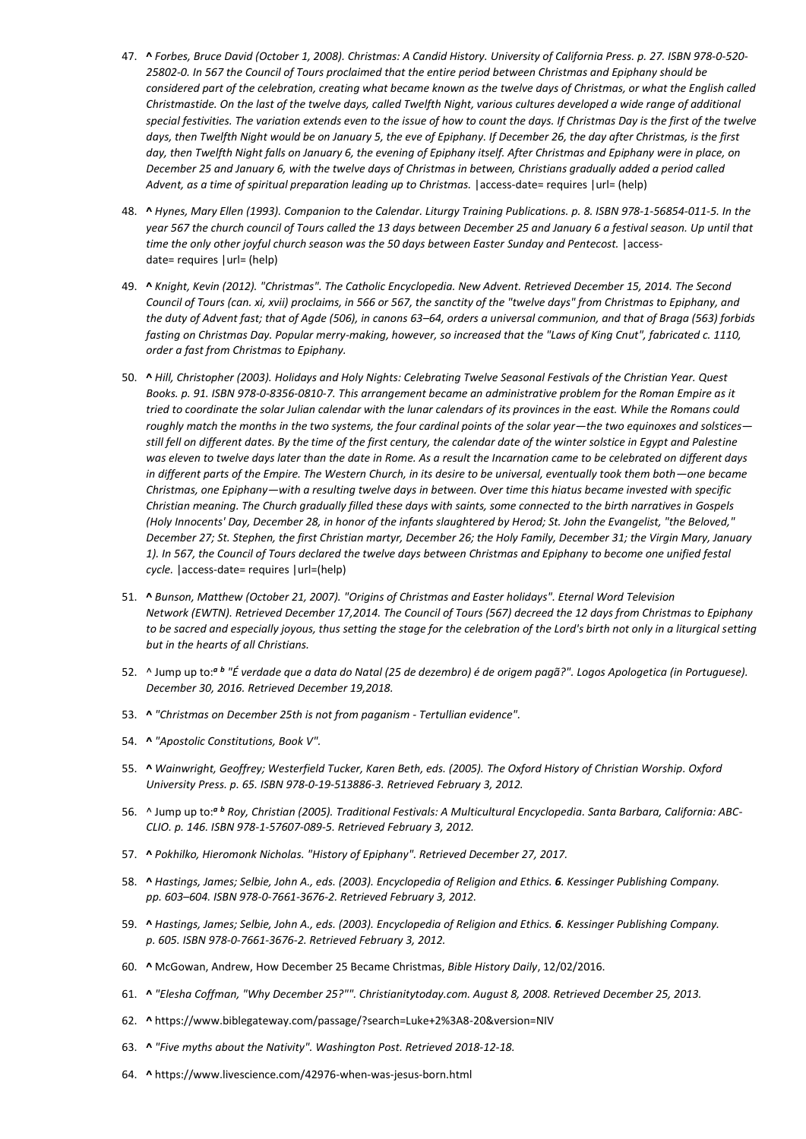- 47. **^** *Forbes, Bruce David (October 1, 2008). Christmas: A Candid History. University of California Press. p. 27. ISBN 978-0-520- 25802-0. In 567 the Council of Tours proclaimed that the entire period between Christmas and Epiphany should be considered part of the celebration, creating what became known as the twelve days of Christmas, or what the English called Christmastide. On the last of the twelve days, called Twelfth Night, various cultures developed a wide range of additional special festivities. The variation extends even to the issue of how to count the days. If Christmas Day is the first of the twelve days, then Twelfth Night would be on January 5, the eve of Epiphany. If December 26, the day after Christmas, is the first*  day, then Twelfth Night falls on January 6, the evening of Epiphany itself. After Christmas and Epiphany were in place, on *December 25 and January 6, with the twelve days of Christmas in between, Christians gradually added a period called Advent, as a time of spiritual preparation leading up to Christmas.* |access-date= requires |url= (help)
- 48. **^** *Hynes, Mary Ellen (1993). Companion to the Calendar. Liturgy Training Publications. p. 8. ISBN 978-1-56854-011-5. In the year 567 the church council of Tours called the 13 days between December 25 and January 6 a festival season. Up until that time the only other joyful church season was the 50 days between Easter Sunday and Pentecost.* |accessdate= requires |url= (help)
- 49. **^** *Knight, Kevin (2012). "Christmas". The Catholic Encyclopedia. New Advent. Retrieved December 15, 2014. The Second Council of Tours (can. xi, xvii) proclaims, in 566 or 567, the sanctity of the "twelve days" from Christmas to Epiphany, and the duty of Advent fast; that of Agde (506), in canons 63–64, orders a universal communion, and that of Braga (563) forbids fasting on Christmas Day. Popular merry-making, however, so increased that the "Laws of King Cnut", fabricated c. 1110, order a fast from Christmas to Epiphany.*
- 50. **^** *Hill, Christopher (2003). Holidays and Holy Nights: Celebrating Twelve Seasonal Festivals of the Christian Year. Quest Books. p. 91. ISBN 978-0-8356-0810-7. This arrangement became an administrative problem for the Roman Empire as it tried to coordinate the solar Julian calendar with the lunar calendars of its provinces in the east. While the Romans could roughly match the months in the two systems, the four cardinal points of the solar year—the two equinoxes and solstices still fell on different dates. By the time of the first century, the calendar date of the winter solstice in Egypt and Palestine was eleven to twelve days later than the date in Rome. As a result the Incarnation came to be celebrated on different days in different parts of the Empire. The Western Church, in its desire to be universal, eventually took them both—one became Christmas, one Epiphany—with a resulting twelve days in between. Over time this hiatus became invested with specific Christian meaning. The Church gradually filled these days with saints, some connected to the birth narratives in Gospels (Holy Innocents' Day, December 28, in honor of the infants slaughtered by Herod; St. John the Evangelist, "the Beloved," December 27; St. Stephen, the first Christian martyr, December 26; the Holy Family, December 31; the Virgin Mary, January 1). In 567, the Council of Tours declared the twelve days between Christmas and Epiphany to become one unified festal cycle.* |access-date= requires |url=(help)
- 51. **^** *Bunson, Matthew (October 21, 2007). "Origins of Christmas and Easter holidays". Eternal Word Television Network (EWTN). Retrieved December 17,2014. The Council of Tours (567) decreed the 12 days from Christmas to Epiphany to be sacred and especially joyous, thus setting the stage for the celebration of the Lord's birth not only in a liturgical setting but in the hearts of all Christians.*
- 52. ^ Jump up to:*<sup>a</sup> <sup>b</sup> "É verdade que a data do Natal (25 de dezembro) é de origem pagã?". Logos Apologetica (in Portuguese). December 30, 2016. Retrieved December 19,2018.*
- 53. **^** *"Christmas on December 25th is not from paganism - Tertullian evidence".*
- 54. **^** *"Apostolic Constitutions, Book V".*
- 55. **^** *Wainwright, Geoffrey; Westerfield Tucker, Karen Beth, eds. (2005). The Oxford History of Christian Worship. Oxford University Press. p. 65. ISBN 978-0-19-513886-3. Retrieved February 3, 2012.*
- 56. ^ Jump up to:*<sup>a</sup> <sup>b</sup> Roy, Christian (2005). Traditional Festivals: A Multicultural Encyclopedia. Santa Barbara, California: ABC-CLIO. p. 146. ISBN 978-1-57607-089-5. Retrieved February 3, 2012.*
- 57. **^** *Pokhilko, Hieromonk Nicholas. "History of Epiphany". Retrieved December 27, 2017.*
- 58. **^** *Hastings, James; Selbie, John A., eds. (2003). Encyclopedia of Religion and Ethics. 6. Kessinger Publishing Company. pp. 603–604. ISBN 978-0-7661-3676-2. Retrieved February 3, 2012.*
- 59. **^** *Hastings, James; Selbie, John A., eds. (2003). Encyclopedia of Religion and Ethics. 6. Kessinger Publishing Company. p. 605. ISBN 978-0-7661-3676-2. Retrieved February 3, 2012.*
- 60. **^** McGowan, Andrew, How December 25 Became Christmas, *Bible History Daily*, 12/02/2016.
- 61. **^** *"Elesha Coffman, "Why December 25?"". Christianitytoday.com. August 8, 2008. Retrieved December 25, 2013.*
- 62. **^** https://www.biblegateway.com/passage/?search=Luke+2%3A8-20&version=NIV
- 63. **^** *"Five myths about the Nativity". Washington Post. Retrieved 2018-12-18.*
- 64. **^** https://www.livescience.com/42976-when-was-jesus-born.html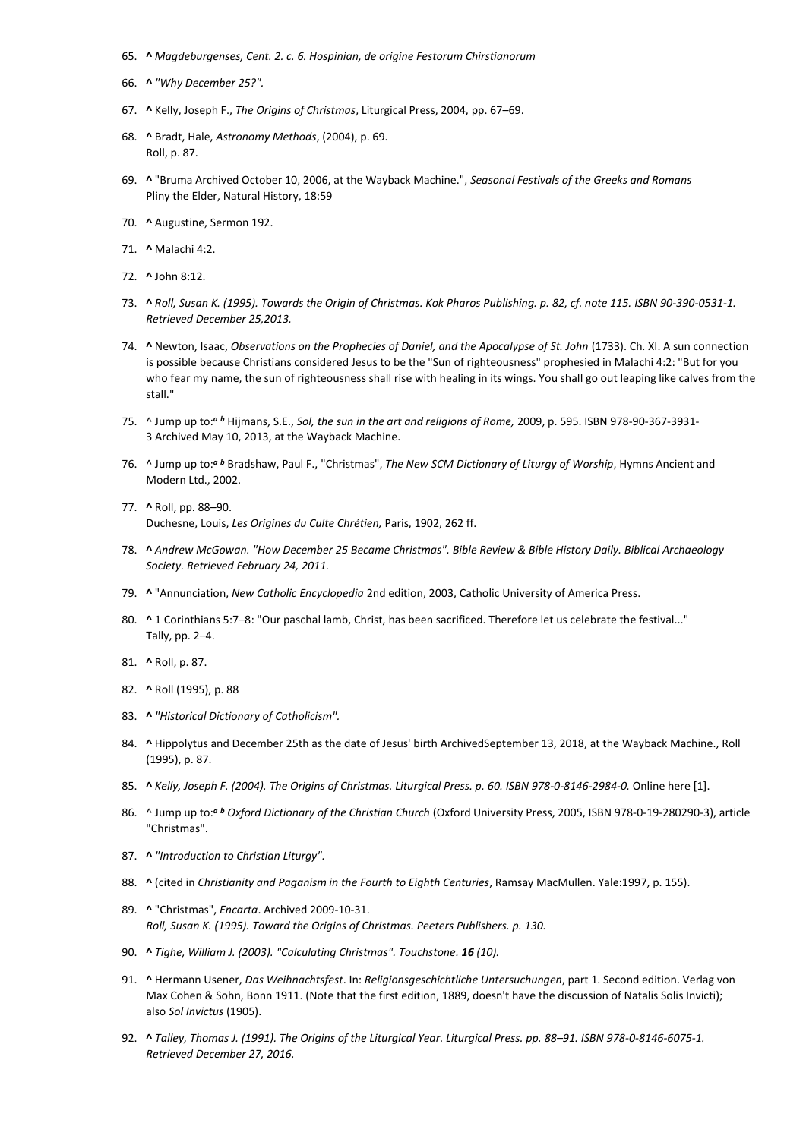- 65. **^** *Magdeburgenses, Cent. 2. c. 6. Hospinian, de origine Festorum Chirstianorum*
- 66. **^** *"Why December 25?".*
- 67. **^** Kelly, Joseph F., *The Origins of Christmas*, Liturgical Press, 2004, pp. 67–69.
- 68. **^** Bradt, Hale, *Astronomy Methods*, (2004), p. 69. Roll, p. 87.
- 69. **^** "Bruma Archived October 10, 2006, at the Wayback Machine.", *Seasonal Festivals of the Greeks and Romans* Pliny the Elder, Natural History, 18:59
- 70. **^** Augustine, Sermon 192.
- 71. **^** Malachi 4:2.
- 72. **^** John 8:12.
- 73. **^** *Roll, Susan K. (1995). Towards the Origin of Christmas. Kok Pharos Publishing. p. 82, cf. note 115. ISBN 90-390-0531-1. Retrieved December 25,2013.*
- 74. **^** Newton, Isaac, *Observations on the Prophecies of Daniel, and the Apocalypse of St. John* (1733). Ch. XI. A sun connection is possible because Christians considered Jesus to be the "Sun of righteousness" prophesied in Malachi 4:2: "But for you who fear my name, the sun of righteousness shall rise with healing in its wings. You shall go out leaping like calves from the stall."
- 75. ^ Jump up to:*<sup>a</sup> <sup>b</sup>* Hijmans, S.E., *Sol, the sun in the art and religions of Rome,* 2009, p. 595. ISBN 978-90-367-3931- 3 Archived May 10, 2013, at the Wayback Machine.
- 76. ^ Jump up to:*<sup>a</sup> <sup>b</sup>* Bradshaw, Paul F., "Christmas", *The New SCM Dictionary of Liturgy of Worship*, Hymns Ancient and Modern Ltd., 2002.
- 77. **^** Roll, pp. 88–90. Duchesne, Louis, *Les Origines du Culte Chrétien,* Paris, 1902, 262 ff.
- 78. **^** *Andrew McGowan. "How December 25 Became Christmas". Bible Review & Bible History Daily. Biblical Archaeology Society. Retrieved February 24, 2011.*
- 79. **^** "Annunciation, *New Catholic Encyclopedia* 2nd edition, 2003, Catholic University of America Press.
- 80. **^** 1 Corinthians 5:7–8: "Our paschal lamb, Christ, has been sacrificed. Therefore let us celebrate the festival..." Tally, pp. 2–4.
- 81. **^** Roll, p. 87.
- 82. **^** Roll (1995), p. 88
- 83. **^** *"Historical Dictionary of Catholicism".*
- 84. **^** Hippolytus and December 25th as the date of Jesus' birth ArchivedSeptember 13, 2018, at the Wayback Machine., Roll (1995), p. 87.
- 85. **^** *Kelly, Joseph F. (2004). The Origins of Christmas. Liturgical Press. p. 60. ISBN 978-0-8146-2984-0.* Online here [1].
- 86. ^ Jump up to:*<sup>a</sup> <sup>b</sup> Oxford Dictionary of the Christian Church* (Oxford University Press, 2005, ISBN 978-0-19-280290-3), article "Christmas".
- 87. **^** *"Introduction to Christian Liturgy".*
- 88. **^** (cited in *Christianity and Paganism in the Fourth to Eighth Centuries*, Ramsay MacMullen. Yale:1997, p. 155).
- 89. **^** "Christmas", *Encarta*. Archived 2009-10-31. *Roll, Susan K. (1995). Toward the Origins of Christmas. Peeters Publishers. p. 130.*
- 90. **^** *Tighe, William J. (2003). "Calculating Christmas". Touchstone. 16 (10).*
- 91. **^** Hermann Usener, *Das Weihnachtsfest*. In: *Religionsgeschichtliche Untersuchungen*, part 1. Second edition. Verlag von Max Cohen & Sohn, Bonn 1911. (Note that the first edition, 1889, doesn't have the discussion of Natalis Solis Invicti); also *Sol Invictus* (1905).
- 92. **^** *Talley, Thomas J. (1991). The Origins of the Liturgical Year. Liturgical Press. pp. 88–91. ISBN 978-0-8146-6075-1. Retrieved December 27, 2016.*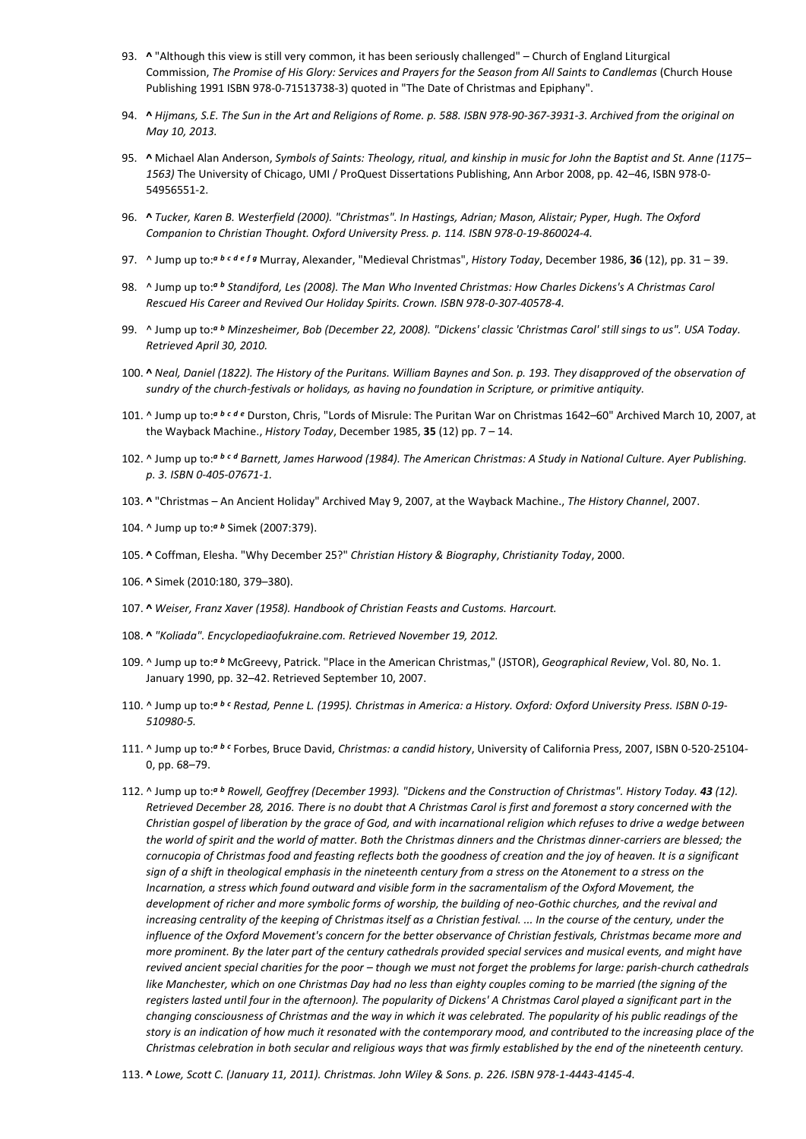- 93. **^** "Although this view is still very common, it has been seriously challenged" Church of England Liturgical Commission, *The Promise of His Glory: Services and Prayers for the Season from All Saints to Candlemas* (Church House Publishing 1991 ISBN 978-0-71513738-3) quoted in "The Date of Christmas and Epiphany".
- 94. **^** *Hijmans, S.E. The Sun in the Art and Religions of Rome. p. 588. ISBN 978-90-367-3931-3. Archived from the original on May 10, 2013.*
- 95. **^** Michael Alan Anderson, *Symbols of Saints: Theology, ritual, and kinship in music for John the Baptist and St. Anne (1175– 1563)* The University of Chicago, UMI / ProQuest Dissertations Publishing, Ann Arbor 2008, pp. 42–46, ISBN 978-0- 54956551-2.
- 96. **^** *Tucker, Karen B. Westerfield (2000). "Christmas". In Hastings, Adrian; Mason, Alistair; Pyper, Hugh. The Oxford Companion to Christian Thought. Oxford University Press. p. 114. ISBN 978-0-19-860024-4.*
- 97. ^ Jump up to:*<sup>a</sup> <sup>b</sup> <sup>c</sup> <sup>d</sup> <sup>e</sup> <sup>f</sup> <sup>g</sup>* Murray, Alexander, "Medieval Christmas", *History Today*, December 1986, **36** (12), pp. 31 39.
- 98. ^ Jump up to:*<sup>a</sup> <sup>b</sup> Standiford, Les (2008). The Man Who Invented Christmas: How Charles Dickens's A Christmas Carol Rescued His Career and Revived Our Holiday Spirits. Crown. ISBN 978-0-307-40578-4.*
- 99. ^ Jump up to:*<sup>a</sup> <sup>b</sup> Minzesheimer, Bob (December 22, 2008). "Dickens' classic 'Christmas Carol' still sings to us". USA Today. Retrieved April 30, 2010.*
- 100. **^** *Neal, Daniel (1822). The History of the Puritans. William Baynes and Son. p. 193. They disapproved of the observation of sundry of the church-festivals or holidays, as having no foundation in Scripture, or primitive antiquity.*
- 101. ^ Jump up to:*<sup>a</sup> <sup>b</sup> <sup>c</sup> <sup>d</sup> <sup>e</sup>* Durston, Chris, "Lords of Misrule: The Puritan War on Christmas 1642–60" Archived March 10, 2007, at the Wayback Machine., *History Today*, December 1985, **35** (12) pp. 7 – 14.
- 102. ^ Jump up to:*<sup>a</sup> <sup>b</sup> <sup>c</sup> <sup>d</sup> Barnett, James Harwood (1984). The American Christmas: A Study in National Culture. Ayer Publishing. p. 3. ISBN 0-405-07671-1.*
- 103. **^** "Christmas An Ancient Holiday" Archived May 9, 2007, at the Wayback Machine., *The History Channel*, 2007.
- 104. ^ Jump up to:*<sup>a</sup> <sup>b</sup>* Simek (2007:379).
- 105. **^** Coffman, Elesha. "Why December 25?" *Christian History & Biography*, *Christianity Today*, 2000.
- 106. **^** Simek (2010:180, 379–380).
- 107. **^** *Weiser, Franz Xaver (1958). Handbook of Christian Feasts and Customs. Harcourt.*
- 108. **^** *"Koliada". Encyclopediaofukraine.com. Retrieved November 19, 2012.*
- 109. ^ Jump up to:*<sup>a</sup> <sup>b</sup>* McGreevy, Patrick. "Place in the American Christmas," (JSTOR), *Geographical Review*, Vol. 80, No. 1. January 1990, pp. 32–42. Retrieved September 10, 2007.
- 110. ^ Jump up to:*<sup>a</sup> <sup>b</sup> <sup>c</sup> Restad, Penne L. (1995). Christmas in America: a History. Oxford: Oxford University Press. ISBN 0-19- 510980-5.*
- 111. ^ Jump up to:*<sup>a</sup> <sup>b</sup> <sup>c</sup>* Forbes, Bruce David, *Christmas: a candid history*, University of California Press, 2007, ISBN 0-520-25104- 0, pp. 68–79.
- 112. ^ Jump up to:*<sup>a</sup> <sup>b</sup> Rowell, Geoffrey (December 1993). "Dickens and the Construction of Christmas". History Today. 43 (12). Retrieved December 28, 2016. There is no doubt that A Christmas Carol is first and foremost a story concerned with the Christian gospel of liberation by the grace of God, and with incarnational religion which refuses to drive a wedge between the world of spirit and the world of matter. Both the Christmas dinners and the Christmas dinner-carriers are blessed; the cornucopia of Christmas food and feasting reflects both the goodness of creation and the joy of heaven. It is a significant sign of a shift in theological emphasis in the nineteenth century from a stress on the Atonement to a stress on the Incarnation, a stress which found outward and visible form in the sacramentalism of the Oxford Movement, the development of richer and more symbolic forms of worship, the building of neo-Gothic churches, and the revival and increasing centrality of the keeping of Christmas itself as a Christian festival. ... In the course of the century, under the influence of the Oxford Movement's concern for the better observance of Christian festivals, Christmas became more and more prominent. By the later part of the century cathedrals provided special services and musical events, and might have revived ancient special charities for the poor – though we must not forget the problems for large: parish-church cathedrals* like Manchester, which on one Christmas Day had no less than eighty couples coming to be married (the signing of the *registers lasted until four in the afternoon). The popularity of Dickens' A Christmas Carol played a significant part in the changing consciousness of Christmas and the way in which it was celebrated. The popularity of his public readings of the story is an indication of how much it resonated with the contemporary mood, and contributed to the increasing place of the Christmas celebration in both secular and religious ways that was firmly established by the end of the nineteenth century.*
- 113. **^** *Lowe, Scott C. (January 11, 2011). Christmas. John Wiley & Sons. p. 226. ISBN 978-1-4443-4145-4.*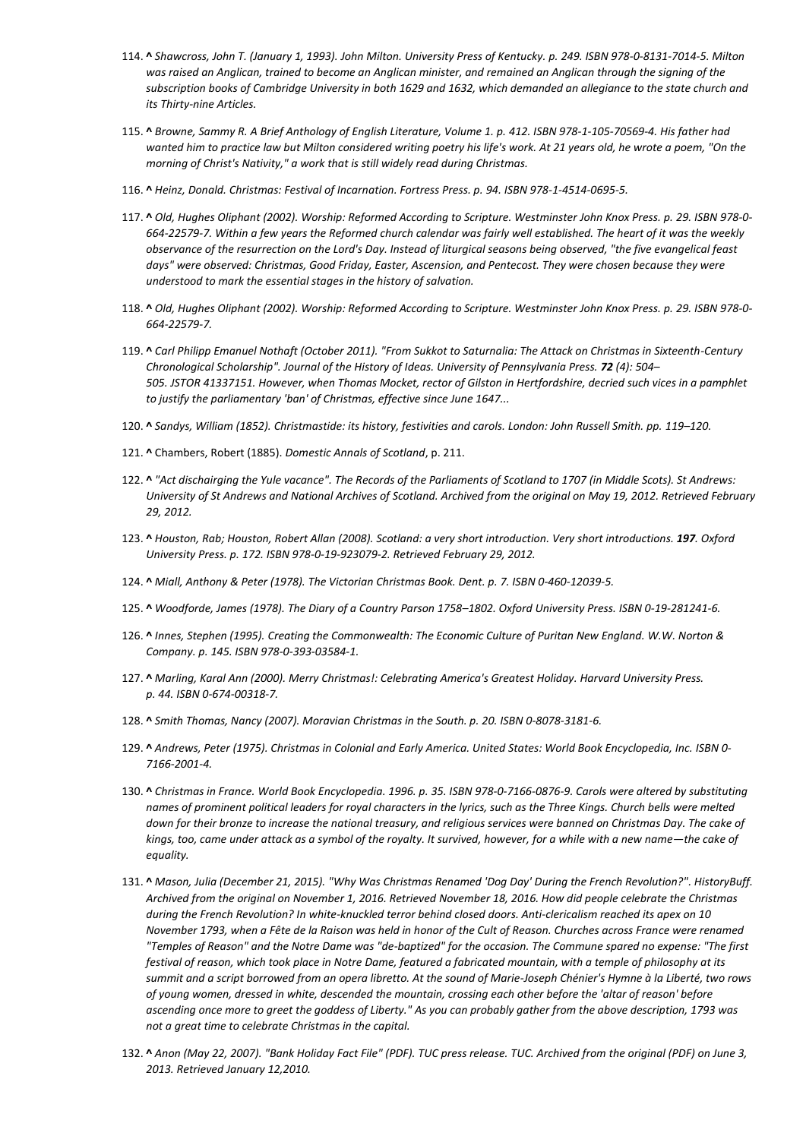- 114. **^** *Shawcross, John T. (January 1, 1993). John Milton. University Press of Kentucky. p. 249. ISBN 978-0-8131-7014-5. Milton was raised an Anglican, trained to become an Anglican minister, and remained an Anglican through the signing of the subscription books of Cambridge University in both 1629 and 1632, which demanded an allegiance to the state church and its Thirty-nine Articles.*
- 115. **^** *Browne, Sammy R. A Brief Anthology of English Literature, Volume 1. p. 412. ISBN 978-1-105-70569-4. His father had wanted him to practice law but Milton considered writing poetry his life's work. At 21 years old, he wrote a poem, "On the morning of Christ's Nativity," a work that is still widely read during Christmas.*
- 116. **^** *Heinz, Donald. Christmas: Festival of Incarnation. Fortress Press. p. 94. ISBN 978-1-4514-0695-5.*
- 117. **^** *Old, Hughes Oliphant (2002). Worship: Reformed According to Scripture. Westminster John Knox Press. p. 29. ISBN 978-0- 664-22579-7. Within a few years the Reformed church calendar was fairly well established. The heart of it was the weekly observance of the resurrection on the Lord's Day. Instead of liturgical seasons being observed, "the five evangelical feast days" were observed: Christmas, Good Friday, Easter, Ascension, and Pentecost. They were chosen because they were understood to mark the essential stages in the history of salvation.*
- 118. **^** *Old, Hughes Oliphant (2002). Worship: Reformed According to Scripture. Westminster John Knox Press. p. 29. ISBN 978-0- 664-22579-7.*
- 119. **^** *Carl Philipp Emanuel Nothaft (October 2011). "From Sukkot to Saturnalia: The Attack on Christmas in Sixteenth-Century Chronological Scholarship". Journal of the History of Ideas. University of Pennsylvania Press. 72 (4): 504– 505. JSTOR 41337151. However, when Thomas Mocket, rector of Gilston in Hertfordshire, decried such vices in a pamphlet to justify the parliamentary 'ban' of Christmas, effective since June 1647...*
- 120. **^** *Sandys, William (1852). Christmastide: its history, festivities and carols. London: John Russell Smith. pp. 119–120.*
- 121. **^** Chambers, Robert (1885). *Domestic Annals of Scotland*, p. 211.
- 122. **^** *"Act dischairging the Yule vacance". The Records of the Parliaments of Scotland to 1707 (in Middle Scots). St Andrews: University of St Andrews and National Archives of Scotland. Archived from the original on May 19, 2012. Retrieved February 29, 2012.*
- 123. **^** *Houston, Rab; Houston, Robert Allan (2008). Scotland: a very short introduction. Very short introductions. 197. Oxford University Press. p. 172. ISBN 978-0-19-923079-2. Retrieved February 29, 2012.*
- 124. **^** *Miall, Anthony & Peter (1978). The Victorian Christmas Book. Dent. p. 7. ISBN 0-460-12039-5.*
- 125. **^** *Woodforde, James (1978). The Diary of a Country Parson 1758–1802. Oxford University Press. ISBN 0-19-281241-6.*
- 126. **^** *Innes, Stephen (1995). Creating the Commonwealth: The Economic Culture of Puritan New England. W.W. Norton & Company. p. 145. ISBN 978-0-393-03584-1.*
- 127. **^** *Marling, Karal Ann (2000). Merry Christmas!: Celebrating America's Greatest Holiday. Harvard University Press. p. 44. ISBN 0-674-00318-7.*
- 128. **^** *Smith Thomas, Nancy (2007). Moravian Christmas in the South. p. 20. ISBN 0-8078-3181-6.*
- 129. **^** *Andrews, Peter (1975). Christmas in Colonial and Early America. United States: World Book Encyclopedia, Inc. ISBN 0- 7166-2001-4.*
- 130. **^** *Christmas in France. World Book Encyclopedia. 1996. p. 35. ISBN 978-0-7166-0876-9. Carols were altered by substituting names of prominent political leaders for royal characters in the lyrics, such as the Three Kings. Church bells were melted down for their bronze to increase the national treasury, and religious services were banned on Christmas Day. The cake of kings, too, came under attack as a symbol of the royalty. It survived, however, for a while with a new name—the cake of equality.*
- 131. **^** *Mason, Julia (December 21, 2015). "Why Was Christmas Renamed 'Dog Day' During the French Revolution?". HistoryBuff. Archived from the original on November 1, 2016. Retrieved November 18, 2016. How did people celebrate the Christmas during the French Revolution? In white-knuckled terror behind closed doors. Anti-clericalism reached its apex on 10 November 1793, when a Fête de la Raison was held in honor of the Cult of Reason. Churches across France were renamed "Temples of Reason" and the Notre Dame was "de-baptized" for the occasion. The Commune spared no expense: "The first festival of reason, which took place in Notre Dame, featured a fabricated mountain, with a temple of philosophy at its summit and a script borrowed from an opera libretto. At the sound of Marie-Joseph Chénier's Hymne à la Liberté, two rows of young women, dressed in white, descended the mountain, crossing each other before the 'altar of reason' before ascending once more to greet the goddess of Liberty." As you can probably gather from the above description, 1793 was not a great time to celebrate Christmas in the capital.*
- 132. **^** *Anon (May 22, 2007). "Bank Holiday Fact File" (PDF). TUC press release. TUC. Archived from the original (PDF) on June 3, 2013. Retrieved January 12,2010.*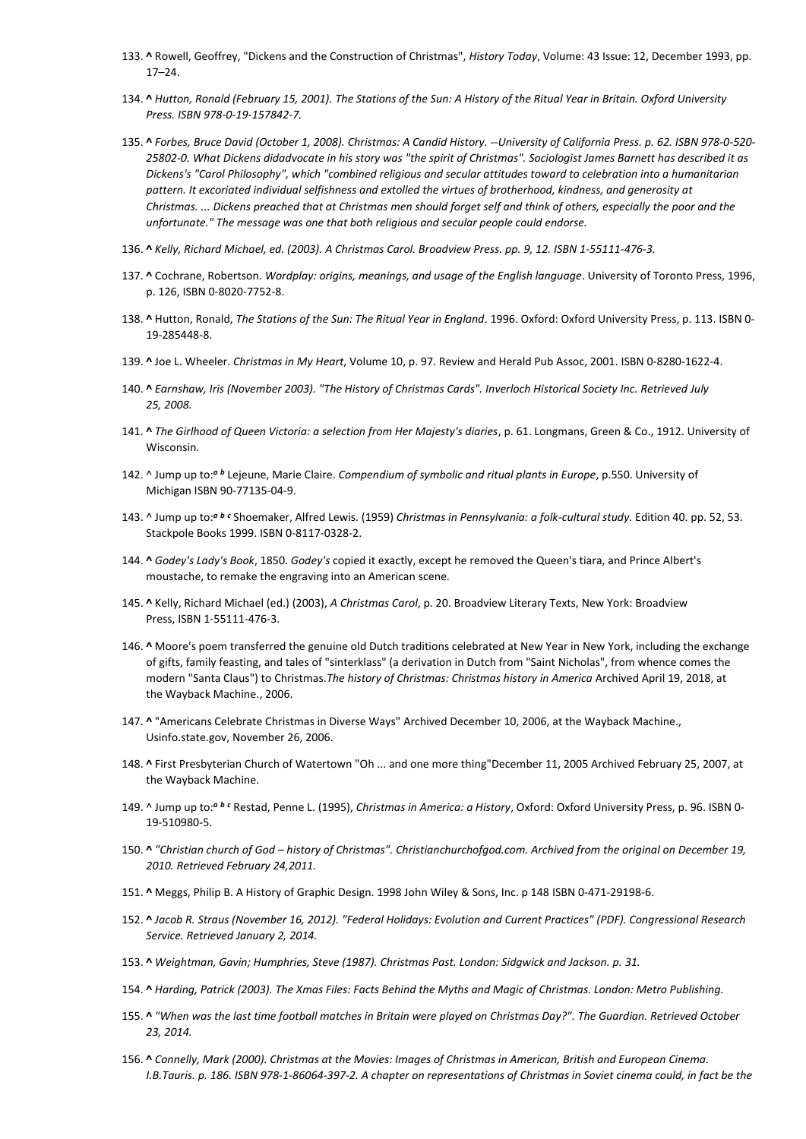- 133. **^** Rowell, Geoffrey, "Dickens and the Construction of Christmas", *History Today*, Volume: 43 Issue: 12, December 1993, pp. 17–24.
- 134. **^** *Hutton, Ronald (February 15, 2001). The Stations of the Sun: A History of the Ritual Year in Britain. Oxford University Press. ISBN 978-0-19-157842-7.*
- 135. **^** *Forbes, Bruce David (October 1, 2008). Christmas: A Candid History. --University of California Press. p. 62. ISBN 978-0-520- 25802-0. What Dickens didadvocate in his story was "the spirit of Christmas". Sociologist James Barnett has described it as Dickens's "Carol Philosophy", which "combined religious and secular attitudes toward to celebration into a humanitarian pattern. It excoriated individual selfishness and extolled the virtues of brotherhood, kindness, and generosity at Christmas. ... Dickens preached that at Christmas men should forget self and think of others, especially the poor and the unfortunate." The message was one that both religious and secular people could endorse.*
- 136. **^** *Kelly, Richard Michael, ed. (2003). A Christmas Carol. Broadview Press. pp. 9, 12. ISBN 1-55111-476-3.*
- 137. **^** Cochrane, Robertson. *Wordplay: origins, meanings, and usage of the English language*. University of Toronto Press, 1996, p. 126, ISBN 0-8020-7752-8.
- 138. **^** Hutton, Ronald, *The Stations of the Sun: The Ritual Year in England*. 1996. Oxford: Oxford University Press, p. 113. ISBN 0- 19-285448-8.
- 139. **^** Joe L. Wheeler. *Christmas in My Heart*, Volume 10, p. 97. Review and Herald Pub Assoc, 2001. ISBN 0-8280-1622-4.
- 140. **^** *Earnshaw, Iris (November 2003). "The History of Christmas Cards". Inverloch Historical Society Inc. Retrieved July 25, 2008.*
- 141. **^** *The Girlhood of Queen Victoria: a selection from Her Majesty's diaries*, p. 61. Longmans, Green & Co., 1912. University of Wisconsin.
- 142. ^ Jump up to:*<sup>a</sup> <sup>b</sup>* Lejeune, Marie Claire. *Compendium of symbolic and ritual plants in Europe*, p.550. University of Michigan ISBN 90-77135-04-9.
- 143. ^ Jump up to:*<sup>a</sup> <sup>b</sup> <sup>c</sup>* Shoemaker, Alfred Lewis. (1959) *Christmas in Pennsylvania: a folk-cultural study.* Edition 40. pp. 52, 53. Stackpole Books 1999. ISBN 0-8117-0328-2.
- 144. **^** *Godey's Lady's Book*, 1850. *Godey's* copied it exactly, except he removed the Queen's tiara, and Prince Albert's moustache, to remake the engraving into an American scene.
- 145. **^** Kelly, Richard Michael (ed.) (2003), *A Christmas Carol*, p. 20. Broadview Literary Texts, New York: Broadview Press, ISBN 1-55111-476-3.
- 146. **^** Moore's poem transferred the genuine old Dutch traditions celebrated at New Year in New York, including the exchange of gifts, family feasting, and tales of "sinterklass" (a derivation in Dutch from "Saint Nicholas", from whence comes the modern "Santa Claus") to Christmas.*The history of Christmas: Christmas history in America* Archived April 19, 2018, at the Wayback Machine., 2006.
- 147. **^** "Americans Celebrate Christmas in Diverse Ways" Archived December 10, 2006, at the Wayback Machine., Usinfo.state.gov, November 26, 2006.
- 148. **^** First Presbyterian Church of Watertown "Oh ... and one more thing"December 11, 2005 Archived February 25, 2007, at the Wayback Machine.
- 149. ^ Jump up to:*<sup>a</sup> <sup>b</sup> <sup>c</sup>* Restad, Penne L. (1995), *Christmas in America: a History*, Oxford: Oxford University Press, p. 96. ISBN 0- 19-510980-5.
- 150. **^** *"Christian church of God – history of Christmas". Christianchurchofgod.com. Archived from the original on December 19, 2010. Retrieved February 24,2011.*
- 151. **^** Meggs, Philip B. A History of Graphic Design. 1998 John Wiley & Sons, Inc. p 148 ISBN 0-471-29198-6.
- 152. **^** *Jacob R. Straus (November 16, 2012). "Federal Holidays: Evolution and Current Practices" (PDF). Congressional Research Service. Retrieved January 2, 2014.*
- 153. **^** *Weightman, Gavin; Humphries, Steve (1987). Christmas Past. London: Sidgwick and Jackson. p. 31.*
- 154. **^** *Harding, Patrick (2003). The Xmas Files: Facts Behind the Myths and Magic of Christmas. London: Metro Publishing.*
- 155. **^** *"When was the last time football matches in Britain were played on Christmas Day?". The Guardian. Retrieved October 23, 2014.*
- 156. **^** *Connelly, Mark (2000). Christmas at the Movies: Images of Christmas in American, British and European Cinema. I.B.Tauris. p. 186. ISBN 978-1-86064-397-2. A chapter on representations of Christmas in Soviet cinema could, in fact be the*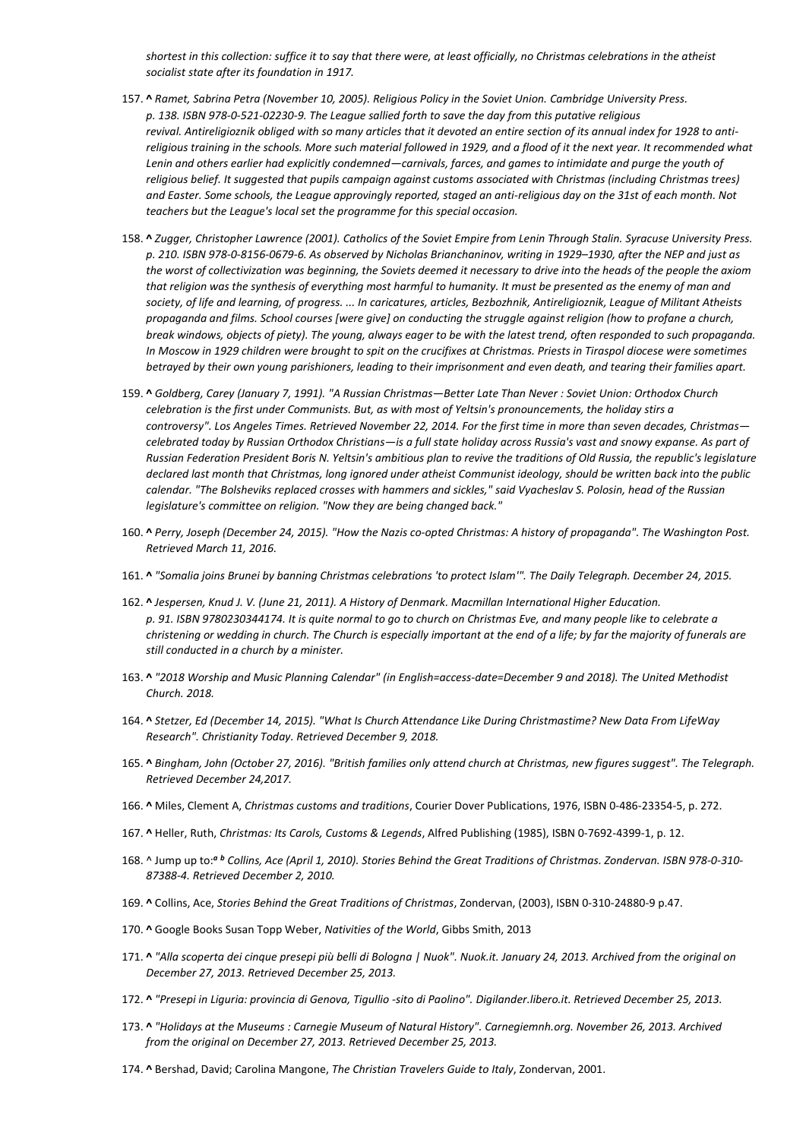*shortest in this collection: suffice it to say that there were, at least officially, no Christmas celebrations in the atheist socialist state after its foundation in 1917.*

- 157. **^** *Ramet, Sabrina Petra (November 10, 2005). Religious Policy in the Soviet Union. Cambridge University Press. p. 138. ISBN 978-0-521-02230-9. The League sallied forth to save the day from this putative religious revival. Antireligioznik obliged with so many articles that it devoted an entire section of its annual index for 1928 to antireligious training in the schools. More such material followed in 1929, and a flood of it the next year. It recommended what Lenin and others earlier had explicitly condemned—carnivals, farces, and games to intimidate and purge the youth of religious belief. It suggested that pupils campaign against customs associated with Christmas (including Christmas trees) and Easter. Some schools, the League approvingly reported, staged an anti-religious day on the 31st of each month. Not teachers but the League's local set the programme for this special occasion.*
- 158. **^** *Zugger, Christopher Lawrence (2001). Catholics of the Soviet Empire from Lenin Through Stalin. Syracuse University Press. p. 210. ISBN 978-0-8156-0679-6. As observed by Nicholas Brianchaninov, writing in 1929–1930, after the NEP and just as the worst of collectivization was beginning, the Soviets deemed it necessary to drive into the heads of the people the axiom that religion was the synthesis of everything most harmful to humanity. It must be presented as the enemy of man and society, of life and learning, of progress. ... In caricatures, articles, Bezbozhnik, Antireligioznik, League of Militant Atheists propaganda and films. School courses [were give] on conducting the struggle against religion (how to profane a church, break windows, objects of piety). The young, always eager to be with the latest trend, often responded to such propaganda. In Moscow in 1929 children were brought to spit on the crucifixes at Christmas. Priests in Tiraspol diocese were sometimes betrayed by their own young parishioners, leading to their imprisonment and even death, and tearing their families apart.*
- 159. **^** *Goldberg, Carey (January 7, 1991). "A Russian Christmas—Better Late Than Never : Soviet Union: Orthodox Church celebration is the first under Communists. But, as with most of Yeltsin's pronouncements, the holiday stirs a controversy". Los Angeles Times. Retrieved November 22, 2014. For the first time in more than seven decades, Christmas celebrated today by Russian Orthodox Christians—is a full state holiday across Russia's vast and snowy expanse. As part of Russian Federation President Boris N. Yeltsin's ambitious plan to revive the traditions of Old Russia, the republic's legislature declared last month that Christmas, long ignored under atheist Communist ideology, should be written back into the public calendar. "The Bolsheviks replaced crosses with hammers and sickles," said Vyacheslav S. Polosin, head of the Russian legislature's committee on religion. "Now they are being changed back."*
- 160. **^** *Perry, Joseph (December 24, 2015). "How the Nazis co-opted Christmas: A history of propaganda". The Washington Post. Retrieved March 11, 2016.*
- 161. **^** *"Somalia joins Brunei by banning Christmas celebrations 'to protect Islam'". The Daily Telegraph. December 24, 2015.*
- 162. **^** *Jespersen, Knud J. V. (June 21, 2011). A History of Denmark. Macmillan International Higher Education. p. 91. ISBN 9780230344174. It is quite normal to go to church on Christmas Eve, and many people like to celebrate a christening or wedding in church. The Church is especially important at the end of a life; by far the majority of funerals are still conducted in a church by a minister.*
- 163. **^** *"2018 Worship and Music Planning Calendar" (in English=access-date=December 9 and 2018). The United Methodist Church. 2018.*
- 164. **^** *Stetzer, Ed (December 14, 2015). "What Is Church Attendance Like During Christmastime? New Data From LifeWay Research". Christianity Today. Retrieved December 9, 2018.*
- 165. **^** *Bingham, John (October 27, 2016). "British families only attend church at Christmas, new figures suggest". The Telegraph. Retrieved December 24,2017.*
- 166. **^** Miles, Clement A, *Christmas customs and traditions*, Courier Dover Publications, 1976, ISBN 0-486-23354-5, p. 272.
- 167. **^** Heller, Ruth, *Christmas: Its Carols, Customs & Legends*, Alfred Publishing (1985), ISBN 0-7692-4399-1, p. 12.
- 168. ^ Jump up to:*<sup>a</sup> <sup>b</sup> Collins, Ace (April 1, 2010). Stories Behind the Great Traditions of Christmas. Zondervan. ISBN 978-0-310- 87388-4. Retrieved December 2, 2010.*
- 169. **^** Collins, Ace, *Stories Behind the Great Traditions of Christmas*, Zondervan, (2003), ISBN 0-310-24880-9 p.47.
- 170. **^** Google Books Susan Topp Weber, *Nativities of the World*, Gibbs Smith, 2013
- 171. **^** *"Alla scoperta dei cinque presepi più belli di Bologna | Nuok". Nuok.it. January 24, 2013. Archived from the original on December 27, 2013. Retrieved December 25, 2013.*
- 172. **^** *"Presepi in Liguria: provincia di Genova, Tigullio -sito di Paolino". Digilander.libero.it. Retrieved December 25, 2013.*
- 173. **^** *"Holidays at the Museums : Carnegie Museum of Natural History". Carnegiemnh.org. November 26, 2013. Archived from the original on December 27, 2013. Retrieved December 25, 2013.*
- 174. **^** Bershad, David; Carolina Mangone, *The Christian Travelers Guide to Italy*, Zondervan, 2001.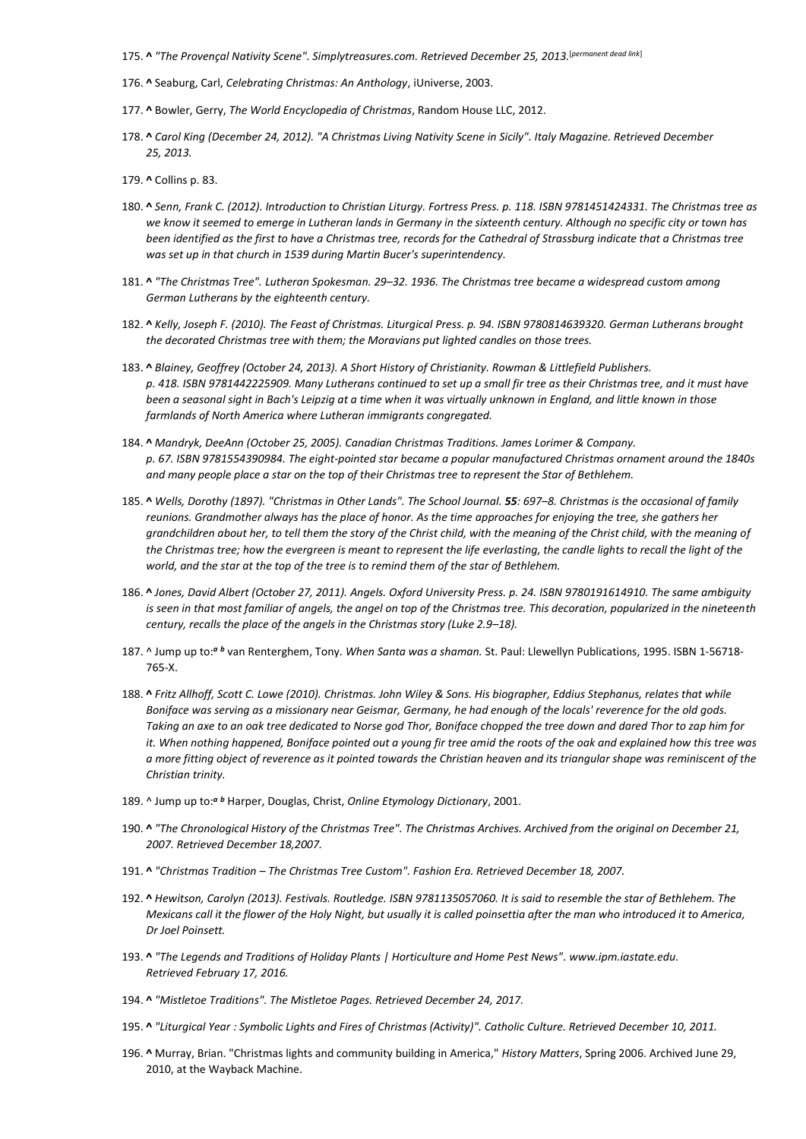- 175. **^** *"The Provençal Nativity Scene". Simplytreasures.com. Retrieved December 25, 2013.* [*permanent dead link*]
- 176. **^** Seaburg, Carl, *Celebrating Christmas: An Anthology*, iUniverse, 2003.
- 177. **^** Bowler, Gerry, *The World Encyclopedia of Christmas*, Random House LLC, 2012.
- 178. **^** *Carol King (December 24, 2012). "A Christmas Living Nativity Scene in Sicily". Italy Magazine. Retrieved December 25, 2013.*
- 179. **^** Collins p. 83.
- 180. **^** *Senn, Frank C. (2012). Introduction to Christian Liturgy. Fortress Press. p. 118. ISBN 9781451424331. The Christmas tree as we know it seemed to emerge in Lutheran lands in Germany in the sixteenth century. Although no specific city or town has been identified as the first to have a Christmas tree, records for the Cathedral of Strassburg indicate that a Christmas tree was set up in that church in 1539 during Martin Bucer's superintendency.*
- 181. **^** *"The Christmas Tree". Lutheran Spokesman. 29–32. 1936. The Christmas tree became a widespread custom among German Lutherans by the eighteenth century.*
- 182. **^** *Kelly, Joseph F. (2010). The Feast of Christmas. Liturgical Press. p. 94. ISBN 9780814639320. German Lutherans brought the decorated Christmas tree with them; the Moravians put lighted candles on those trees.*
- 183. **^** *Blainey, Geoffrey (October 24, 2013). A Short History of Christianity. Rowman & Littlefield Publishers. p. 418. ISBN 9781442225909. Many Lutherans continued to set up a small fir tree as their Christmas tree, and it must have been a seasonal sight in Bach's Leipzig at a time when it was virtually unknown in England, and little known in those farmlands of North America where Lutheran immigrants congregated.*
- 184. **^** *Mandryk, DeeAnn (October 25, 2005). Canadian Christmas Traditions. James Lorimer & Company. p. 67. ISBN 9781554390984. The eight-pointed star became a popular manufactured Christmas ornament around the 1840s and many people place a star on the top of their Christmas tree to represent the Star of Bethlehem.*
- 185. **^** *Wells, Dorothy (1897). "Christmas in Other Lands". The School Journal. 55: 697–8. Christmas is the occasional of family reunions. Grandmother always has the place of honor. As the time approaches for enjoying the tree, she gathers her grandchildren about her, to tell them the story of the Christ child, with the meaning of the Christ child, with the meaning of the Christmas tree; how the evergreen is meant to represent the life everlasting, the candle lights to recall the light of the world, and the star at the top of the tree is to remind them of the star of Bethlehem.*
- 186. **^** *Jones, David Albert (October 27, 2011). Angels. Oxford University Press. p. 24. ISBN 9780191614910. The same ambiguity is seen in that most familiar of angels, the angel on top of the Christmas tree. This decoration, popularized in the nineteenth century, recalls the place of the angels in the Christmas story (Luke 2.9–18).*
- 187. ^ Jump up to:*<sup>a</sup> <sup>b</sup>* van Renterghem, Tony. *When Santa was a shaman.* St. Paul: Llewellyn Publications, 1995. ISBN 1-56718- 765-X.
- 188. **^** *Fritz Allhoff, Scott C. Lowe (2010). Christmas. John Wiley & Sons. His biographer, Eddius Stephanus, relates that while Boniface was serving as a missionary near Geismar, Germany, he had enough of the locals' reverence for the old gods. Taking an axe to an oak tree dedicated to Norse god Thor, Boniface chopped the tree down and dared Thor to zap him for it. When nothing happened, Boniface pointed out a young fir tree amid the roots of the oak and explained how this tree was a more fitting object of reverence as it pointed towards the Christian heaven and its triangular shape was reminiscent of the Christian trinity.*
- 189. ^ Jump up to:*<sup>a</sup> <sup>b</sup>* Harper, Douglas, Christ, *Online Etymology Dictionary*, 2001.
- 190. **^** *"The Chronological History of the Christmas Tree". The Christmas Archives. Archived from the original on December 21, 2007. Retrieved December 18,2007.*
- 191. **^** *"Christmas Tradition – The Christmas Tree Custom". Fashion Era. Retrieved December 18, 2007.*
- 192. **^** *Hewitson, Carolyn (2013). Festivals. Routledge. ISBN 9781135057060. It is said to resemble the star of Bethlehem. The Mexicans call it the flower of the Holy Night, but usually it is called poinsettia after the man who introduced it to America, Dr Joel Poinsett.*
- 193. **^** *"The Legends and Traditions of Holiday Plants | Horticulture and Home Pest News". www.ipm.iastate.edu. Retrieved February 17, 2016.*
- 194. **^** *"Mistletoe Traditions". The Mistletoe Pages. Retrieved December 24, 2017.*
- 195. **^** *"Liturgical Year : Symbolic Lights and Fires of Christmas (Activity)". Catholic Culture. Retrieved December 10, 2011.*
- 196. **^** Murray, Brian. "Christmas lights and community building in America," *History Matters*, Spring 2006. Archived June 29, 2010, at the Wayback Machine.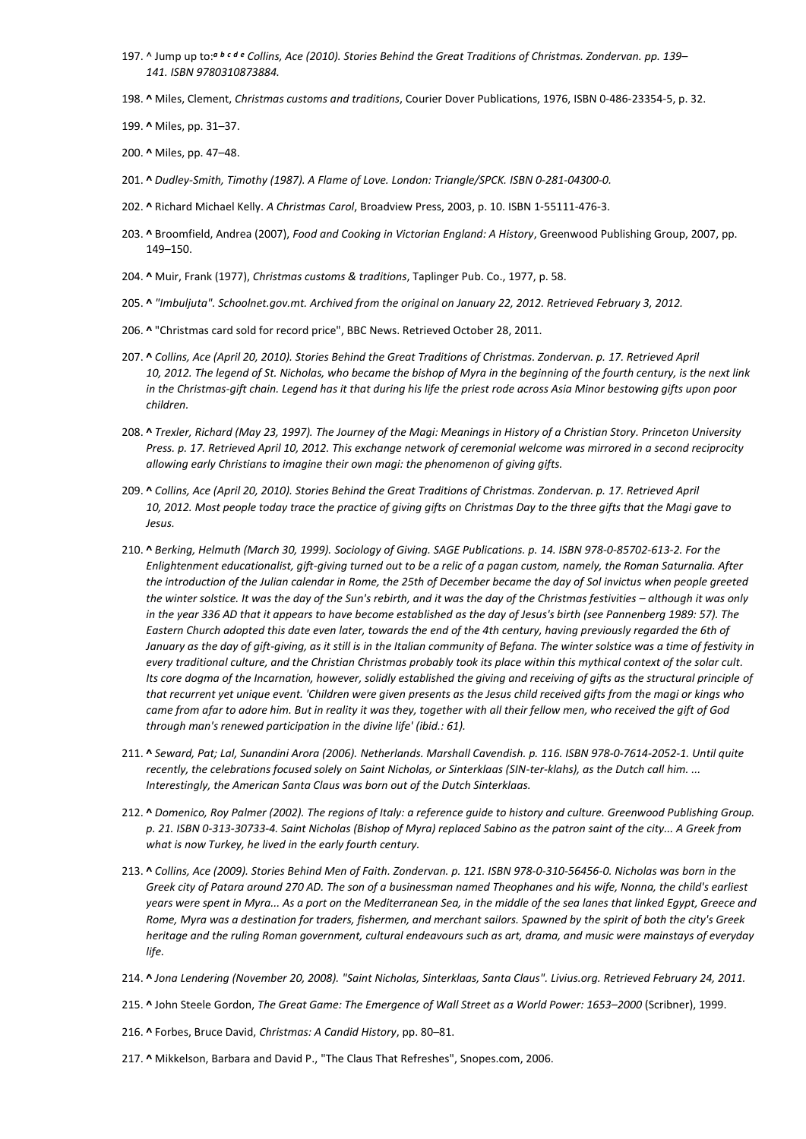- 197. ^ Jump up to:*<sup>a</sup> <sup>b</sup> <sup>c</sup> <sup>d</sup> <sup>e</sup> Collins, Ace (2010). Stories Behind the Great Traditions of Christmas. Zondervan. pp. 139– 141. ISBN 9780310873884.*
- 198. **^** Miles, Clement, *Christmas customs and traditions*, Courier Dover Publications, 1976, ISBN 0-486-23354-5, p. 32.
- 199. **^** Miles, pp. 31–37.
- 200. **^** Miles, pp. 47–48.
- 201. **^** *Dudley-Smith, Timothy (1987). A Flame of Love. London: Triangle/SPCK. ISBN 0-281-04300-0.*
- 202. **^** Richard Michael Kelly. *A Christmas Carol*, Broadview Press, 2003, p. 10. ISBN 1-55111-476-3.
- 203. **^** Broomfield, Andrea (2007), *Food and Cooking in Victorian England: A History*, Greenwood Publishing Group, 2007, pp. 149–150.
- 204. **^** Muir, Frank (1977), *Christmas customs & traditions*, Taplinger Pub. Co., 1977, p. 58.
- 205. **^** *"Imbuljuta". Schoolnet.gov.mt. Archived from the original on January 22, 2012. Retrieved February 3, 2012.*
- 206. **^** "Christmas card sold for record price", BBC News. Retrieved October 28, 2011.
- 207. **^** *Collins, Ace (April 20, 2010). Stories Behind the Great Traditions of Christmas. Zondervan. p. 17. Retrieved April 10, 2012. The legend of St. Nicholas, who became the bishop of Myra in the beginning of the fourth century, is the next link in the Christmas-gift chain. Legend has it that during his life the priest rode across Asia Minor bestowing gifts upon poor children.*
- 208. **^** *Trexler, Richard (May 23, 1997). The Journey of the Magi: Meanings in History of a Christian Story. Princeton University Press. p. 17. Retrieved April 10, 2012. This exchange network of ceremonial welcome was mirrored in a second reciprocity allowing early Christians to imagine their own magi: the phenomenon of giving gifts.*
- 209. **^** *Collins, Ace (April 20, 2010). Stories Behind the Great Traditions of Christmas. Zondervan. p. 17. Retrieved April 10, 2012. Most people today trace the practice of giving gifts on Christmas Day to the three gifts that the Magi gave to Jesus.*
- 210. **^** *Berking, Helmuth (March 30, 1999). Sociology of Giving. SAGE Publications. p. 14. ISBN 978-0-85702-613-2. For the Enlightenment educationalist, gift-giving turned out to be a relic of a pagan custom, namely, the Roman Saturnalia. After the introduction of the Julian calendar in Rome, the 25th of December became the day of Sol invictus when people greeted the winter solstice. It was the day of the Sun's rebirth, and it was the day of the Christmas festivities – although it was only in the year 336 AD that it appears to have become established as the day of Jesus's birth (see Pannenberg 1989: 57). The Eastern Church adopted this date even later, towards the end of the 4th century, having previously regarded the 6th of*  January as the day of gift-giving, as it still is in the Italian community of Befana. The winter solstice was a time of festivity in *every traditional culture, and the Christian Christmas probably took its place within this mythical context of the solar cult. Its core dogma of the Incarnation, however, solidly established the giving and receiving of gifts as the structural principle of that recurrent yet unique event. 'Children were given presents as the Jesus child received gifts from the magi or kings who came from afar to adore him. But in reality it was they, together with all their fellow men, who received the gift of God through man's renewed participation in the divine life' (ibid.: 61).*
- 211. **^** *Seward, Pat; Lal, Sunandini Arora (2006). Netherlands. Marshall Cavendish. p. 116. ISBN 978-0-7614-2052-1. Until quite recently, the celebrations focused solely on Saint Nicholas, or Sinterklaas (SIN-ter-klahs), as the Dutch call him. ... Interestingly, the American Santa Claus was born out of the Dutch Sinterklaas.*
- 212. **^** *Domenico, Roy Palmer (2002). The regions of Italy: a reference guide to history and culture. Greenwood Publishing Group. p. 21. ISBN 0-313-30733-4. Saint Nicholas (Bishop of Myra) replaced Sabino as the patron saint of the city... A Greek from what is now Turkey, he lived in the early fourth century.*
- 213. **^** *Collins, Ace (2009). Stories Behind Men of Faith. Zondervan. p. 121. ISBN 978-0-310-56456-0. Nicholas was born in the Greek city of Patara around 270 AD. The son of a businessman named Theophanes and his wife, Nonna, the child's earliest years were spent in Myra... As a port on the Mediterranean Sea, in the middle of the sea lanes that linked Egypt, Greece and Rome, Myra was a destination for traders, fishermen, and merchant sailors. Spawned by the spirit of both the city's Greek heritage and the ruling Roman government, cultural endeavours such as art, drama, and music were mainstays of everyday life.*
- 214. **^** *Jona Lendering (November 20, 2008). "Saint Nicholas, Sinterklaas, Santa Claus". Livius.org. Retrieved February 24, 2011.*
- 215. **^** John Steele Gordon, *The Great Game: The Emergence of Wall Street as a World Power: 1653–2000* (Scribner), 1999.
- 216. **^** Forbes, Bruce David, *Christmas: A Candid History*, pp. 80–81.
- 217. **^** Mikkelson, Barbara and David P., "The Claus That Refreshes", Snopes.com, 2006.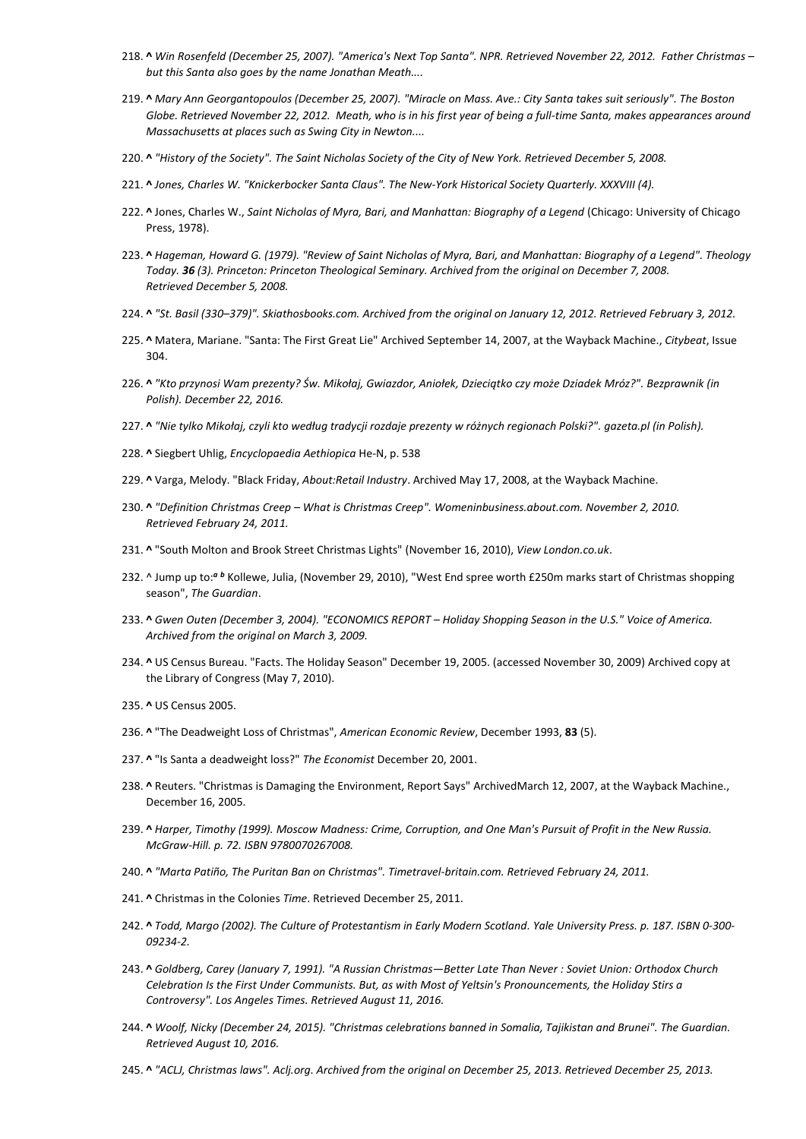- 218. **^** *Win Rosenfeld (December 25, 2007). "America's Next Top Santa". NPR. Retrieved November 22, 2012. Father Christmas – but this Santa also goes by the name Jonathan Meath....*
- 219. **^** *Mary Ann Georgantopoulos (December 25, 2007). "Miracle on Mass. Ave.: City Santa takes suit seriously". The Boston Globe. Retrieved November 22, 2012. Meath, who is in his first year of being a full-time Santa, makes appearances around Massachusetts at places such as Swing City in Newton....*
- 220. **^** *"History of the Society". The Saint Nicholas Society of the City of New York. Retrieved December 5, 2008.*
- 221. **^** *Jones, Charles W. "Knickerbocker Santa Claus". The New-York Historical Society Quarterly. XXXVIII (4).*
- 222. **^** Jones, Charles W., *Saint Nicholas of Myra, Bari, and Manhattan: Biography of a Legend* (Chicago: University of Chicago Press, 1978).
- 223. **^** *Hageman, Howard G. (1979). "Review of Saint Nicholas of Myra, Bari, and Manhattan: Biography of a Legend". Theology Today. 36 (3). Princeton: Princeton Theological Seminary. Archived from the original on December 7, 2008. Retrieved December 5, 2008.*
- 224. **^** *"St. Basil (330–379)". Skiathosbooks.com. Archived from the original on January 12, 2012. Retrieved February 3, 2012.*
- 225. **^** Matera, Mariane. "Santa: The First Great Lie" Archived September 14, 2007, at the Wayback Machine., *Citybeat*, Issue 304.
- 226. **^** *"Kto przynosi Wam prezenty? Św. Mikołaj, Gwiazdor, Aniołek, Dzieciątko czy może Dziadek Mróz?". Bezprawnik (in Polish). December 22, 2016.*
- 227. **^** *"Nie tylko Mikołaj, czyli kto według tradycji rozdaje prezenty w różnych regionach Polski?". gazeta.pl (in Polish).*
- 228. **^** Siegbert Uhlig, *Encyclopaedia Aethiopica* He-N, p. 538
- 229. **^** Varga, Melody. "Black Friday, *About:Retail Industry*. Archived May 17, 2008, at the Wayback Machine.
- 230. **^** *"Definition Christmas Creep – What is Christmas Creep". Womeninbusiness.about.com. November 2, 2010. Retrieved February 24, 2011.*
- 231. **^** "South Molton and Brook Street Christmas Lights" (November 16, 2010), *View London.co.uk*.
- 232. ^ Jump up to:*<sup>a</sup> <sup>b</sup>* Kollewe, Julia, (November 29, 2010), "West End spree worth £250m marks start of Christmas shopping season", *The Guardian*.
- 233. **^** *Gwen Outen (December 3, 2004). "ECONOMICS REPORT – Holiday Shopping Season in the U.S." Voice of America. Archived from the original on March 3, 2009.*
- 234. **^** US Census Bureau. "Facts. The Holiday Season" December 19, 2005. (accessed November 30, 2009) Archived copy at the Library of Congress (May 7, 2010).
- 235. **^** US Census 2005.
- 236. **^** "The Deadweight Loss of Christmas", *American Economic Review*, December 1993, **83** (5).
- 237. **^** "Is Santa a deadweight loss?" *The Economist* December 20, 2001.
- 238. **^** Reuters. "Christmas is Damaging the Environment, Report Says" ArchivedMarch 12, 2007, at the Wayback Machine., December 16, 2005.
- 239. **^** *Harper, Timothy (1999). Moscow Madness: Crime, Corruption, and One Man's Pursuit of Profit in the New Russia. McGraw-Hill. p. 72. ISBN 9780070267008.*
- 240. **^** *"Marta Patiño, The Puritan Ban on Christmas". Timetravel-britain.com. Retrieved February 24, 2011.*
- 241. **^** Christmas in the Colonies *Time*. Retrieved December 25, 2011.
- 242. **^** *Todd, Margo (2002). The Culture of Protestantism in Early Modern Scotland. Yale University Press. p. 187. ISBN 0-300- 09234-2.*
- 243. **^** *Goldberg, Carey (January 7, 1991). "A Russian Christmas—Better Late Than Never : Soviet Union: Orthodox Church Celebration Is the First Under Communists. But, as with Most of Yeltsin's Pronouncements, the Holiday Stirs a Controversy". Los Angeles Times. Retrieved August 11, 2016.*
- 244. **^** *Woolf, Nicky (December 24, 2015). "Christmas celebrations banned in Somalia, Tajikistan and Brunei". The Guardian. Retrieved August 10, 2016.*
- 245. **^** *"ACLJ, Christmas laws". Aclj.org. Archived from the original on December 25, 2013. Retrieved December 25, 2013.*